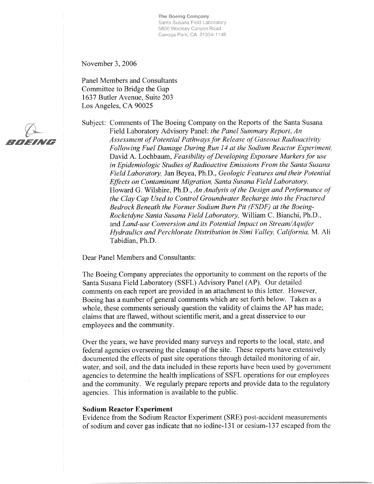The Boeing Company Santa Susana Field Laboratory 5800 Woolsey Canyon Road Canoga Park, CA 91304-1148

November 3, 2006

**Panel Members and Consultants** Committee to Bridge the Gap 1637 Butler Avenue, Suite 203 Los Angeles, CA 90025

Subject: Comments of The Boeing Company on the Reports of the Santa Susana Field Laboratory Advisory Panel: the Panel Summary Report, An Assessment of Potential Pathways for Release of Gaseous Radioactivity Following Fuel Damage During Run 14 at the Sodium Reactor Experiment, David A. Lochbaum, Feasibility of Developing Exposure Markers for use in Epidemiologic Studies of Radioactive Emissions From the Santa Susana Field Laboratory, Jan Beyea, Ph.D., Geologic Features and their Potential Effects on Contaminant Migration, Santa Susana Field Laboratory, Howard G. Wilshire, Ph.D., An Analysis of the Design and Performance of the Clay Cap Used to Control Groundwater Recharge into the Fractured Bedrock Beneath the Former Sodium Burn Pit (FSDF) at the Boeing-Rocketdyne Santa Susana Field Laboratory, William C. Bianchi, Ph.D., and Land-use Conversion and its Potential Impact on Stream/Aquifer Hydraulics and Perchlorate Distribution in Simi Valley, California, M. Ali Tabidian, Ph.D.

Dear Panel Members and Consultants:

The Boeing Company appreciates the opportunity to comment on the reports of the Santa Susana Field Laboratory (SSFL) Advisory Panel (AP). Our detailed comments on each report are provided in an attachment to this letter. However, Boeing has a number of general comments which are set forth below. Taken as a whole, these comments seriously question the validity of claims the AP has made; claims that are flawed, without scientific merit, and a great disservice to our employees and the community.

Over the years, we have provided many surveys and reports to the local, state, and federal agencies overseeing the cleanup of the site. These reports have extensively documented the effects of past site operations through detailed monitoring of air, water, and soil, and the data included in these reports have been used by government agencies to determine the health implications of SSFL operations for our employees and the community. We regularly prepare reports and provide data to the regulatory agencies. This information is available to the public.

#### **Sodium Reactor Experiment**

Evidence from the Sodium Reactor Experiment (SRE) post-accident measurements of sodium and cover gas indicate that no iodine-131 or cesium-137 escaped from the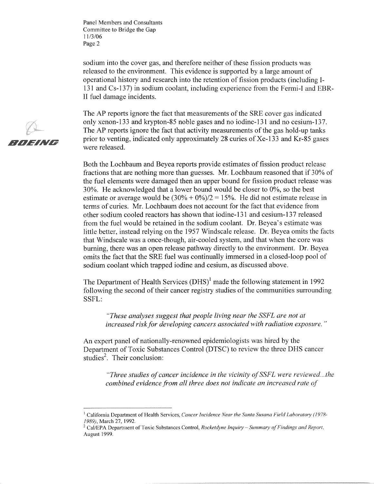RNFING

sodium into the cover gas, and therefore neither of these fission products was released to the environment. This evidence is supported by a large amount of operational history and research into the retention of fission products (including I-131 and Cs-137) in sodium coolant, including experience from the Fermi-I and EBR-II fuel damage incidents.

The AP reports ignore the fact that measurements of the SRE cover gas indicated only xenon-133 and krypton-85 noble gases and no iodine-131 and no cesium-137. The AP reports ignore the fact that activity measurements of the gas hold-up tanks prior to venting, indicated only approximately 28 curies of Xe-133 and Kr-85 gases were released.

Both the Lochbaum and Beyea reports provide estimates of fission product release fractions that are nothing more than guesses. Mr. Lochbaum reasoned that if 30% of the fuel elements were damaged then an upper bound for fission product release was 30%. He acknowledged that a lower bound would be closer to 0%, so the best estimate or average would be  $(30\% + 0\%)/2 = 15\%$ . He did not estimate release in terms of curies. Mr. Lochbaum does not account for the fact that evidence from other sodium cooled reactors has shown that iodine-131 and cesium-137 released from the fuel would be retained in the sodium coolant. Dr. Beyea's estimate was little better, instead relying on the 1957 Windscale release. Dr. Beyea omits the facts that Windscale was a once-though, air-cooled system, and that when the core was burning, there was an open release pathway directly to the environment. Dr. Beyea omits the fact that the SRE fuel was continually immersed in a closed-loop pool of sodium coolant which trapped iodine and cesium, as discussed above.

The Department of Health Services  $(DHS)^1$  made the following statement in 1992 following the second of their cancer registry studies of the communities surrounding SSFL:

"These analyses suggest that people living near the SSFL are not at increased risk for developing cancers associated with radiation exposure."

An expert panel of nationally-renowned epidemiologists was hired by the Department of Toxic Substances Control (DTSC) to review the three DHS cancer studies<sup>2</sup>. Their conclusion:

"Three studies of cancer incidence in the vicinity of SSFL were reviewed...the combined evidence from all three does not indicate an increased rate of

<sup>&</sup>lt;sup>1</sup> California Department of Health Services, Cancer Incidence Near the Santa Susana Field Laboratory (1978-1989), March 27, 1992.

 $^2$  Cal/EPA Department of Toxic Substances Control, Rocketdyne Inquiry – Summary of Findings and Report, August 1999.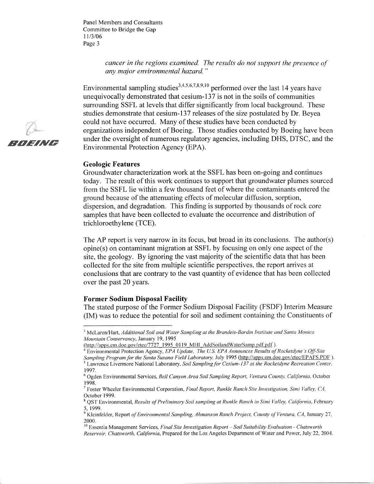> cancer in the regions examined. The results do not support the presence of any major environmental hazard."

Environmental sampling studies<sup>3,4,5,6,7,8,9,10</sup> performed over the last 14 years have unequivocally demonstrated that cesium-137 is not in the soils of communities surrounding SSFL at levels that differ significantly from local background. These studies demonstrate that cesium-137 releases of the size postulated by Dr. Beyea could not have occurred. Many of these studies have been conducted by organizations independent of Boeing. Those studies conducted by Boeing have been under the oversight of numerous regulatory agencies, including DHS, DTSC, and the Environmental Protection Agency (EPA).

#### **Geologic Features**

Groundwater characterization work at the SSFL has been on-going and continues today. The result of this work continues to support that groundwater plumes sourced from the SSFL lie within a few thousand feet of where the contaminants entered the ground because of the attenuating effects of molecular diffusion, sorption, dispersion, and degradation. This finding is supported by thousands of rock core samples that have been collected to evaluate the occurrence and distribution of trichloroethylene (TCE).

The AP report is very narrow in its focus, but broad in its conclusions. The author(s) opine(s) on contaminant migration at SSFL by focusing on only one aspect of the site, the geology. By ignoring the vast majority of the scientific data that has been collected for the site from multiple scientific perspectives, the report arrives at conclusions that are contrary to the vast quantity of evidence that has been collected over the past 20 years.

#### **Former Sodium Disposal Facility**

The stated purpose of the Former Sodium Disposal Facility (FSDF) Interim Measure (IM) was to reduce the potential for soil and sediment containing the Constituents of



<sup>&</sup>lt;sup>3</sup> McLaren/Hart, Additional Soil and Water Sampling at the Brandeis-Bardin Institute and Santa Monica Mountain Conservancy, January 19, 1995

<sup>(</sup>http://apps.em.doe.gov/etec/7727-1995-0119 MHI AddSoilandWaterSamp.pdf.pdf).

Environmental Protection Agency, EPA Update, The U.S. EPA Announces Results of Rocketdyne's Off-Site Sampling Program for the Santa Susana Field Laboratory, July 1995 (http://apps.em.doe.gov/etec/EPAFS.PDF).  $5$  Lawrence Livermore National Laboratory, Soil Sampling for Cesium-137 at the Rocketdyne Recreation Center, 1997.

<sup>&</sup>lt;sup>6</sup> Ogden Environmental Services, Bell Canyon Area Soil Sampling Report, Ventura County, California, October 1998.

<sup>&</sup>lt;sup>7</sup> Foster Wheeler Environmental Corporation, *Final Report, Runkle Ranch Site Investigation, Simi Valley, CA,* October 1999.

<sup>&</sup>lt;sup>8</sup> QST Environmental, Results of Preliminary Soil sampling at Runkle Ranch in Simi Valley, California, February 5.1999.

 $9$  Kleinfelder, Report of Environmental Sampling, Ahmanson Ranch Project, County of Ventura, CA, January 27, 2000

 $10$  Essentia Management Services, Final Site Investigation Report - Soil Suitability Evaluation - Chatsworth Reservoir, Chatsworth, California, Prepared for the Los Angeles Department of Water and Power, July 22, 2004.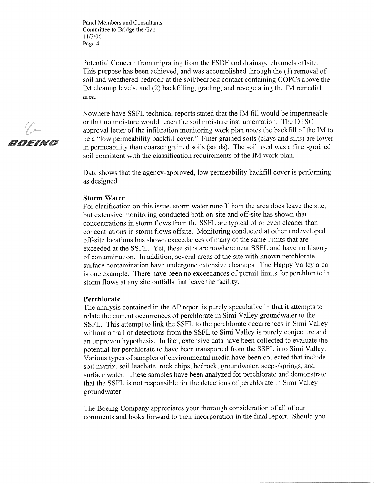Potential Concern from migrating from the FSDF and drainage channels offsite. This purpose has been achieved, and was accomplished through the (1) removal of soil and weathered bedrock at the soil/bedrock contact containing COPCs above the IM cleanup levels, and (2) backfilling, grading, and revegetating the IM remedial area.

Nowhere have SSFL technical reports stated that the IM fill would be impermeable or that no moisture would reach the soil moisture instrumentation. The DTSC approval letter of the infiltration monitoring work plan notes the backfill of the IM to be a "low permeability backfill cover." Finer grained soils (clays and silts) are lower in permeability than coarser grained soils (sands). The soil used was a finer-grained soil consistent with the classification requirements of the IM work plan.

Data shows that the agency-approved, low permeability backfill cover is performing as designed.

#### **Storm Water**

For clarification on this issue, storm water runoff from the area does leave the site, but extensive monitoring conducted both on-site and off-site has shown that concentrations in storm flows from the SSFL are typical of or even cleaner than concentrations in storm flows offsite. Monitoring conducted at other undeveloped off-site locations has shown exceedances of many of the same limits that are exceeded at the SSFL. Yet, these sites are nowhere near SSFL and have no history of contamination. In addition, several areas of the site with known perchlorate surface contamination have undergone extensive cleanups. The Happy Valley area is one example. There have been no exceedances of permit limits for perchlorate in storm flows at any site outfalls that leave the facility.

#### Perchlorate

The analysis contained in the AP report is purely speculative in that it attempts to relate the current occurrences of perchlorate in Simi Valley groundwater to the SSFL. This attempt to link the SSFL to the perchlorate occurrences in Simi Valley without a trail of detections from the SSFL to Simi Valley is purely conjecture and an unproven hypothesis. In fact, extensive data have been collected to evaluate the potential for perchlorate to have been transported from the SSFL into Simi Valley. Various types of samples of environmental media have been collected that include soil matrix, soil leachate, rock chips, bedrock, groundwater, seeps/springs, and surface water. These samples have been analyzed for perchlorate and demonstrate that the SSFL is not responsible for the detections of perchlorate in Simi Valley groundwater.

The Boeing Company appreciates your thorough consideration of all of our comments and looks forward to their incorporation in the final report. Should you

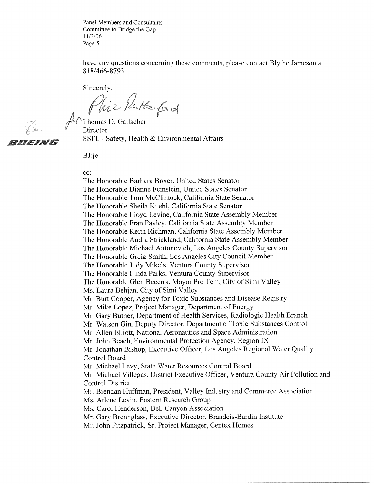have any questions concerning these comments, please contact Blythe Jameson at 818/466-8793.

Sincerely,

Phie Putterfad

RMFING

 $\mathcal{L}\cap$ Thomas D. Gallacher Director SSFL - Safety, Health & Environmental Affairs

BJ:je

#### cc:

The Honorable Barbara Boxer, United States Senator The Honorable Dianne Feinstein, United States Senator The Honorable Tom McClintock, California State Senator The Honorable Sheila Kuehl, California State Senator The Honorable Lloyd Levine, California State Assembly Member The Honorable Fran Pavley, California State Assembly Member The Honorable Keith Richman, California State Assembly Member The Honorable Audra Strickland, California State Assembly Member The Honorable Michael Antonovich, Los Angeles County Supervisor The Honorable Greig Smith, Los Angeles City Council Member The Honorable Judy Mikels, Ventura County Supervisor The Honorable Linda Parks, Ventura County Supervisor The Honorable Glen Becerra, Mayor Pro Tem, City of Simi Valley Ms. Laura Behjan, City of Simi Valley Mr. Burt Cooper, Agency for Toxic Substances and Disease Registry Mr. Mike Lopez, Project Manager, Department of Energy Mr. Gary Butner, Department of Health Services, Radiologic Health Branch Mr. Watson Gin, Deputy Director, Department of Toxic Substances Control Mr. Allen Elliott, National Aeronautics and Space Administration Mr. John Beach, Environmental Protection Agency, Region IX Mr. Jonathan Bishop, Executive Officer, Los Angeles Regional Water Quality **Control Board** Mr. Michael Levy, State Water Resources Control Board Mr. Michael Villegas, District Executive Officer, Ventura County Air Pollution and **Control District** Mr. Brendan Huffman, President, Valley Industry and Commerce Association Ms. Arlene Levin, Eastern Research Group Ms. Carol Henderson, Bell Canyon Association Mr. Gary Brennglass, Executive Director, Brandeis-Bardin Institute Mr. John Fitzpatrick, Sr. Project Manager, Centex Homes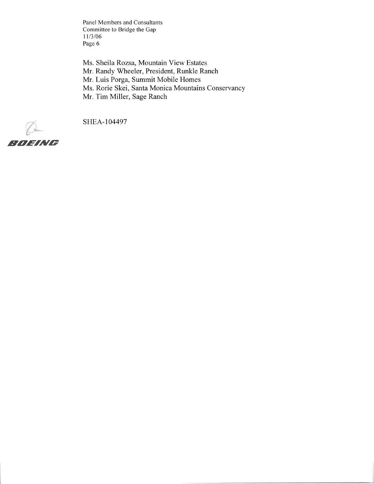Ms. Sheila Rozsa, Mountain View Estates Mr. Randy Wheeler, President, Runkle Ranch Mr. Luis Porga, Summit Mobile Homes Ms. Rorie Skei, Santa Monica Mountains Conservancy Mr. Tim Miller, Sage Ranch

SHEA-104497

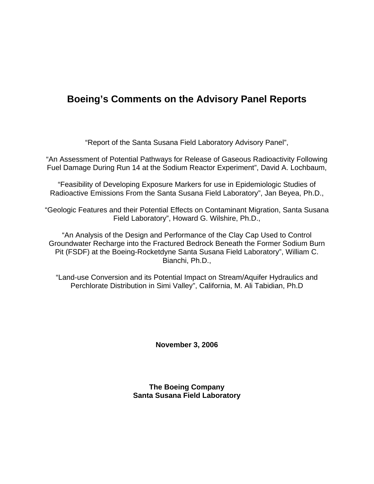# **Boeing's Comments on the Advisory Panel Reports**

"Report of the Santa Susana Field Laboratory Advisory Panel",

"An Assessment of Potential Pathways for Release of Gaseous Radioactivity Following Fuel Damage During Run 14 at the Sodium Reactor Experiment", David A. Lochbaum,

"Feasibility of Developing Exposure Markers for use in Epidemiologic Studies of Radioactive Emissions From the Santa Susana Field Laboratory", Jan Beyea, Ph.D.,

"Geologic Features and their Potential Effects on Contaminant Migration, Santa Susana Field Laboratory", Howard G. Wilshire, Ph.D.,

"An Analysis of the Design and Performance of the Clay Cap Used to Control Groundwater Recharge into the Fractured Bedrock Beneath the Former Sodium Burn Pit (FSDF) at the Boeing-Rocketdyne Santa Susana Field Laboratory", William C. Bianchi, Ph.D.,

"Land-use Conversion and its Potential Impact on Stream/Aquifer Hydraulics and Perchlorate Distribution in Simi Valley", California, M. Ali Tabidian, Ph.D

**November 3, 2006** 

**The Boeing Company Santa Susana Field Laboratory**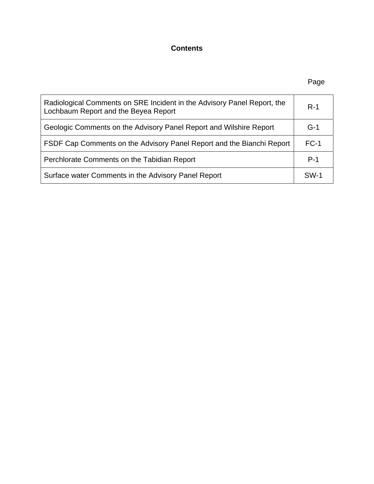### **Contents**

### en de la provincia de la provincia de la provincia de la provincia de la provincia de la provincia de la provi

| Radiological Comments on SRE Incident in the Advisory Panel Report, the<br>Lochbaum Report and the Beyea Report | $R-1$  |
|-----------------------------------------------------------------------------------------------------------------|--------|
| Geologic Comments on the Advisory Panel Report and Wilshire Report                                              | $G-1$  |
| FSDF Cap Comments on the Advisory Panel Report and the Bianchi Report                                           | $FC-1$ |
| Perchlorate Comments on the Tabidian Report                                                                     | $P-1$  |
| Surface water Comments in the Advisory Panel Report                                                             | SW-1   |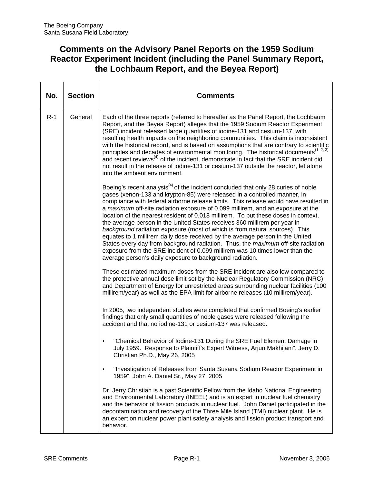### **Comments on the Advisory Panel Reports on the 1959 Sodium Reactor Experiment Incident (including the Panel Summary Report, the Lochbaum Report, and the Beyea Report)**

| No.   | <b>Section</b> | Comments                                                                                                                                                                                                                                                                                                                                                                                                                                                                                                                                                                                                                                                                                                                                                                                                                                                                                                                         |
|-------|----------------|----------------------------------------------------------------------------------------------------------------------------------------------------------------------------------------------------------------------------------------------------------------------------------------------------------------------------------------------------------------------------------------------------------------------------------------------------------------------------------------------------------------------------------------------------------------------------------------------------------------------------------------------------------------------------------------------------------------------------------------------------------------------------------------------------------------------------------------------------------------------------------------------------------------------------------|
| $R-1$ | General        | Each of the three reports (referred to hereafter as the Panel Report, the Lochbaum<br>Report, and the Beyea Report) alleges that the 1959 Sodium Reactor Experiment<br>(SRE) incident released large quantities of iodine-131 and cesium-137, with<br>resulting health impacts on the neighboring communities. This claim is inconsistent<br>with the historical record, and is based on assumptions that are contrary to scientific<br>principles and decades of environmental monitoring. The historical documents <sup>(1, 2, 3)</sup><br>and recent reviews <sup>(4)</sup> of the incident, demonstrate in fact that the SRE incident did<br>not result in the release of iodine-131 or cesium-137 outside the reactor, let alone<br>into the ambient environment.                                                                                                                                                           |
|       |                | Boeing's recent analysis <sup>(4)</sup> of the incident concluded that only 28 curies of noble<br>gases (xenon-133 and krypton-85) were released in a controlled manner, in<br>compliance with federal airborne release limits. This release would have resulted in<br>a maximum off-site radiation exposure of 0.099 millirem, and an exposure at the<br>location of the nearest resident of 0.018 millirem. To put these doses in context,<br>the average person in the United States receives 360 millirem per year in<br>background radiation exposure (most of which is from natural sources). This<br>equates to 1 millirem daily dose received by the average person in the United<br>States every day from background radiation. Thus, the <i>maximum</i> off-site radiation<br>exposure from the SRE incident of 0.099 millirem was 10 times lower than the<br>average person's daily exposure to background radiation. |
|       |                | These estimated maximum doses from the SRE incident are also low compared to<br>the protective annual dose limit set by the Nuclear Regulatory Commission (NRC)<br>and Department of Energy for unrestricted areas surrounding nuclear facilities (100<br>millirem/year) as well as the EPA limit for airborne releases (10 millirem/year).                                                                                                                                                                                                                                                                                                                                                                                                                                                                                                                                                                                      |
|       |                | In 2005, two independent studies were completed that confirmed Boeing's earlier<br>findings that only small quantities of noble gases were released following the<br>accident and that no iodine-131 or cesium-137 was released.                                                                                                                                                                                                                                                                                                                                                                                                                                                                                                                                                                                                                                                                                                 |
|       |                | "Chemical Behavior of Iodine-131 During the SRE Fuel Element Damage in<br>July 1959. Response to Plaintiff's Expert Witness, Arjun Makhijani", Jerry D.<br>Christian Ph.D., May 26, 2005                                                                                                                                                                                                                                                                                                                                                                                                                                                                                                                                                                                                                                                                                                                                         |
|       |                | "Investigation of Releases from Santa Susana Sodium Reactor Experiment in<br>$\bullet$<br>1959", John A. Daniel Sr., May 27, 2005                                                                                                                                                                                                                                                                                                                                                                                                                                                                                                                                                                                                                                                                                                                                                                                                |
|       |                | Dr. Jerry Christian is a past Scientific Fellow from the Idaho National Engineering<br>and Environmental Laboratory (INEEL) and is an expert in nuclear fuel chemistry<br>and the behavior of fission products in nuclear fuel. John Daniel participated in the<br>decontamination and recovery of the Three Mile Island (TMI) nuclear plant. He is<br>an expert on nuclear power plant safety analysis and fission product transport and<br>behavior.                                                                                                                                                                                                                                                                                                                                                                                                                                                                           |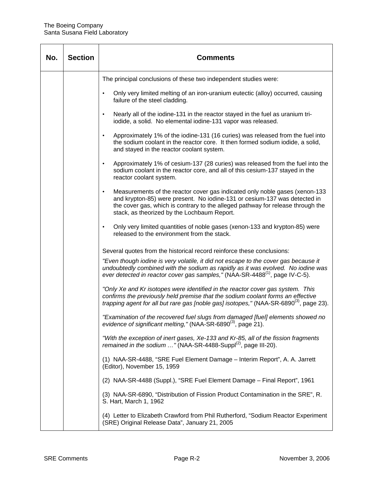| No. | <b>Section</b> | <b>Comments</b>                                                                                                                                                                                                                                                                                          |
|-----|----------------|----------------------------------------------------------------------------------------------------------------------------------------------------------------------------------------------------------------------------------------------------------------------------------------------------------|
|     |                | The principal conclusions of these two independent studies were:                                                                                                                                                                                                                                         |
|     |                | Only very limited melting of an iron-uranium eutectic (alloy) occurred, causing<br>$\bullet$<br>failure of the steel cladding.                                                                                                                                                                           |
|     |                | Nearly all of the iodine-131 in the reactor stayed in the fuel as uranium tri-<br>$\bullet$<br>iodide, a solid. No elemental iodine-131 vapor was released.                                                                                                                                              |
|     |                | Approximately 1% of the iodine-131 (16 curies) was released from the fuel into<br>$\bullet$<br>the sodium coolant in the reactor core. It then formed sodium iodide, a solid,<br>and stayed in the reactor coolant system.                                                                               |
|     |                | Approximately 1% of cesium-137 (28 curies) was released from the fuel into the<br>$\bullet$<br>sodium coolant in the reactor core, and all of this cesium-137 stayed in the<br>reactor coolant system.                                                                                                   |
|     |                | Measurements of the reactor cover gas indicated only noble gases (xenon-133)<br>$\bullet$<br>and krypton-85) were present. No iodine-131 or cesium-137 was detected in<br>the cover gas, which is contrary to the alleged pathway for release through the<br>stack, as theorized by the Lochbaum Report. |
|     |                | Only very limited quantities of noble gases (xenon-133 and krypton-85) were<br>$\bullet$<br>released to the environment from the stack.                                                                                                                                                                  |
|     |                | Several quotes from the historical record reinforce these conclusions:                                                                                                                                                                                                                                   |
|     |                | "Even though iodine is very volatile, it did not escape to the cover gas because it<br>undoubtedly combined with the sodium as rapidly as it was evolved. No iodine was<br>ever detected in reactor cover gas samples," (NAA-SR-4488 <sup>(1)</sup> , page IV-C-5).                                      |
|     |                | "Only Xe and Kr isotopes were identified in the reactor cover gas system. This<br>confirms the previously held premise that the sodium coolant forms an effective<br>trapping agent for all but rare gas [noble gas] isotopes," (NAA-SR-6890 <sup>(3)</sup> , page 23).                                  |
|     |                | "Examination of the recovered fuel slugs from damaged [fuel] elements showed no<br>evidence of significant melting," (NAA-SR-6890 <sup>(3)</sup> , page 21).                                                                                                                                             |
|     |                | "With the exception of inert gases, Xe-133 and Kr-85, all of the fission fragments<br>remained in the sodium " (NAA-SR-4488-Suppl <sup>(2)</sup> , page III-20).                                                                                                                                         |
|     |                | (1) NAA-SR-4488, "SRE Fuel Element Damage - Interim Report", A. A. Jarrett<br>(Editor), November 15, 1959                                                                                                                                                                                                |
|     |                | (2) NAA-SR-4488 (Suppl.), "SRE Fuel Element Damage - Final Report", 1961                                                                                                                                                                                                                                 |
|     |                | (3) NAA-SR-6890, "Distribution of Fission Product Contamination in the SRE", R.<br>S. Hart, March 1, 1962                                                                                                                                                                                                |
|     |                | (4) Letter to Elizabeth Crawford from Phil Rutherford, "Sodium Reactor Experiment<br>(SRE) Original Release Data", January 21, 2005                                                                                                                                                                      |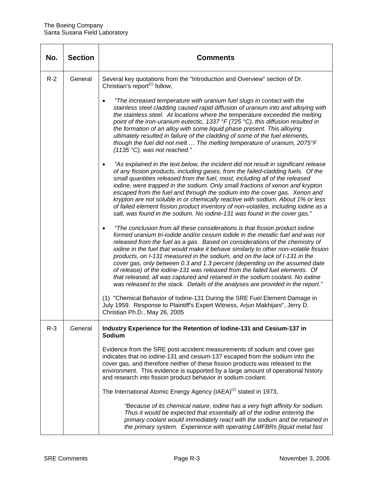| No.   | <b>Section</b> | Comments                                                                                                                                                                                                                                                                                                                                                                                                                                                                                                                                                                                                                                                                                                                                                |
|-------|----------------|---------------------------------------------------------------------------------------------------------------------------------------------------------------------------------------------------------------------------------------------------------------------------------------------------------------------------------------------------------------------------------------------------------------------------------------------------------------------------------------------------------------------------------------------------------------------------------------------------------------------------------------------------------------------------------------------------------------------------------------------------------|
| $R-2$ | General        | Several key quotations from the "Introduction and Overview" section of Dr.<br>Christian's report <sup>(1)</sup> follow,                                                                                                                                                                                                                                                                                                                                                                                                                                                                                                                                                                                                                                 |
|       |                | "The increased temperature with uranium fuel slugs in contact with the<br>stainless steel cladding caused rapid diffusion of uranium into and alloying with<br>the stainless steel. At locations where the temperature exceeded the melting<br>point of the iron-uranium eutectic, 1337 °F (725 °C), this diffusion resulted in<br>the formation of an alloy with some liquid phase present. This alloying<br>ultimately resulted in failure of the cladding of some of the fuel elements,<br>though the fuel did not melt  The melting temperature of uranium, 2075°F<br>(1135 °C), was not reached."                                                                                                                                                  |
|       |                | "As explained in the text below, the incident did not result in significant release<br>$\bullet$<br>of any fission products, including gases, from the failed-cladding fuels. Of the<br>small quantities released from the fuel, most, including all of the released<br>iodine, were trapped in the sodium. Only small fractions of xenon and krypton<br>escaped from the fuel and through the sodium into the cover gas. Xenon and<br>krypton are not soluble in or chemically reactive with sodium. About 1% or less<br>of failed element fission product inventory of non-volatiles, including iodine as a<br>salt, was found in the sodium. No iodine-131 was found in the cover gas."                                                              |
|       |                | "The conclusion from all these considerations is that fission product iodine<br>formed uranium tri-iodide and/or cesium iodide in the metallic fuel and was not<br>released from the fuel as a gas. Based on considerations of the chemistry of<br>iodine in the fuel that would make it behave similarly to other non-volatile fission<br>products, on I-131 measured in the sodium, and on the lack of I-131 in the<br>cover gas, only between 0.3 and 1.3 percent (depending on the assumed date<br>of release) of the iodine-131 was released from the failed fuel elements. Of<br>that released, all was captured and retained in the sodium coolant. No iodine<br>was released to the stack. Details of the analyses are provided in the report." |
|       |                | (1) "Chemical Behavior of Iodine-131 During the SRE Fuel Element Damage in<br>July 1959. Response to Plaintiff's Expert Witness, Arjun Makhijani", Jerry D.<br>Christian Ph.D., May 26, 2005                                                                                                                                                                                                                                                                                                                                                                                                                                                                                                                                                            |
| $R-3$ | General        | Industry Experience for the Retention of Iodine-131 and Cesium-137 in<br><b>Sodium</b>                                                                                                                                                                                                                                                                                                                                                                                                                                                                                                                                                                                                                                                                  |
|       |                | Evidence from the SRE post-accident measurements of sodium and cover gas<br>indicates that no iodine-131 and cesium-137 escaped from the sodium into the<br>cover gas, and therefore neither of these fission products was released to the<br>environment. This evidence is supported by a large amount of operational history<br>and research into fission product behavior in sodium coolant.                                                                                                                                                                                                                                                                                                                                                         |
|       |                | The International Atomic Energy Agency (IAEA) <sup>(1)</sup> stated in 1973,                                                                                                                                                                                                                                                                                                                                                                                                                                                                                                                                                                                                                                                                            |
|       |                | "Because of its chemical nature, iodine has a very high affinity for sodium.<br>Thus it would be expected that essentially all of the iodine entering the<br>primary coolant would immediately react with the sodium and be retained in<br>the primary system. Experience with operating LMFBRs [liquid metal fast                                                                                                                                                                                                                                                                                                                                                                                                                                      |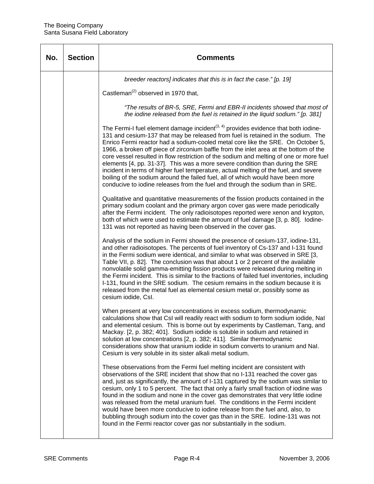| No. | <b>Section</b> | <b>Comments</b>                                                                                                                                                                                                                                                                                                                                                                                                                                                                                                                                                                                                                                                                                                                                                                                                     |
|-----|----------------|---------------------------------------------------------------------------------------------------------------------------------------------------------------------------------------------------------------------------------------------------------------------------------------------------------------------------------------------------------------------------------------------------------------------------------------------------------------------------------------------------------------------------------------------------------------------------------------------------------------------------------------------------------------------------------------------------------------------------------------------------------------------------------------------------------------------|
|     |                | breeder reactors] indicates that this is in fact the case." [p. 19]                                                                                                                                                                                                                                                                                                                                                                                                                                                                                                                                                                                                                                                                                                                                                 |
|     |                | Castleman <sup>(2)</sup> observed in 1970 that,                                                                                                                                                                                                                                                                                                                                                                                                                                                                                                                                                                                                                                                                                                                                                                     |
|     |                | "The results of BR-5, SRE, Fermi and EBR-II incidents showed that most of<br>the iodine released from the fuel is retained in the liquid sodium." [p. 381]                                                                                                                                                                                                                                                                                                                                                                                                                                                                                                                                                                                                                                                          |
|     |                | The Fermi-I fuel element damage incident <sup><math>(3, 4)</math></sup> provides evidence that both iodine-<br>131 and cesium-137 that may be released from fuel is retained in the sodium. The<br>Enrico Fermi reactor had a sodium-cooled metal core like the SRE. On October 5,<br>1966, a broken off piece of zirconium baffle from the inlet area at the bottom of the<br>core vessel resulted in flow restriction of the sodium and melting of one or more fuel<br>elements [4, pp. 31-37]. This was a more severe condition than during the SRE<br>incident in terms of higher fuel temperature, actual melting of the fuel, and severe<br>boiling of the sodium around the failed fuel, all of which would have been more<br>conducive to iodine releases from the fuel and through the sodium than in SRE. |
|     |                | Qualitative and quantitative measurements of the fission products contained in the<br>primary sodium coolant and the primary argon cover gas were made periodically<br>after the Fermi incident. The only radioisotopes reported were xenon and krypton,<br>both of which were used to estimate the amount of fuel damage [3, p. 80]. lodine-<br>131 was not reported as having been observed in the cover gas.                                                                                                                                                                                                                                                                                                                                                                                                     |
|     |                | Analysis of the sodium in Fermi showed the presence of cesium-137, iodine-131,<br>and other radioisotopes. The percents of fuel inventory of Cs-137 and I-131 found<br>in the Fermi sodium were identical, and similar to what was observed in SRE [3,<br>Table VII, p. 82]. The conclusion was that about 1 or 2 percent of the available<br>nonvolatile solid gamma-emitting fission products were released during melting in<br>the Fermi incident. This is similar to the fractions of failed fuel inventories, including<br>I-131, found in the SRE sodium. The cesium remains in the sodium because it is<br>released from the metal fuel as elemental cesium metal or, possibly some as<br>cesium iodide, Csl.                                                                                               |
|     |                | When present at very low concentrations in excess sodium, thermodynamic<br>calculations show that CsI will readily react with sodium to form sodium iodide, NaI<br>and elemental cesium. This is borne out by experiments by Castleman, Tang, and<br>Mackay. [2, p. 382; 401]. Sodium iodide is soluble in sodium and retained in<br>solution at low concentrations [2, p. 382; 411]. Similar thermodynamic<br>considerations show that uranium iodide in sodium converts to uranium and Nal.<br>Cesium is very soluble in its sister alkali metal sodium.                                                                                                                                                                                                                                                          |
|     |                | These observations from the Fermi fuel melting incident are consistent with<br>observations of the SRE incident that show that no I-131 reached the cover gas<br>and, just as significantly, the amount of I-131 captured by the sodium was similar to<br>cesium, only 1 to 5 percent. The fact that only a fairly small fraction of iodine was<br>found in the sodium and none in the cover gas demonstrates that very little iodine<br>was released from the metal uranium fuel. The conditions in the Fermi incident<br>would have been more conducive to iodine release from the fuel and, also, to<br>bubbling through sodium into the cover gas than in the SRE. lodine-131 was not<br>found in the Fermi reactor cover gas nor substantially in the sodium.                                                  |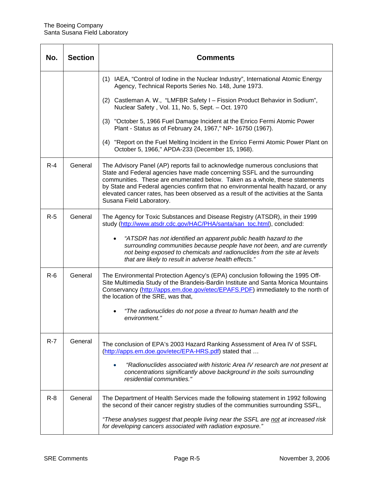| No.   | <b>Section</b> | <b>Comments</b>                                                                                                                                                                                                                                                                                                                                                                                                                                  |
|-------|----------------|--------------------------------------------------------------------------------------------------------------------------------------------------------------------------------------------------------------------------------------------------------------------------------------------------------------------------------------------------------------------------------------------------------------------------------------------------|
|       |                | (1) IAEA, "Control of Iodine in the Nuclear Industry", International Atomic Energy<br>Agency, Technical Reports Series No. 148, June 1973.                                                                                                                                                                                                                                                                                                       |
|       |                | (2) Castleman A. W., "LMFBR Safety I - Fission Product Behavior in Sodium",<br>Nuclear Safety, Vol. 11, No. 5, Sept. - Oct. 1970                                                                                                                                                                                                                                                                                                                 |
|       |                | (3) "October 5, 1966 Fuel Damage Incident at the Enrico Fermi Atomic Power<br>Plant - Status as of February 24, 1967," NP- 16750 (1967).                                                                                                                                                                                                                                                                                                         |
|       |                | (4) "Report on the Fuel Melting Incident in the Enrico Fermi Atomic Power Plant on<br>October 5, 1966," APDA-233 (December 15, 1968).                                                                                                                                                                                                                                                                                                            |
| $R-4$ | General        | The Advisory Panel (AP) reports fail to acknowledge numerous conclusions that<br>State and Federal agencies have made concerning SSFL and the surrounding<br>communities. These are enumerated below. Taken as a whole, these statements<br>by State and Federal agencies confirm that no environmental health hazard, or any<br>elevated cancer rates, has been observed as a result of the activities at the Santa<br>Susana Field Laboratory. |
| $R-5$ | General        | The Agency for Toxic Substances and Disease Registry (ATSDR), in their 1999<br>study (http://www.atsdr.cdc.gov/HAC/PHA/santa/san_toc.html), concluded:                                                                                                                                                                                                                                                                                           |
|       |                | "ATSDR has not identified an apparent public health hazard to the<br>surrounding communities because people have not been, and are currently<br>not being exposed to chemicals and radionuclides from the site at levels<br>that are likely to result in adverse health effects."                                                                                                                                                                |
| $R-6$ | General        | The Environmental Protection Agency's (EPA) conclusion following the 1995 Off-<br>Site Multimedia Study of the Brandeis-Bardin Institute and Santa Monica Mountains<br>Conservancy (http://apps.em.doe.gov/etec/EPAFS.PDF) immediately to the north of<br>the location of the SRE, was that,                                                                                                                                                     |
|       |                | "The radionuclides do not pose a threat to human health and the<br>environment."                                                                                                                                                                                                                                                                                                                                                                 |
| $R-7$ | General        | The conclusion of EPA's 2003 Hazard Ranking Assessment of Area IV of SSFL<br>(http://apps.em.doe.gov/etec/EPA-HRS.pdf) stated that                                                                                                                                                                                                                                                                                                               |
|       |                | "Radionuclides associated with historic Area IV research are not present at<br>concentrations significantly above background in the soils surrounding<br>residential communities."                                                                                                                                                                                                                                                               |
| $R-8$ | General        | The Department of Health Services made the following statement in 1992 following<br>the second of their cancer registry studies of the communities surrounding SSFL,                                                                                                                                                                                                                                                                             |
|       |                | "These analyses suggest that people living near the SSFL are not at increased risk<br>for developing cancers associated with radiation exposure."                                                                                                                                                                                                                                                                                                |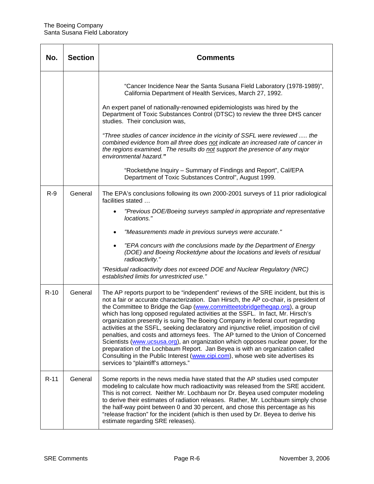| No.    | <b>Section</b> | Comments                                                                                                                                                                                                                                                                                                                                                                                                                                                                                                                                                                                                                                                                                                                                                                                                                                                                                                    |
|--------|----------------|-------------------------------------------------------------------------------------------------------------------------------------------------------------------------------------------------------------------------------------------------------------------------------------------------------------------------------------------------------------------------------------------------------------------------------------------------------------------------------------------------------------------------------------------------------------------------------------------------------------------------------------------------------------------------------------------------------------------------------------------------------------------------------------------------------------------------------------------------------------------------------------------------------------|
|        |                | "Cancer Incidence Near the Santa Susana Field Laboratory (1978-1989)",<br>California Department of Health Services, March 27, 1992.<br>An expert panel of nationally-renowned epidemiologists was hired by the<br>Department of Toxic Substances Control (DTSC) to review the three DHS cancer<br>studies. Their conclusion was,<br>"Three studies of cancer incidence in the vicinity of SSFL were reviewed  the<br>combined evidence from all three does not indicate an increased rate of cancer in<br>the regions examined. The results do not support the presence of any major<br>environmental hazard."<br>"Rocketdyne Inquiry - Summary of Findings and Report", Cal/EPA<br>Department of Toxic Substances Control", August 1999.                                                                                                                                                                   |
| $R-9$  | General        | The EPA's conclusions following its own 2000-2001 surveys of 11 prior radiological<br>facilities stated<br>"Previous DOE/Boeing surveys sampled in appropriate and representative<br>locations."<br>"Measurements made in previous surveys were accurate."<br>"EPA concurs with the conclusions made by the Department of Energy<br>$\bullet$<br>(DOE) and Boeing Rocketdyne about the locations and levels of residual<br>radioactivity."<br>"Residual radioactivity does not exceed DOE and Nuclear Regulatory (NRC)<br>established limits for unrestricted use."                                                                                                                                                                                                                                                                                                                                         |
| $R-10$ | General        | The AP reports purport to be "independent" reviews of the SRE incident, but this is<br>not a fair or accurate characterization. Dan Hirsch, the AP co-chair, is president of<br>the Committee to Bridge the Gap (www.committeetobridgethegap.org), a group<br>which has long opposed regulated activities at the SSFL. In fact, Mr. Hirsch's<br>organization presently is suing The Boeing Company in federal court regarding<br>activities at the SSFL, seeking declaratory and injunctive relief, imposition of civil<br>penalties, and costs and attorneys fees. The AP turned to the Union of Concerned<br>Scientists (www.ucsusa.org), an organization which opposes nuclear power, for the<br>preparation of the Lochbaum Report. Jan Beyea is with an organization called<br>Consulting in the Public Interest (www.cipi.com), whose web site advertises its<br>services to "plaintiff's attorneys." |
| $R-11$ | General        | Some reports in the news media have stated that the AP studies used computer<br>modeling to calculate how much radioactivity was released from the SRE accident.<br>This is not correct. Neither Mr. Lochbaum nor Dr. Beyea used computer modeling<br>to derive their estimates of radiation releases. Rather, Mr. Lochbaum simply chose<br>the half-way point between 0 and 30 percent, and chose this percentage as his<br>"release fraction" for the incident (which is then used by Dr. Beyea to derive his<br>estimate regarding SRE releases).                                                                                                                                                                                                                                                                                                                                                        |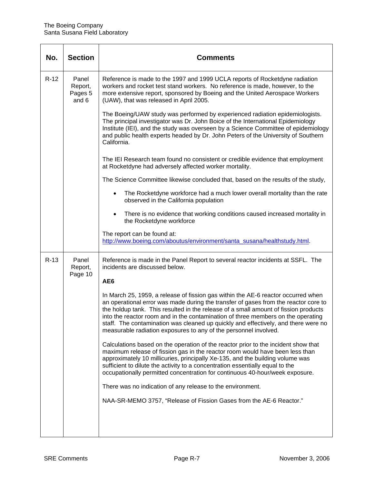| No.    | <b>Section</b>                       | <b>Comments</b>                                                                                                                                                                                                                                                                                                                                                                                                                                                                                               |
|--------|--------------------------------------|---------------------------------------------------------------------------------------------------------------------------------------------------------------------------------------------------------------------------------------------------------------------------------------------------------------------------------------------------------------------------------------------------------------------------------------------------------------------------------------------------------------|
| $R-12$ | Panel<br>Report,<br>Pages 5<br>and 6 | Reference is made to the 1997 and 1999 UCLA reports of Rocketdyne radiation<br>workers and rocket test stand workers. No reference is made, however, to the<br>more extensive report, sponsored by Boeing and the United Aerospace Workers<br>(UAW), that was released in April 2005.                                                                                                                                                                                                                         |
|        |                                      | The Boeing/UAW study was performed by experienced radiation epidemiologists.<br>The principal investigator was Dr. John Boice of the International Epidemiology<br>Institute (IEI), and the study was overseen by a Science Committee of epidemiology<br>and public health experts headed by Dr. John Peters of the University of Southern<br>California.                                                                                                                                                     |
|        |                                      | The IEI Research team found no consistent or credible evidence that employment<br>at Rocketdyne had adversely affected worker mortality.                                                                                                                                                                                                                                                                                                                                                                      |
|        |                                      | The Science Committee likewise concluded that, based on the results of the study,                                                                                                                                                                                                                                                                                                                                                                                                                             |
|        |                                      | The Rocketdyne workforce had a much lower overall mortality than the rate<br>observed in the California population                                                                                                                                                                                                                                                                                                                                                                                            |
|        |                                      | There is no evidence that working conditions caused increased mortality in<br>the Rocketdyne workforce                                                                                                                                                                                                                                                                                                                                                                                                        |
|        |                                      | The report can be found at:<br>http://www.boeing.com/aboutus/environment/santa_susana/healthstudy.html.                                                                                                                                                                                                                                                                                                                                                                                                       |
| $R-13$ | Panel<br>Report,<br>Page 10          | Reference is made in the Panel Report to several reactor incidents at SSFL. The<br>incidents are discussed below.                                                                                                                                                                                                                                                                                                                                                                                             |
|        |                                      | AE <sub>6</sub>                                                                                                                                                                                                                                                                                                                                                                                                                                                                                               |
|        |                                      | In March 25, 1959, a release of fission gas within the AE-6 reactor occurred when<br>an operational error was made during the transfer of gases from the reactor core to<br>the holdup tank. This resulted in the release of a small amount of fission products<br>into the reactor room and in the contamination of three members on the operating<br>staff. The contamination was cleaned up quickly and effectively, and there were no<br>measurable radiation exposures to any of the personnel involved. |
|        |                                      | Calculations based on the operation of the reactor prior to the incident show that<br>maximum release of fission gas in the reactor room would have been less than<br>approximately 10 millicuries, principally Xe-135, and the building volume was<br>sufficient to dilute the activity to a concentration essentially equal to the<br>occupationally permitted concentration for continuous 40-hour/week exposure.                                                                                          |
|        |                                      | There was no indication of any release to the environment.                                                                                                                                                                                                                                                                                                                                                                                                                                                    |
|        |                                      | NAA-SR-MEMO 3757, "Release of Fission Gases from the AE-6 Reactor."                                                                                                                                                                                                                                                                                                                                                                                                                                           |
|        |                                      |                                                                                                                                                                                                                                                                                                                                                                                                                                                                                                               |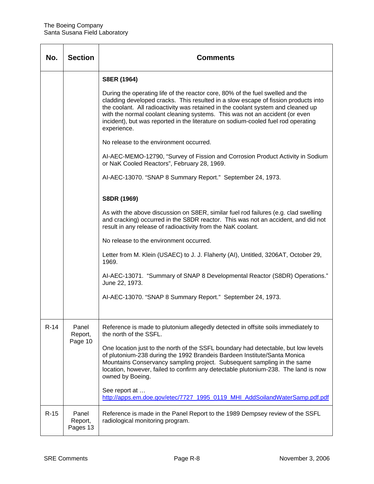| No.    | <b>Section</b>               | Comments                                                                                                                                                                                                                                                                                                                                                                                                                                    |
|--------|------------------------------|---------------------------------------------------------------------------------------------------------------------------------------------------------------------------------------------------------------------------------------------------------------------------------------------------------------------------------------------------------------------------------------------------------------------------------------------|
|        |                              | S8ER (1964)                                                                                                                                                                                                                                                                                                                                                                                                                                 |
|        |                              | During the operating life of the reactor core, 80% of the fuel swelled and the<br>cladding developed cracks. This resulted in a slow escape of fission products into<br>the coolant. All radioactivity was retained in the coolant system and cleaned up<br>with the normal coolant cleaning systems. This was not an accident (or even<br>incident), but was reported in the literature on sodium-cooled fuel rod operating<br>experience. |
|        |                              | No release to the environment occurred.                                                                                                                                                                                                                                                                                                                                                                                                     |
|        |                              | Al-AEC-MEMO-12790, "Survey of Fission and Corrosion Product Activity in Sodium<br>or NaK Cooled Reactors", February 28, 1969.                                                                                                                                                                                                                                                                                                               |
|        |                              | Al-AEC-13070. "SNAP 8 Summary Report." September 24, 1973.                                                                                                                                                                                                                                                                                                                                                                                  |
|        |                              | S8DR (1969)                                                                                                                                                                                                                                                                                                                                                                                                                                 |
|        |                              | As with the above discussion on S8ER, similar fuel rod failures (e.g. clad swelling<br>and cracking) occurred in the S8DR reactor. This was not an accident, and did not<br>result in any release of radioactivity from the NaK coolant.                                                                                                                                                                                                    |
|        |                              | No release to the environment occurred.                                                                                                                                                                                                                                                                                                                                                                                                     |
|        |                              | Letter from M. Klein (USAEC) to J. J. Flaherty (AI), Untitled, 3206AT, October 29,<br>1969.                                                                                                                                                                                                                                                                                                                                                 |
|        |                              | AI-AEC-13071. "Summary of SNAP 8 Developmental Reactor (S8DR) Operations."<br>June 22, 1973.                                                                                                                                                                                                                                                                                                                                                |
|        |                              | AI-AEC-13070. "SNAP 8 Summary Report." September 24, 1973.                                                                                                                                                                                                                                                                                                                                                                                  |
|        |                              |                                                                                                                                                                                                                                                                                                                                                                                                                                             |
| $R-14$ | Panel<br>Report,<br>Page 10  | Reference is made to plutonium allegedly detected in offsite soils immediately to<br>the north of the SSFL.                                                                                                                                                                                                                                                                                                                                 |
|        |                              | One location just to the north of the SSFL boundary had detectable, but low levels<br>of plutonium-238 during the 1992 Brandeis Bardeen Institute/Santa Monica<br>Mountains Conservancy sampling project. Subsequent sampling in the same<br>location, however, failed to confirm any detectable plutonium-238. The land is now<br>owned by Boeing.                                                                                         |
|        |                              | See report at<br>http://apps.em.doe.gov/etec/7727_1995_0119_MHI_AddSoilandWaterSamp.pdf.pdf                                                                                                                                                                                                                                                                                                                                                 |
| $R-15$ | Panel<br>Report,<br>Pages 13 | Reference is made in the Panel Report to the 1989 Dempsey review of the SSFL<br>radiological monitoring program.                                                                                                                                                                                                                                                                                                                            |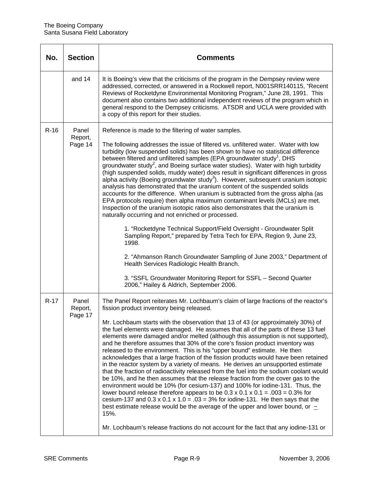| No.    | <b>Section</b>              | <b>Comments</b>                                                                                                                                                                                                                                                                                                                                                                                                                                                                                                                                                                                                                                                                                                                                                                                                                                                                                                                                                                                                                                                                                                                                                                                                                                                                                                                                                                                         |
|--------|-----------------------------|---------------------------------------------------------------------------------------------------------------------------------------------------------------------------------------------------------------------------------------------------------------------------------------------------------------------------------------------------------------------------------------------------------------------------------------------------------------------------------------------------------------------------------------------------------------------------------------------------------------------------------------------------------------------------------------------------------------------------------------------------------------------------------------------------------------------------------------------------------------------------------------------------------------------------------------------------------------------------------------------------------------------------------------------------------------------------------------------------------------------------------------------------------------------------------------------------------------------------------------------------------------------------------------------------------------------------------------------------------------------------------------------------------|
|        | and 14                      | It is Boeing's view that the criticisms of the program in the Dempsey review were<br>addressed, corrected, or answered in a Rockwell report, N001SRR140115, "Recent<br>Reviews of Rocketdyne Environmental Monitoring Program," June 28, 1991. This<br>document also contains two additional independent reviews of the program which in<br>general respond to the Dempsey criticisms. ATSDR and UCLA were provided with<br>a copy of this report for their studies.                                                                                                                                                                                                                                                                                                                                                                                                                                                                                                                                                                                                                                                                                                                                                                                                                                                                                                                                    |
| $R-16$ | Panel<br>Report,<br>Page 14 | Reference is made to the filtering of water samples.<br>The following addresses the issue of filtered vs. unfiltered water. Water with low<br>turbidity (low suspended solids) has been shown to have no statistical difference<br>between filtered and unfiltered samples (EPA groundwater study <sup>1</sup> , DHS<br>groundwater study <sup>2</sup> , and Boeing surface water studies). Water with high turbidity<br>(high suspended solids, muddy water) does result in significant differences in gross<br>alpha activity (Boeing groundwater study <sup>3</sup> ). However, subsequent uranium isotopic<br>analysis has demonstrated that the uranium content of the suspended solids<br>accounts for the difference. When uranium is subtracted from the gross alpha (as<br>EPA protocols require) then alpha maximum contaminant levels (MCLs) are met.<br>Inspection of the uranium isotopic ratios also demonstrates that the uranium is<br>naturally occurring and not enriched or processed.<br>1. "Rocketdyne Technical Support/Field Oversight - Groundwater Split<br>Sampling Report," prepared by Tetra Tech for EPA, Region 9, June 23,<br>1998.<br>2. "Ahmanson Ranch Groundwater Sampling of June 2003," Department of<br>Health Services Radiologic Health Branch.<br>3. "SSFL Groundwater Monitoring Report for SSFL - Second Quarter<br>2006," Hailey & Aldrich, September 2006. |
| $R-17$ | Panel<br>Report,<br>Page 17 | The Panel Report reiterates Mr. Lochbaum's claim of large fractions of the reactor's<br>fission product inventory being released.<br>Mr. Lochbaum starts with the observation that 13 of 43 (or approximately 30%) of<br>the fuel elements were damaged. He assumes that all of the parts of these 13 fuel<br>elements were damaged and/or melted (although this assumption is not supported),<br>and he therefore assumes that 30% of the core's fission product inventory was<br>released to the environment. This is his "upper bound" estimate. He then<br>acknowledges that a large fraction of the fission products would have been retained<br>in the reactor system by a variety of means. He derives an unsupported estimate<br>that the fraction of radioactivity released from the fuel into the sodium coolant would<br>be 10%, and he then assumes that the release fraction from the cover gas to the<br>environment would be 10% (for cesium-137) and 100% for iodine-131. Thus, the<br>lower bound release therefore appears to be $0.3 \times 0.1 \times 0.1 = 0.03 = 0.3\%$ for<br>cesium-137 and $0.3 \times 0.1 \times 1.0 = .03 = 3\%$ for iodine-131. He then says that the<br>best estimate release would be the average of the upper and lower bound, or $\sim$<br>15%.<br>Mr. Lochbaum's release fractions do not account for the fact that any iodine-131 or                  |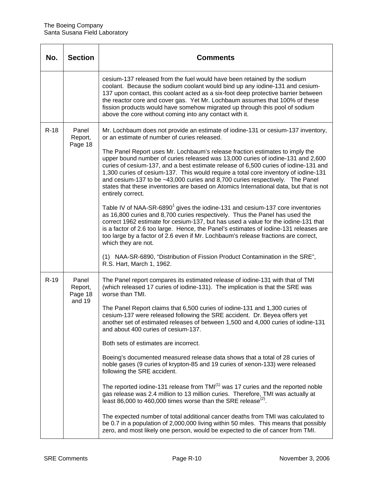| No.    | <b>Section</b>                        | <b>Comments</b>                                                                                                                                                                                                                                                                                                                                                                                                                                                                                                                                                                                                                                                                                                                                                                                                                                                                                                                                                                                                                                                                                                                                                                                                                                    |
|--------|---------------------------------------|----------------------------------------------------------------------------------------------------------------------------------------------------------------------------------------------------------------------------------------------------------------------------------------------------------------------------------------------------------------------------------------------------------------------------------------------------------------------------------------------------------------------------------------------------------------------------------------------------------------------------------------------------------------------------------------------------------------------------------------------------------------------------------------------------------------------------------------------------------------------------------------------------------------------------------------------------------------------------------------------------------------------------------------------------------------------------------------------------------------------------------------------------------------------------------------------------------------------------------------------------|
|        |                                       | cesium-137 released from the fuel would have been retained by the sodium<br>coolant. Because the sodium coolant would bind up any iodine-131 and cesium-<br>137 upon contact, this coolant acted as a six-foot deep protective barrier between<br>the reactor core and cover gas. Yet Mr. Lochbaum assumes that 100% of these<br>fission products would have somehow migrated up through this pool of sodium<br>above the core without coming into any contact with it.                                                                                                                                                                                                                                                                                                                                                                                                                                                                                                                                                                                                                                                                                                                                                                            |
| $R-18$ | Panel<br>Report,<br>Page 18           | Mr. Lochbaum does not provide an estimate of iodine-131 or cesium-137 inventory,<br>or an estimate of number of curies released.<br>The Panel Report uses Mr. Lochbaum's release fraction estimates to imply the<br>upper bound number of curies released was 13,000 curies of iodine-131 and 2,600<br>curies of cesium-137, and a best estimate release of 6,500 curies of iodine-131 and<br>1,300 curies of cesium-137. This would require a total core inventory of iodine-131<br>and cesium-137 to be ~43,000 curies and 8,700 curies respectively. The Panel<br>states that these inventories are based on Atomics International data, but that is not<br>entirely correct.                                                                                                                                                                                                                                                                                                                                                                                                                                                                                                                                                                   |
|        |                                       | Table IV of NAA-SR-6890 <sup>1</sup> gives the iodine-131 and cesium-137 core inventories<br>as 16,800 curies and 8,700 curies respectively. Thus the Panel has used the<br>correct 1962 estimate for cesium-137, but has used a value for the iodine-131 that<br>is a factor of 2.6 too large. Hence, the Panel's estimates of iodine-131 releases are<br>too large by a factor of 2.6 even if Mr. Lochbaum's release fractions are correct,<br>which they are not.<br>(1) NAA-SR-6890, "Distribution of Fission Product Contamination in the SRE",<br>R.S. Hart, March 1, 1962.                                                                                                                                                                                                                                                                                                                                                                                                                                                                                                                                                                                                                                                                  |
| $R-19$ | Panel<br>Report,<br>Page 18<br>and 19 | The Panel report compares its estimated release of iodine-131 with that of TMI<br>(which released 17 curies of iodine-131). The implication is that the SRE was<br>worse than TMI.<br>The Panel Report claims that 6,500 curies of iodine-131 and 1,300 curies of<br>cesium-137 were released following the SRE accident. Dr. Beyea offers yet<br>another set of estimated releases of between 1,500 and 4,000 curies of iodine-131<br>and about 400 curies of cesium-137.<br>Both sets of estimates are incorrect.<br>Boeing's documented measured release data shows that a total of 28 curies of<br>noble gases (9 curies of krypton-85 and 19 curies of xenon-133) were released<br>following the SRE accident.<br>The reported iodine-131 release from TMI <sup>(1)</sup> was 17 curies and the reported noble<br>gas release was 2.4 million to 13 million curies. Therefore, TMI was actually at<br>least 86,000 to 460,000 times worse than the SRE release <sup>(2)</sup> .<br>The expected number of total additional cancer deaths from TMI was calculated to<br>be 0.7 in a population of 2,000,000 living within 50 miles. This means that possibly<br>zero, and most likely one person, would be expected to die of cancer from TMI. |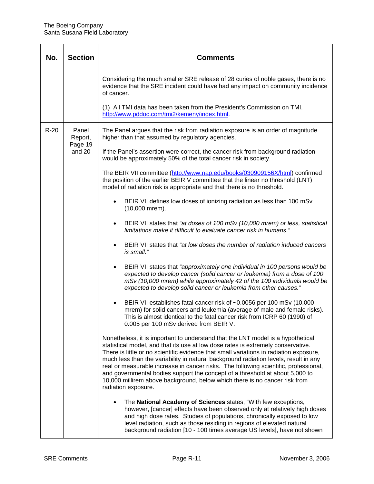| No.    | <b>Section</b>                        | <b>Comments</b>                                                                                                                                                                                                                                                                                                                                                                                                                                                                                                                                                                                                                    |
|--------|---------------------------------------|------------------------------------------------------------------------------------------------------------------------------------------------------------------------------------------------------------------------------------------------------------------------------------------------------------------------------------------------------------------------------------------------------------------------------------------------------------------------------------------------------------------------------------------------------------------------------------------------------------------------------------|
|        |                                       | Considering the much smaller SRE release of 28 curies of noble gases, there is no<br>evidence that the SRE incident could have had any impact on community incidence<br>of cancer.                                                                                                                                                                                                                                                                                                                                                                                                                                                 |
|        |                                       | (1) All TMI data has been taken from the President's Commission on TMI.<br>http://www.pddoc.com/tmi2/kemeny/index.html.                                                                                                                                                                                                                                                                                                                                                                                                                                                                                                            |
| $R-20$ | Panel<br>Report,<br>Page 19<br>and 20 | The Panel argues that the risk from radiation exposure is an order of magnitude<br>higher than that assumed by regulatory agencies.                                                                                                                                                                                                                                                                                                                                                                                                                                                                                                |
|        |                                       | If the Panel's assertion were correct, the cancer risk from background radiation<br>would be approximately 50% of the total cancer risk in society.                                                                                                                                                                                                                                                                                                                                                                                                                                                                                |
|        |                                       | The BEIR VII committee (http://www.nap.edu/books/030909156X/html) confirmed<br>the position of the earlier BEIR V committee that the linear no threshold (LNT)<br>model of radiation risk is appropriate and that there is no threshold.                                                                                                                                                                                                                                                                                                                                                                                           |
|        |                                       | BEIR VII defines low doses of ionizing radiation as less than 100 mSv<br>(10,000 mrem).                                                                                                                                                                                                                                                                                                                                                                                                                                                                                                                                            |
|        |                                       | BEIR VII states that "at doses of 100 mSv (10,000 mrem) or less, statistical<br>limitations make it difficult to evaluate cancer risk in humans."                                                                                                                                                                                                                                                                                                                                                                                                                                                                                  |
|        |                                       | BEIR VII states that "at low doses the number of radiation induced cancers<br>$\bullet$<br>is small."                                                                                                                                                                                                                                                                                                                                                                                                                                                                                                                              |
|        |                                       | BEIR VII states that "approximately one individual in 100 persons would be<br>$\bullet$<br>expected to develop cancer (solid cancer or leukemia) from a dose of 100<br>mSv (10,000 mrem) while approximately 42 of the 100 individuals would be<br>expected to develop solid cancer or leukemia from other causes."                                                                                                                                                                                                                                                                                                                |
|        |                                       | BEIR VII establishes fatal cancer risk of ~0.0056 per 100 mSv (10,000<br>$\bullet$<br>mrem) for solid cancers and leukemia (average of male and female risks).<br>This is almost identical to the fatal cancer risk from ICRP 60 (1990) of<br>0.005 per 100 mSv derived from BEIR V.                                                                                                                                                                                                                                                                                                                                               |
|        |                                       | Nonetheless, it is important to understand that the LNT model is a hypothetical<br>statistical model, and that its use at low dose rates is extremely conservative.<br>There is little or no scientific evidence that small variations in radiation exposure,<br>much less than the variability in natural background radiation levels, result in any<br>real or measurable increase in cancer risks. The following scientific, professional,<br>and governmental bodies support the concept of a threshold at about 5,000 to<br>10,000 millirem above background, below which there is no cancer risk from<br>radiation exposure. |
|        |                                       | The National Academy of Sciences states, "With few exceptions,<br>however, [cancer] effects have been observed only at relatively high doses<br>and high dose rates. Studies of populations, chronically exposed to low<br>level radiation, such as those residing in regions of elevated natural<br>background radiation [10 - 100 times average US levels], have not shown                                                                                                                                                                                                                                                       |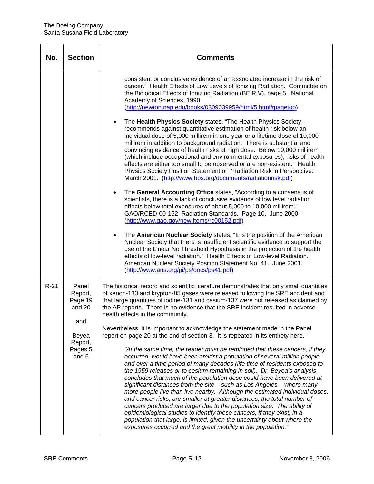| No.    | <b>Section</b>                                                                       | <b>Comments</b>                                                                                                                                                                                                                                                                                                                                                                                                                                                                                                                                                                                                                                                                                                                                                                                                                                                                                                                                                                                                                                                                                                                                                                                                                                                                                                                                                                                                                                                                                                                                                                                                                                                                                                                                                                                                |
|--------|--------------------------------------------------------------------------------------|----------------------------------------------------------------------------------------------------------------------------------------------------------------------------------------------------------------------------------------------------------------------------------------------------------------------------------------------------------------------------------------------------------------------------------------------------------------------------------------------------------------------------------------------------------------------------------------------------------------------------------------------------------------------------------------------------------------------------------------------------------------------------------------------------------------------------------------------------------------------------------------------------------------------------------------------------------------------------------------------------------------------------------------------------------------------------------------------------------------------------------------------------------------------------------------------------------------------------------------------------------------------------------------------------------------------------------------------------------------------------------------------------------------------------------------------------------------------------------------------------------------------------------------------------------------------------------------------------------------------------------------------------------------------------------------------------------------------------------------------------------------------------------------------------------------|
|        |                                                                                      | consistent or conclusive evidence of an associated increase in the risk of<br>cancer." Health Effects of Low Levels of Ionizing Radiation. Committee on<br>the Biological Effects of Ionizing Radiation (BEIR V), page 5. National<br>Academy of Sciences, 1990.<br>(http://newton.nap.edu/books/0309039959/html/5.html#pagetop)<br>The Health Physics Society states, "The Health Physics Society<br>$\bullet$<br>recommends against quantitative estimation of health risk below an<br>individual dose of 5,000 millirem in one year or a lifetime dose of 10,000<br>millirem in addition to background radiation. There is substantial and<br>convincing evidence of health risks at high dose. Below 10,000 millirem<br>(which include occupational and environmental exposures), risks of health<br>effects are either too small to be observed or are non-existent." Health<br>Physics Society Position Statement on "Radiation Risk in Perspective."<br>March 2001. (http://www.hps.org/documents/radiationrisk.pdf)<br>The General Accounting Office states, "According to a consensus of<br>scientists, there is a lack of conclusive evidence of low level radiation<br>effects below total exposures of about 5,000 to 10,000 millirem."<br>GAO/RCED-00-152, Radiation Standards. Page 10. June 2000.<br>(http://www.gao.gov/new.items/rc00152.pdf)<br>The American Nuclear Society states, "It is the position of the American<br>$\bullet$<br>Nuclear Society that there is insufficient scientific evidence to support the<br>use of the Linear No Threshold Hypothesis in the projection of the health<br>effects of low-level radiation." Health Effects of Low-level Radiation.<br>American Nuclear Society Position Statement No. 41. June 2001.<br>(http://www.ans.org/pi/ps/docs/ps41.pdf) |
| $R-21$ | Panel<br>Report,<br>Page 19<br>and 20<br>and<br>Beyea<br>Report,<br>Pages 5<br>and 6 | The historical record and scientific literature demonstrates that only small quantities<br>of xenon-133 and krypton-85 gases were released following the SRE accident and<br>that large quantities of iodine-131 and cesium-137 were not released as claimed by<br>the AP reports. There is no evidence that the SRE incident resulted in adverse<br>health effects in the community.<br>Nevertheless, it is important to acknowledge the statement made in the Panel<br>report on page 20 at the end of section 3. It is repeated in its entirety here.<br>"At the same time, the reader must be reminded that these cancers, if they<br>occurred, would have been amidst a population of several million people<br>and over a time period of many decades (life time of residents exposed to<br>the 1959 releases or to cesium remaining in soil). Dr. Beyea's analysis<br>concludes that much of the population dose could have been delivered at<br>significant distances from the site - such as Los Angeles - where many<br>more people live than live nearby. Although the estimated individual doses,<br>and cancer risks, are smaller at greater distances, the total number of<br>cancers produced are larger due to the population size. The ability of<br>epidemiological studies to identify these cancers, if they exist, in a<br>population that large, is limited, given the uncertainty about where the<br>exposures occurred and the great mobility in the population."                                                                                                                                                                                                                                                                                                                      |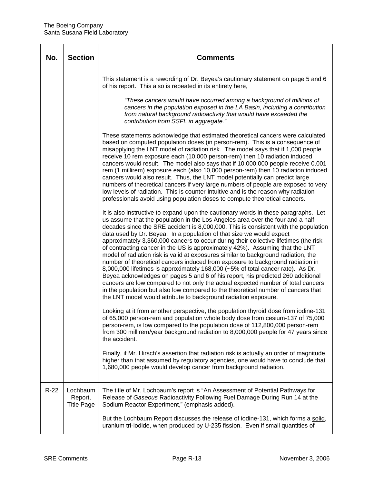| No.    | <b>Section</b>                           | <b>Comments</b>                                                                                                                                                                                                                                                                                                                                                                                                                                                                                                                                                                                                                                                                                                                                                                                                                                                                                                                                                                                                                                                                                        |
|--------|------------------------------------------|--------------------------------------------------------------------------------------------------------------------------------------------------------------------------------------------------------------------------------------------------------------------------------------------------------------------------------------------------------------------------------------------------------------------------------------------------------------------------------------------------------------------------------------------------------------------------------------------------------------------------------------------------------------------------------------------------------------------------------------------------------------------------------------------------------------------------------------------------------------------------------------------------------------------------------------------------------------------------------------------------------------------------------------------------------------------------------------------------------|
|        |                                          | This statement is a rewording of Dr. Beyea's cautionary statement on page 5 and 6<br>of his report. This also is repeated in its entirety here,                                                                                                                                                                                                                                                                                                                                                                                                                                                                                                                                                                                                                                                                                                                                                                                                                                                                                                                                                        |
|        |                                          | "These cancers would have occurred among a background of millions of<br>cancers in the population exposed in the LA Basin, including a contribution<br>from natural background radioactivity that would have exceeded the<br>contribution from SSFL in aggregate."                                                                                                                                                                                                                                                                                                                                                                                                                                                                                                                                                                                                                                                                                                                                                                                                                                     |
|        |                                          | These statements acknowledge that estimated theoretical cancers were calculated<br>based on computed population doses (in person-rem). This is a consequence of<br>misapplying the LNT model of radiation risk. The model says that if 1,000 people<br>receive 10 rem exposure each (10,000 person-rem) then 10 radiation induced<br>cancers would result. The model also says that if 10,000,000 people receive 0.001<br>rem (1 millirem) exposure each (also 10,000 person-rem) then 10 radiation induced<br>cancers would also result. Thus, the LNT model potentially can predict large<br>numbers of theoretical cancers if very large numbers of people are exposed to very<br>low levels of radiation. This is counter-intuitive and is the reason why radiation<br>professionals avoid using population doses to compute theoretical cancers.                                                                                                                                                                                                                                                  |
|        |                                          | It is also instructive to expand upon the cautionary words in these paragraphs. Let<br>us assume that the population in the Los Angeles area over the four and a half<br>decades since the SRE accident is 8,000,000. This is consistent with the population<br>data used by Dr. Beyea. In a population of that size we would expect<br>approximately 3,360,000 cancers to occur during their collective lifetimes (the risk<br>of contracting cancer in the US is approximately 42%). Assuming that the LNT<br>model of radiation risk is valid at exposures similar to background radiation, the<br>number of theoretical cancers induced from exposure to background radiation in<br>8,000,000 lifetimes is approximately 168,000 (~5% of total cancer rate). As Dr.<br>Beyea acknowledges on pages 5 and 6 of his report, his predicted 260 additional<br>cancers are low compared to not only the actual expected number of total cancers<br>in the population but also low compared to the theoretical number of cancers that<br>the LNT model would attribute to background radiation exposure. |
|        |                                          | Looking at it from another perspective, the population thyroid dose from iodine-131<br>of 65,000 person-rem and population whole body dose from cesium-137 of 75,000<br>person-rem, is low compared to the population dose of 112,800,000 person-rem<br>from 300 millirem/year background radiation to 8,000,000 people for 47 years since<br>the accident.                                                                                                                                                                                                                                                                                                                                                                                                                                                                                                                                                                                                                                                                                                                                            |
|        |                                          | Finally, if Mr. Hirsch's assertion that radiation risk is actually an order of magnitude<br>higher than that assumed by regulatory agencies, one would have to conclude that<br>1,680,000 people would develop cancer from background radiation.                                                                                                                                                                                                                                                                                                                                                                                                                                                                                                                                                                                                                                                                                                                                                                                                                                                       |
| $R-22$ | Lochbaum<br>Report,<br><b>Title Page</b> | The title of Mr. Lochbaum's report is "An Assessment of Potential Pathways for<br>Release of Gaseous Radioactivity Following Fuel Damage During Run 14 at the<br>Sodium Reactor Experiment," (emphasis added).                                                                                                                                                                                                                                                                                                                                                                                                                                                                                                                                                                                                                                                                                                                                                                                                                                                                                         |
|        |                                          | But the Lochbaum Report discusses the release of iodine-131, which forms a solid,<br>uranium tri-iodide, when produced by U-235 fission. Even if small quantities of                                                                                                                                                                                                                                                                                                                                                                                                                                                                                                                                                                                                                                                                                                                                                                                                                                                                                                                                   |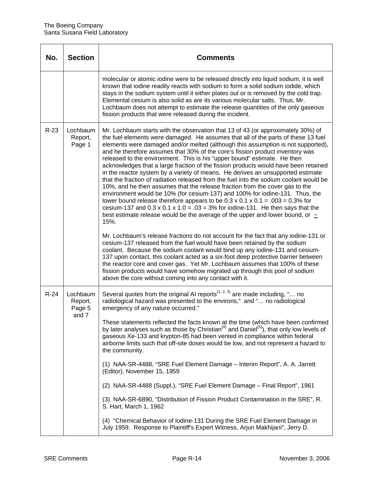| No.    | <b>Section</b>                         | Comments                                                                                                                                                                                                                                                                                                                                                                                                                                                                                                                                                                                                                                                                                                                                                                                                                                                                                                                                                                                                                                                                                                                                                                                                                                                                                                                                                                                                                                                                                                                                                                                                                                                                                                                  |
|--------|----------------------------------------|---------------------------------------------------------------------------------------------------------------------------------------------------------------------------------------------------------------------------------------------------------------------------------------------------------------------------------------------------------------------------------------------------------------------------------------------------------------------------------------------------------------------------------------------------------------------------------------------------------------------------------------------------------------------------------------------------------------------------------------------------------------------------------------------------------------------------------------------------------------------------------------------------------------------------------------------------------------------------------------------------------------------------------------------------------------------------------------------------------------------------------------------------------------------------------------------------------------------------------------------------------------------------------------------------------------------------------------------------------------------------------------------------------------------------------------------------------------------------------------------------------------------------------------------------------------------------------------------------------------------------------------------------------------------------------------------------------------------------|
|        |                                        | molecular or atomic iodine were to be released directly into liquid sodium, it is well<br>known that iodine readily reacts with sodium to form a solid sodium iodide, which<br>stays in the sodium system until it either plates out or is removed by the cold trap.<br>Elemental cesium is also solid as are its various molecular salts. Thus, Mr.<br>Lochbaum does not attempt to estimate the release quantities of the only gaseous<br>fission products that were released during the incident.                                                                                                                                                                                                                                                                                                                                                                                                                                                                                                                                                                                                                                                                                                                                                                                                                                                                                                                                                                                                                                                                                                                                                                                                                      |
| $R-23$ | Lochbaum<br>Report,<br>Page 1          | Mr. Lochbaum starts with the observation that 13 of 43 (or approximately 30%) of<br>the fuel elements were damaged. He assumes that all of the parts of these 13 fuel<br>elements were damaged and/or melted (although this assumption is not supported),<br>and he therefore assumes that 30% of the core's fission product inventory was<br>released to the environment. This is his "upper bound" estimate. He then<br>acknowledges that a large fraction of the fission products would have been retained<br>in the reactor system by a variety of means. He derives an unsupported estimate<br>that the fraction of radiation released from the fuel into the sodium coolant would be<br>10%, and he then assumes that the release fraction from the cover gas to the<br>environment would be 10% (for cesium-137) and 100% for iodine-131. Thus, the<br>lower bound release therefore appears to be $0.3 \times 0.1 \times 0.1 = 0.03 = 0.3\%$ for<br>cesium-137 and $0.3 \times 0.1 \times 1.0 = 0.03 = 3\%$ for iodine-131. He then says that the<br>best estimate release would be the average of the upper and lower bound, or $\sim$<br>15%.<br>Mr. Lochbaum's release fractions do not account for the fact that any iodine-131 or<br>cesium-137 released from the fuel would have been retained by the sodium<br>coolant. Because the sodium coolant would bind up any iodine-131 and cesium-<br>137 upon contact, this coolant acted as a six-foot deep protective barrier between<br>the reactor core and cover gas. Yet Mr. Lochbaum assumes that 100% of these<br>fission products would have somehow migrated up through this pool of sodium<br>above the core without coming into any contact with it. |
| $R-24$ | Lochbaum<br>Report,<br>Page 5<br>and 7 | Several quotes from the original AI reports <sup><math>(1, 2, 3)</math></sup> are made including, " no<br>radiological hazard was presented to the environs," and " no radiological<br>emergency of any nature occurred."<br>These statements reflected the facts known at the time (which have been confirmed<br>by later analyses such as those by Christian <sup>(4)</sup> and Daniel <sup>(5)</sup> ), that only low levels of<br>gaseous Xe-133 and krypton-85 had been vented in compliance within federal<br>airborne limits such that off-site doses would be low, and not represent a hazard to<br>the community.<br>(1) NAA-SR-4488, "SRE Fuel Element Damage - Interim Report", A. A. Jarrett<br>(Editor), November 15, 1959<br>(2) NAA-SR-4488 (Suppl.), "SRE Fuel Element Damage - Final Report", 1961<br>(3) NAA-SR-6890, "Distribution of Fission Product Contamination in the SRE", R.<br>S. Hart, March 1, 1962<br>(4) "Chemical Behavior of Iodine-131 During the SRE Fuel Element Damage in<br>July 1959. Response to Plaintiff's Expert Witness, Arjun Makhijani", Jerry D.                                                                                                                                                                                                                                                                                                                                                                                                                                                                                                                                                                                                                           |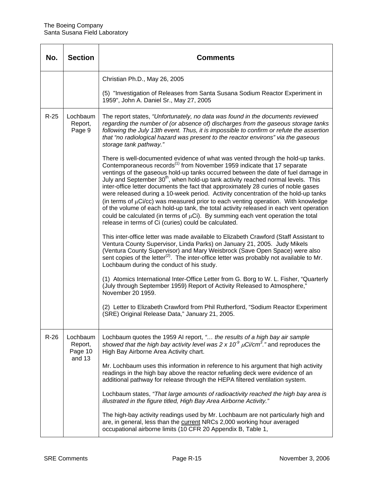| No.    | <b>Section</b>                 | Comments                                                                                                                                                                                                                                                                                                                                                                                                                                                                                                                                                                                                                                                                                                                                                                                                                                                                    |
|--------|--------------------------------|-----------------------------------------------------------------------------------------------------------------------------------------------------------------------------------------------------------------------------------------------------------------------------------------------------------------------------------------------------------------------------------------------------------------------------------------------------------------------------------------------------------------------------------------------------------------------------------------------------------------------------------------------------------------------------------------------------------------------------------------------------------------------------------------------------------------------------------------------------------------------------|
|        |                                | Christian Ph.D., May 26, 2005                                                                                                                                                                                                                                                                                                                                                                                                                                                                                                                                                                                                                                                                                                                                                                                                                                               |
|        |                                | (5) "Investigation of Releases from Santa Susana Sodium Reactor Experiment in<br>1959", John A. Daniel Sr., May 27, 2005                                                                                                                                                                                                                                                                                                                                                                                                                                                                                                                                                                                                                                                                                                                                                    |
| $R-25$ | Lochbaum<br>Report,<br>Page 9  | The report states, "Unfortunately, no data was found in the documents reviewed<br>regarding the number of (or absence of) discharges from the gaseous storage tanks<br>following the July 13th event. Thus, it is impossible to confirm or refute the assertion<br>that "no radiological hazard was present to the reactor environs" via the gaseous<br>storage tank pathway."                                                                                                                                                                                                                                                                                                                                                                                                                                                                                              |
|        |                                | There is well-documented evidence of what was vented through the hold-up tanks.<br>Contemporaneous records <sup>(1)</sup> from November 1959 indicate that 17 separate<br>ventings of the gaseous hold-up tanks occurred between the date of fuel damage in<br>July and September 30 <sup>th</sup> , when hold-up tank activity reached normal levels. This<br>inter-office letter documents the fact that approximately 28 curies of noble gases<br>were released during a 10-week period. Activity concentration of the hold-up tanks<br>(in terms of $\mu$ Ci/cc) was measured prior to each venting operation. With knowledge<br>of the volume of each hold-up tank, the total activity released in each vent operation<br>could be calculated (in terms of $\mu$ Ci). By summing each vent operation the total<br>release in terms of Ci (curies) could be calculated. |
|        |                                | This inter-office letter was made available to Elizabeth Crawford (Staff Assistant to<br>Ventura County Supervisor, Linda Parks) on January 21, 2005. Judy Mikels<br>(Ventura County Supervisor) and Mary Weisbrock (Save Open Space) were also<br>sent copies of the letter <sup>(2)</sup> . The inter-office letter was probably not available to Mr.<br>Lochbaum during the conduct of his study.                                                                                                                                                                                                                                                                                                                                                                                                                                                                        |
|        |                                | (1) Atomics International Inter-Office Letter from G. Borg to W. L. Fisher, "Quarterly<br>(July through September 1959) Report of Activity Released to Atmosphere,"<br>November 20 1959.                                                                                                                                                                                                                                                                                                                                                                                                                                                                                                                                                                                                                                                                                    |
|        |                                | (2) Letter to Elizabeth Crawford from Phil Rutherford, "Sodium Reactor Experiment<br>(SRE) Original Release Data," January 21, 2005.                                                                                                                                                                                                                                                                                                                                                                                                                                                                                                                                                                                                                                                                                                                                        |
| $R-26$ | Lochbaum<br>Report,<br>Page 10 | Lochbaum quotes the 1959 AI report, " the results of a high bay air sample<br>showed that the high bay activity level was 2 x 10 <sup>9</sup> $\mu$ Ci/cm <sup>3</sup> ." and reproduces the<br>High Bay Airborne Area Activity chart.                                                                                                                                                                                                                                                                                                                                                                                                                                                                                                                                                                                                                                      |
|        | and 13                         | Mr. Lochbaum uses this information in reference to his argument that high activity<br>readings in the high bay above the reactor refueling deck were evidence of an<br>additional pathway for release through the HEPA filtered ventilation system.                                                                                                                                                                                                                                                                                                                                                                                                                                                                                                                                                                                                                         |
|        |                                | Lochbaum states, "That large amounts of radioactivity reached the high bay area is<br>illustrated in the figure titled, High Bay Area Airborne Activity."                                                                                                                                                                                                                                                                                                                                                                                                                                                                                                                                                                                                                                                                                                                   |
|        |                                | The high-bay activity readings used by Mr. Lochbaum are not particularly high and<br>are, in general, less than the current NRCs 2,000 working hour averaged<br>occupational airborne limits (10 CFR 20 Appendix B, Table 1,                                                                                                                                                                                                                                                                                                                                                                                                                                                                                                                                                                                                                                                |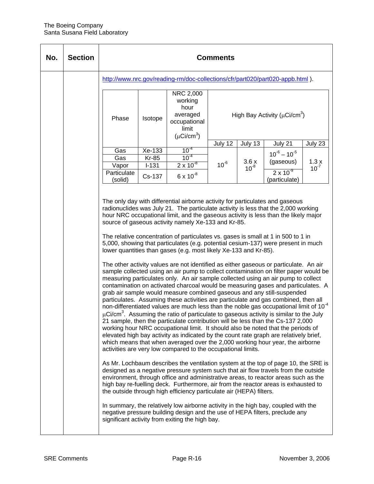| No. | <b>Section</b> | <b>Comments</b> |                  |                                                                                                                                                                                                                                                                                                                                                                                                                                                                                                                                                                                                                                                                                                                                                                                                                                                                                                                                                                                                                                                                                                                                                                                                                                                                                                                                                                                                                                                                                                                                                                                                                                                                                                                                                                                                                                                                                                                                                                                                                                                                                                                                                                                                                                                                                                                                                                                   |           |           |                                                |           |
|-----|----------------|-----------------|------------------|-----------------------------------------------------------------------------------------------------------------------------------------------------------------------------------------------------------------------------------------------------------------------------------------------------------------------------------------------------------------------------------------------------------------------------------------------------------------------------------------------------------------------------------------------------------------------------------------------------------------------------------------------------------------------------------------------------------------------------------------------------------------------------------------------------------------------------------------------------------------------------------------------------------------------------------------------------------------------------------------------------------------------------------------------------------------------------------------------------------------------------------------------------------------------------------------------------------------------------------------------------------------------------------------------------------------------------------------------------------------------------------------------------------------------------------------------------------------------------------------------------------------------------------------------------------------------------------------------------------------------------------------------------------------------------------------------------------------------------------------------------------------------------------------------------------------------------------------------------------------------------------------------------------------------------------------------------------------------------------------------------------------------------------------------------------------------------------------------------------------------------------------------------------------------------------------------------------------------------------------------------------------------------------------------------------------------------------------------------------------------------------|-----------|-----------|------------------------------------------------|-----------|
|     |                |                 |                  | http://www.nrc.gov/reading-rm/doc-collections/cfr/part020/part020-appb.html).                                                                                                                                                                                                                                                                                                                                                                                                                                                                                                                                                                                                                                                                                                                                                                                                                                                                                                                                                                                                                                                                                                                                                                                                                                                                                                                                                                                                                                                                                                                                                                                                                                                                                                                                                                                                                                                                                                                                                                                                                                                                                                                                                                                                                                                                                                     |           |           |                                                |           |
|     |                | Phase           | Isotope          | NRC 2,000<br>working<br>hour<br>averaged<br>occupational<br>limit<br>$(\mu$ Ci/cm <sup>3</sup> )                                                                                                                                                                                                                                                                                                                                                                                                                                                                                                                                                                                                                                                                                                                                                                                                                                                                                                                                                                                                                                                                                                                                                                                                                                                                                                                                                                                                                                                                                                                                                                                                                                                                                                                                                                                                                                                                                                                                                                                                                                                                                                                                                                                                                                                                                  |           |           | High Bay Activity ( $\mu$ Ci/cm <sup>3</sup> ) |           |
|     |                |                 |                  |                                                                                                                                                                                                                                                                                                                                                                                                                                                                                                                                                                                                                                                                                                                                                                                                                                                                                                                                                                                                                                                                                                                                                                                                                                                                                                                                                                                                                                                                                                                                                                                                                                                                                                                                                                                                                                                                                                                                                                                                                                                                                                                                                                                                                                                                                                                                                                                   | July $12$ | July 13   | July 21                                        | July 23   |
|     |                | Gas             | Xe-133           | $10^{-4}$<br>$10^{-4}$                                                                                                                                                                                                                                                                                                                                                                                                                                                                                                                                                                                                                                                                                                                                                                                                                                                                                                                                                                                                                                                                                                                                                                                                                                                                                                                                                                                                                                                                                                                                                                                                                                                                                                                                                                                                                                                                                                                                                                                                                                                                                                                                                                                                                                                                                                                                                            |           |           | $10^{-6} - 10^{-5}$                            |           |
|     |                | Gas<br>Vapor    | Kr-85<br>$I-131$ | $2 \times 10^{-8}$                                                                                                                                                                                                                                                                                                                                                                                                                                                                                                                                                                                                                                                                                                                                                                                                                                                                                                                                                                                                                                                                                                                                                                                                                                                                                                                                                                                                                                                                                                                                                                                                                                                                                                                                                                                                                                                                                                                                                                                                                                                                                                                                                                                                                                                                                                                                                                | $10^{-6}$ | 3.6x      | (gaseous)                                      | 1.3x      |
|     |                | Particulate     |                  |                                                                                                                                                                                                                                                                                                                                                                                                                                                                                                                                                                                                                                                                                                                                                                                                                                                                                                                                                                                                                                                                                                                                                                                                                                                                                                                                                                                                                                                                                                                                                                                                                                                                                                                                                                                                                                                                                                                                                                                                                                                                                                                                                                                                                                                                                                                                                                                   |           | $10^{-8}$ | $2 \times 10^{-9}$                             | $10^{-7}$ |
|     |                | (solid)         | Cs-137           | $6 \times 10^{-8}$                                                                                                                                                                                                                                                                                                                                                                                                                                                                                                                                                                                                                                                                                                                                                                                                                                                                                                                                                                                                                                                                                                                                                                                                                                                                                                                                                                                                                                                                                                                                                                                                                                                                                                                                                                                                                                                                                                                                                                                                                                                                                                                                                                                                                                                                                                                                                                |           |           | (particulate)                                  |           |
|     |                |                 |                  | The only day with differential airborne activity for particulates and gaseous<br>radionuclides was July 21. The particulate activity is less that the 2,000 working<br>hour NRC occupational limit, and the gaseous activity is less than the likely major<br>source of gaseous activity namely Xe-133 and Kr-85.<br>The relative concentration of particulates vs. gases is small at 1 in 500 to 1 in<br>5,000, showing that particulates (e.g. potential cesium-137) were present in much<br>lower quantities than gases (e.g. most likely Xe-133 and Kr-85).<br>The other activity values are not identified as either gaseous or particulate. An air<br>sample collected using an air pump to collect contamination on filter paper would be<br>measuring particulates only. An air sample collected using an air pump to collect<br>contamination on activated charcoal would be measuring gases and particulates. A<br>grab air sample would measure combined gaseous and any still-suspended<br>particulates. Assuming these activities are particulate and gas combined, then all<br>non-differentiated values are much less than the noble gas occupational limit of 10 <sup>-4</sup><br>$\mu$ Ci/cm <sup>3</sup> . Assuming the ratio of particulate to gaseous activity is similar to the July<br>21 sample, then the particulate contribution will be less than the Cs-137 2,000<br>working hour NRC occupational limit. It should also be noted that the periods of<br>elevated high bay activity as indicated by the count rate graph are relatively brief,<br>which means that when averaged over the 2,000 working hour year, the airborne<br>activities are very low compared to the occupational limits.<br>As Mr. Lochbaum describes the ventilation system at the top of page 10, the SRE is<br>designed as a negative pressure system such that air flow travels from the outside<br>environment, through office and administrative areas, to reactor areas such as the<br>high bay re-fuelling deck. Furthermore, air from the reactor areas is exhausted to<br>the outside through high efficiency particulate air (HEPA) filters.<br>In summary, the relatively low airborne activity in the high bay, coupled with the<br>negative pressure building design and the use of HEPA filters, preclude any<br>significant activity from exiting the high bay. |           |           |                                                |           |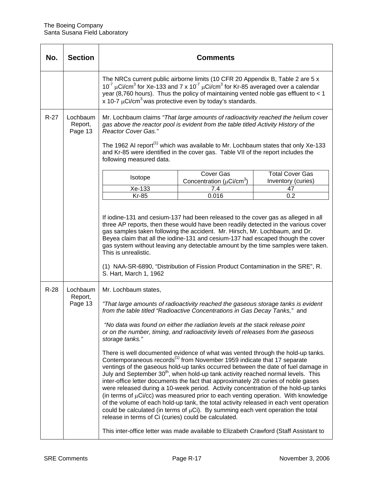| No.    | <b>Section</b>                 | <b>Comments</b>                                                                                                                                                                                                                                                                                                                                                                                                                                                                                                                                                                                                                                                                                                                                                                                                                                                                                                                                                                                                                                                                                                                                                                                                                                                                                                                                       |                                                                         |                                                    |  |  |
|--------|--------------------------------|-------------------------------------------------------------------------------------------------------------------------------------------------------------------------------------------------------------------------------------------------------------------------------------------------------------------------------------------------------------------------------------------------------------------------------------------------------------------------------------------------------------------------------------------------------------------------------------------------------------------------------------------------------------------------------------------------------------------------------------------------------------------------------------------------------------------------------------------------------------------------------------------------------------------------------------------------------------------------------------------------------------------------------------------------------------------------------------------------------------------------------------------------------------------------------------------------------------------------------------------------------------------------------------------------------------------------------------------------------|-------------------------------------------------------------------------|----------------------------------------------------|--|--|
|        |                                | The NRCs current public airborne limits (10 CFR 20 Appendix B, Table 2 are 5 x<br>$10^{-7}$ µCi/cm <sup>3</sup> for Xe-133 and 7 x 10 <sup>-7</sup> µCi/cm <sup>3</sup> for Kr-85 averaged over a calendar<br>year (8,760 hours). Thus the policy of maintaining vented noble gas effluent to $<$ 1<br>x 10-7 $\mu$ Ci/cm <sup>3</sup> was protective even by today's standards.                                                                                                                                                                                                                                                                                                                                                                                                                                                                                                                                                                                                                                                                                                                                                                                                                                                                                                                                                                      |                                                                         |                                                    |  |  |
| $R-27$ | Lochbaum<br>Report,<br>Page 13 | Mr. Lochbaum claims "That large amounts of radioactivity reached the helium cover<br>gas above the reactor pool is evident from the table titled Activity History of the<br>Reactor Cover Gas."<br>The 1962 AI report <sup>(1)</sup> which was available to Mr. Lochbaum states that only Xe-133<br>and Kr-85 were identified in the cover gas. Table VII of the report includes the<br>following measured data.                                                                                                                                                                                                                                                                                                                                                                                                                                                                                                                                                                                                                                                                                                                                                                                                                                                                                                                                      |                                                                         |                                                    |  |  |
|        |                                | Isotope<br>Xe-133                                                                                                                                                                                                                                                                                                                                                                                                                                                                                                                                                                                                                                                                                                                                                                                                                                                                                                                                                                                                                                                                                                                                                                                                                                                                                                                                     | Cover Gas<br>Concentration ( $\mu$ Ci/cm <sup>3</sup> )<br>7.4<br>0.016 | <b>Total Cover Gas</b><br>Inventory (curies)<br>47 |  |  |
|        |                                | If iodine-131 and cesium-137 had been released to the cover gas as alleged in all<br>three AP reports, then these would have been readily detected in the various cover<br>gas samples taken following the accident. Mr. Hirsch, Mr. Lochbaum, and Dr.<br>Beyea claim that all the iodine-131 and cesium-137 had escaped though the cover<br>gas system without leaving any detectable amount by the time samples were taken.<br>This is unrealistic.<br>(1) NAA-SR-6890, "Distribution of Fission Product Contamination in the SRE", R.<br>S. Hart, March 1, 1962                                                                                                                                                                                                                                                                                                                                                                                                                                                                                                                                                                                                                                                                                                                                                                                    |                                                                         |                                                    |  |  |
| $R-28$ | Lochbaum<br>Report,<br>Page 13 | Mr. Lochbaum states,<br>"That large amounts of radioactivity reached the gaseous storage tanks is evident<br>from the table titled "Radioactive Concentrations in Gas Decay Tanks," and<br>"No data was found on either the radiation levels at the stack release point<br>or on the number, timing, and radioactivity levels of releases from the gaseous<br>storage tanks."<br>There is well documented evidence of what was vented through the hold-up tanks.<br>Contemporaneous records <sup>(1)</sup> from November 1959 indicate that 17 separate<br>ventings of the gaseous hold-up tanks occurred between the date of fuel damage in<br>July and September 30 <sup>th</sup> , when hold-up tank activity reached normal levels. This<br>inter-office letter documents the fact that approximately 28 curies of noble gases<br>were released during a 10-week period. Activity concentration of the hold-up tanks<br>(in terms of $\mu$ Ci/cc) was measured prior to each venting operation. With knowledge<br>of the volume of each hold-up tank, the total activity released in each vent operation<br>could be calculated (in terms of $\mu$ Ci). By summing each vent operation the total<br>release in terms of Ci (curies) could be calculated.<br>This inter-office letter was made available to Elizabeth Crawford (Staff Assistant to |                                                                         |                                                    |  |  |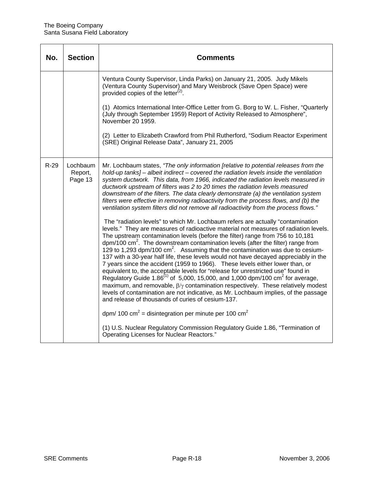| No.    | <b>Section</b>                 | Comments                                                                                                                                                                                                                                                                                                                                                                                                                                                                                                                                                                                                                                                                                                                                                                                                                                                                                                                                                                                                                                                                                                                                                                                                                                                                                                                                                                                                                                                                                                                                                                                                                                                                                                     |
|--------|--------------------------------|--------------------------------------------------------------------------------------------------------------------------------------------------------------------------------------------------------------------------------------------------------------------------------------------------------------------------------------------------------------------------------------------------------------------------------------------------------------------------------------------------------------------------------------------------------------------------------------------------------------------------------------------------------------------------------------------------------------------------------------------------------------------------------------------------------------------------------------------------------------------------------------------------------------------------------------------------------------------------------------------------------------------------------------------------------------------------------------------------------------------------------------------------------------------------------------------------------------------------------------------------------------------------------------------------------------------------------------------------------------------------------------------------------------------------------------------------------------------------------------------------------------------------------------------------------------------------------------------------------------------------------------------------------------------------------------------------------------|
|        |                                | Ventura County Supervisor, Linda Parks) on January 21, 2005. Judy Mikels<br>(Ventura County Supervisor) and Mary Weisbrock (Save Open Space) were<br>provided copies of the letter <sup>(2)</sup> .<br>(1) Atomics International Inter-Office Letter from G. Borg to W. L. Fisher, "Quarterly                                                                                                                                                                                                                                                                                                                                                                                                                                                                                                                                                                                                                                                                                                                                                                                                                                                                                                                                                                                                                                                                                                                                                                                                                                                                                                                                                                                                                |
|        |                                | (July through September 1959) Report of Activity Released to Atmosphere",<br>November 20 1959.                                                                                                                                                                                                                                                                                                                                                                                                                                                                                                                                                                                                                                                                                                                                                                                                                                                                                                                                                                                                                                                                                                                                                                                                                                                                                                                                                                                                                                                                                                                                                                                                               |
|        |                                | (2) Letter to Elizabeth Crawford from Phil Rutherford, "Sodium Reactor Experiment<br>(SRE) Original Release Data", January 21, 2005                                                                                                                                                                                                                                                                                                                                                                                                                                                                                                                                                                                                                                                                                                                                                                                                                                                                                                                                                                                                                                                                                                                                                                                                                                                                                                                                                                                                                                                                                                                                                                          |
| $R-29$ | Lochbaum<br>Report,<br>Page 13 | Mr. Lochbaum states, "The only information [relative to potential releases from the<br>hold-up tanks] – albeit indirect – covered the radiation levels inside the ventilation<br>system ductwork. This data, from 1966, indicated the radiation levels measured in<br>ductwork upstream of filters was 2 to 20 times the radiation levels measured<br>downstream of the filters. The data clearly demonstrate (a) the ventilation system<br>filters were effective in removing radioactivity from the process flows, and (b) the<br>ventilation system filters did not remove all radioactivity from the process flows."<br>The "radiation levels" to which Mr. Lochbaum refers are actually "contamination<br>levels." They are measures of radioactive material not measures of radiation levels.<br>The upstream contamination levels (before the filter) range from 756 to 10,181<br>dpm/100 cm <sup>2</sup> . The downstream contamination levels (after the filter) range from<br>129 to 1,293 dpm/100 $\text{cm}^2$ . Assuming that the contamination was due to cesium-<br>137 with a 30-year half life, these levels would not have decayed appreciably in the<br>7 years since the accident (1959 to 1966). These levels either lower than, or<br>equivalent to, the acceptable levels for "release for unrestricted use" found in<br>Requlatory Guide 1.86 <sup><math>(1)</math></sup> of 5,000, 15,000, and 1,000 dpm/100 cm <sup>2</sup> for average,<br>maximum, and removable, $\beta/\gamma$ contamination respectively. These relatively modest<br>levels of contamination are not indicative, as Mr. Lochbaum implies, of the passage<br>and release of thousands of curies of cesium-137. |
|        |                                | dpm/ 100 cm <sup>2</sup> = disintegration per minute per 100 cm <sup>2</sup><br>(1) U.S. Nuclear Regulatory Commission Regulatory Guide 1.86, "Termination of<br>Operating Licenses for Nuclear Reactors."                                                                                                                                                                                                                                                                                                                                                                                                                                                                                                                                                                                                                                                                                                                                                                                                                                                                                                                                                                                                                                                                                                                                                                                                                                                                                                                                                                                                                                                                                                   |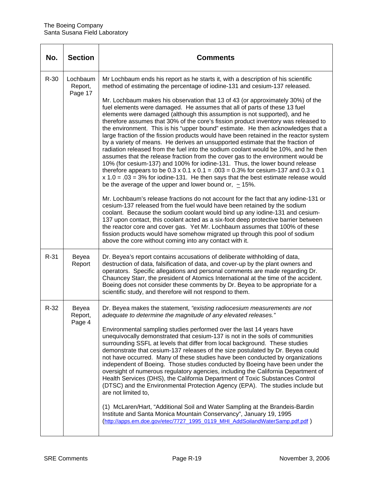| No.    | <b>Section</b>                 | <b>Comments</b>                                                                                                                                                                                                                                                                                                                                                                                                                                                                                                                                                                                                                                                                                                                                                                                                                                                                                                                                                                                                                                                                                                                                                                                                                                                                                                                                                                                                                                                                                                                                                                                                                      |
|--------|--------------------------------|--------------------------------------------------------------------------------------------------------------------------------------------------------------------------------------------------------------------------------------------------------------------------------------------------------------------------------------------------------------------------------------------------------------------------------------------------------------------------------------------------------------------------------------------------------------------------------------------------------------------------------------------------------------------------------------------------------------------------------------------------------------------------------------------------------------------------------------------------------------------------------------------------------------------------------------------------------------------------------------------------------------------------------------------------------------------------------------------------------------------------------------------------------------------------------------------------------------------------------------------------------------------------------------------------------------------------------------------------------------------------------------------------------------------------------------------------------------------------------------------------------------------------------------------------------------------------------------------------------------------------------------|
| $R-30$ | Lochbaum<br>Report,<br>Page 17 | Mr Lochbaum ends his report as he starts it, with a description of his scientific<br>method of estimating the percentage of iodine-131 and cesium-137 released.<br>Mr. Lochbaum makes his observation that 13 of 43 (or approximately 30%) of the<br>fuel elements were damaged. He assumes that all of parts of these 13 fuel<br>elements were damaged (although this assumption is not supported), and he<br>therefore assumes that 30% of the core's fission product inventory was released to<br>the environment. This is his "upper bound" estimate. He then acknowledges that a<br>large fraction of the fission products would have been retained in the reactor system<br>by a variety of means. He derives an unsupported estimate that the fraction of<br>radiation released from the fuel into the sodium coolant would be 10%, and he then<br>assumes that the release fraction from the cover gas to the environment would be<br>10% (for cesium-137) and 100% for iodine-131. Thus, the lower bound release<br>therefore appears to be $0.3 \times 0.1 \times 0.1 = 0.03 = 0.3\%$ for cesium-137 and $0.3 \times 0.1$<br>$x 1.0 = .03 = 3\%$ for iodine-131. He then says that the best estimate release would<br>be the average of the upper and lower bound or, $\sim$ 15%.<br>Mr. Lochbaum's release fractions do not account for the fact that any iodine-131 or<br>cesium-137 released from the fuel would have been retained by the sodium<br>coolant. Because the sodium coolant would bind up any iodine-131 and cesium-<br>137 upon contact, this coolant acted as a six-foot deep protective barrier between |
|        |                                | the reactor core and cover gas. Yet Mr. Lochbaum assumes that 100% of these<br>fission products would have somehow migrated up through this pool of sodium<br>above the core without coming into any contact with it.                                                                                                                                                                                                                                                                                                                                                                                                                                                                                                                                                                                                                                                                                                                                                                                                                                                                                                                                                                                                                                                                                                                                                                                                                                                                                                                                                                                                                |
| $R-31$ | Beyea<br>Report                | Dr. Beyea's report contains accusations of deliberate withholding of data,<br>destruction of data, falsification of data, and cover-up by the plant owners and<br>operators. Specific allegations and personal comments are made regarding Dr.<br>Chauncey Starr, the president of Atomics International at the time of the accident.<br>Boeing does not consider these comments by Dr. Beyea to be appropriate for a<br>scientific study, and therefore will not respond to them.                                                                                                                                                                                                                                                                                                                                                                                                                                                                                                                                                                                                                                                                                                                                                                                                                                                                                                                                                                                                                                                                                                                                                   |
| $R-32$ | Beyea<br>Report,<br>Page 4     | Dr. Beyea makes the statement, "existing radiocesium measurements are not<br>adequate to determine the magnitude of any elevated releases."<br>Environmental sampling studies performed over the last 14 years have<br>unequivocally demonstrated that cesium-137 is not in the soils of communities<br>surrounding SSFL at levels that differ from local background. These studies<br>demonstrate that cesium-137 releases of the size postulated by Dr. Beyea could<br>not have occurred. Many of these studies have been conducted by organizations<br>independent of Boeing. Those studies conducted by Boeing have been under the<br>oversight of numerous regulatory agencies, including the California Department of<br>Health Services (DHS), the California Department of Toxic Substances Control<br>(DTSC) and the Environmental Protection Agency (EPA). The studies include but<br>are not limited to,<br>(1) McLaren/Hart, "Additional Soil and Water Sampling at the Brandeis-Bardin<br>Institute and Santa Monica Mountain Conservancy", January 19, 1995<br>(http://apps.em.doe.gov/etec/7727_1995_0119_MHI_AddSoilandWaterSamp.pdf.pdf)                                                                                                                                                                                                                                                                                                                                                                                                                                                                            |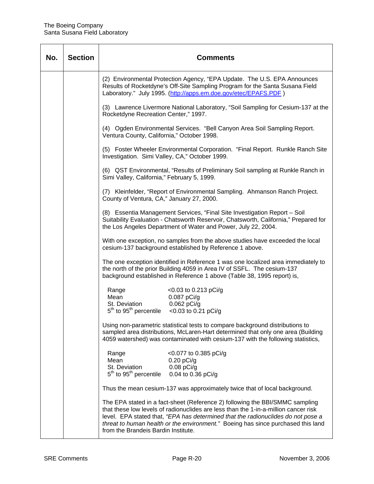| No. | <b>Section</b> |                                                                                                                                                                                                                                         | <b>Comments</b>                                                                                                                                                                                                                                                                                                                             |  |
|-----|----------------|-----------------------------------------------------------------------------------------------------------------------------------------------------------------------------------------------------------------------------------------|---------------------------------------------------------------------------------------------------------------------------------------------------------------------------------------------------------------------------------------------------------------------------------------------------------------------------------------------|--|
|     |                | Laboratory." July 1995. (http://apps.em.doe.gov/etec/EPAFS.PDF)                                                                                                                                                                         | (2) Environmental Protection Agency, "EPA Update. The U.S. EPA Announces<br>Results of Rocketdyne's Off-Site Sampling Program for the Santa Susana Field                                                                                                                                                                                    |  |
|     |                | (3) Lawrence Livermore National Laboratory, "Soil Sampling for Cesium-137 at the<br>Rocketdyne Recreation Center," 1997.                                                                                                                |                                                                                                                                                                                                                                                                                                                                             |  |
|     |                | Ventura County, California," October 1998.                                                                                                                                                                                              | (4) Ogden Environmental Services. "Bell Canyon Area Soil Sampling Report.                                                                                                                                                                                                                                                                   |  |
|     |                | Investigation. Simi Valley, CA," October 1999.                                                                                                                                                                                          | (5) Foster Wheeler Environmental Corporation. "Final Report. Runkle Ranch Site                                                                                                                                                                                                                                                              |  |
|     |                | Simi Valley, California," February 5, 1999.                                                                                                                                                                                             | (6) QST Environmental, "Results of Preliminary Soil sampling at Runkle Ranch in                                                                                                                                                                                                                                                             |  |
|     |                | County of Ventura, CA," January 27, 2000.                                                                                                                                                                                               | (7) Kleinfelder, "Report of Environmental Sampling. Ahmanson Ranch Project.                                                                                                                                                                                                                                                                 |  |
|     |                | the Los Angeles Department of Water and Power, July 22, 2004.                                                                                                                                                                           | (8) Essentia Management Services, "Final Site Investigation Report - Soil<br>Suitability Evaluation - Chatsworth Reservoir, Chatsworth, California," Prepared for                                                                                                                                                                           |  |
|     |                | With one exception, no samples from the above studies have exceeded the local<br>cesium-137 background established by Reference 1 above.                                                                                                |                                                                                                                                                                                                                                                                                                                                             |  |
|     |                | The one exception identified in Reference 1 was one localized area immediately to<br>the north of the prior Building 4059 in Area IV of SSFL. The cesium-137<br>background established in Reference 1 above (Table 38, 1995 report) is, |                                                                                                                                                                                                                                                                                                                                             |  |
|     |                | Range<br>Mean<br>$0.087$ pCi/g<br>St. Deviation $0.062 pCi/g$<br>5 <sup>th</sup> to 95 <sup>th</sup> percentile <0.03 to 0.21 pCi/g                                                                                                     | <0.03 to 0.213 pCi/g                                                                                                                                                                                                                                                                                                                        |  |
|     |                |                                                                                                                                                                                                                                         | Using non-parametric statistical tests to compare background distributions to<br>sampled area distributions, McLaren-Hart determined that only one area (Building<br>4059 watershed) was contaminated with cesium-137 with the following statistics,                                                                                        |  |
|     |                | Range<br>Mean<br>$0.20$ pCi/g<br>$0.08$ pCi/g<br>St. Deviation<br>$5th$ to 95 $th$ percentile<br>0.04 to 0.36 pCi/g                                                                                                                     | <0.077 to 0.385 pCi/g                                                                                                                                                                                                                                                                                                                       |  |
|     |                |                                                                                                                                                                                                                                         | Thus the mean cesium-137 was approximately twice that of local background.                                                                                                                                                                                                                                                                  |  |
|     |                | from the Brandeis Bardin Institute.                                                                                                                                                                                                     | The EPA stated in a fact-sheet (Reference 2) following the BBI/SMMC sampling<br>that these low levels of radionuclides are less than the 1-in-a-million cancer risk<br>level. EPA stated that, "EPA has determined that the radionuclides do not pose a<br>threat to human health or the environment." Boeing has since purchased this land |  |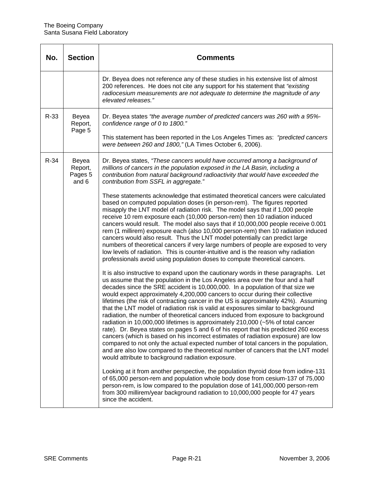| No.    | <b>Section</b>                       | Comments                                                                                                                                                                                                                                                                                                                                                                                                                                                                                                                                                                                                                                                                                                                                                                                                                                                                                                                                                                                                                                                                                                |
|--------|--------------------------------------|---------------------------------------------------------------------------------------------------------------------------------------------------------------------------------------------------------------------------------------------------------------------------------------------------------------------------------------------------------------------------------------------------------------------------------------------------------------------------------------------------------------------------------------------------------------------------------------------------------------------------------------------------------------------------------------------------------------------------------------------------------------------------------------------------------------------------------------------------------------------------------------------------------------------------------------------------------------------------------------------------------------------------------------------------------------------------------------------------------|
|        |                                      | Dr. Beyea does not reference any of these studies in his extensive list of almost<br>200 references. He does not cite any support for his statement that "existing<br>radiocesium measurements are not adequate to determine the magnitude of any<br>elevated releases."                                                                                                                                                                                                                                                                                                                                                                                                                                                                                                                                                                                                                                                                                                                                                                                                                                |
| $R-33$ | Beyea<br>Report,<br>Page 5           | Dr. Beyea states "the average number of predicted cancers was 260 with a 95%-<br>confidence range of 0 to 1800."<br>This statement has been reported in the Los Angeles Times as: "predicted cancers"<br>were between 260 and 1800," (LA Times October 6, 2006).                                                                                                                                                                                                                                                                                                                                                                                                                                                                                                                                                                                                                                                                                                                                                                                                                                        |
| $R-34$ | Beyea<br>Report,<br>Pages 5<br>and 6 | Dr. Beyea states, "These cancers would have occurred among a background of<br>millions of cancers in the population exposed in the LA Basin, including a<br>contribution from natural background radioactivity that would have exceeded the<br>contribution from SSFL in aggregate."                                                                                                                                                                                                                                                                                                                                                                                                                                                                                                                                                                                                                                                                                                                                                                                                                    |
|        |                                      | These statements acknowledge that estimated theoretical cancers were calculated<br>based on computed population doses (in person-rem). The figures reported<br>misapply the LNT model of radiation risk. The model says that if 1,000 people<br>receive 10 rem exposure each (10,000 person-rem) then 10 radiation induced<br>cancers would result. The model also says that if 10,000,000 people receive 0.001<br>rem (1 millirem) exposure each (also 10,000 person-rem) then 10 radiation induced<br>cancers would also result. Thus the LNT model potentially can predict large<br>numbers of theoretical cancers if very large numbers of people are exposed to very<br>low levels of radiation. This is counter-intuitive and is the reason why radiation<br>professionals avoid using population doses to compute theoretical cancers.                                                                                                                                                                                                                                                           |
|        |                                      | It is also instructive to expand upon the cautionary words in these paragraphs. Let<br>us assume that the population in the Los Angeles area over the four and a half<br>decades since the SRE accident is 10,000,000. In a population of that size we<br>would expect approximately 4,200,000 cancers to occur during their collective<br>lifetimes (the risk of contracting cancer in the US is approximately 42%). Assuming<br>that the LNT model of radiation risk is valid at exposures similar to background<br>radiation, the number of theoretical cancers induced from exposure to background<br>radiation in 10,000,000 lifetimes is approximately 210,000 (~5% of total cancer<br>rate). Dr. Beyea states on pages 5 and 6 of his report that his predicted 260 excess<br>cancers (which is based on his incorrect estimates of radiation exposure) are low<br>compared to not only the actual expected number of total cancers in the population,<br>and are also low compared to the theoretical number of cancers that the LNT model<br>would attribute to background radiation exposure. |
|        |                                      | Looking at it from another perspective, the population thyroid dose from iodine-131<br>of 65,000 person-rem and population whole body dose from cesium-137 of 75,000<br>person-rem, is low compared to the population dose of 141,000,000 person-rem<br>from 300 millirem/year background radiation to 10,000,000 people for 47 years<br>since the accident.                                                                                                                                                                                                                                                                                                                                                                                                                                                                                                                                                                                                                                                                                                                                            |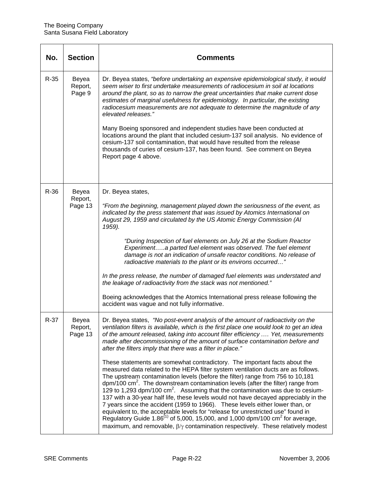| No.    | <b>Section</b>              | Comments                                                                                                                                                                                                                                                                                                                                                                                                                                                                                                                                                                                                                                                                                                                                                                                                                                                                                                                                                                                                                                                                                                                                                                                                                                                                                                                               |
|--------|-----------------------------|----------------------------------------------------------------------------------------------------------------------------------------------------------------------------------------------------------------------------------------------------------------------------------------------------------------------------------------------------------------------------------------------------------------------------------------------------------------------------------------------------------------------------------------------------------------------------------------------------------------------------------------------------------------------------------------------------------------------------------------------------------------------------------------------------------------------------------------------------------------------------------------------------------------------------------------------------------------------------------------------------------------------------------------------------------------------------------------------------------------------------------------------------------------------------------------------------------------------------------------------------------------------------------------------------------------------------------------|
| $R-35$ | Beyea<br>Report,<br>Page 9  | Dr. Beyea states, "before undertaking an expensive epidemiological study, it would<br>seem wiser to first undertake measurements of radiocesium in soil at locations<br>around the plant, so as to narrow the great uncertainties that make current dose<br>estimates of marginal usefulness for epidemiology. In particular, the existing<br>radiocesium measurements are not adequate to determine the magnitude of any<br>elevated releases."<br>Many Boeing sponsored and independent studies have been conducted at<br>locations around the plant that included cesium-137 soil analysis. No evidence of<br>cesium-137 soil contamination, that would have resulted from the release<br>thousands of curies of cesium-137, has been found. See comment on Beyea<br>Report page 4 above.                                                                                                                                                                                                                                                                                                                                                                                                                                                                                                                                           |
| $R-36$ | Beyea<br>Report,<br>Page 13 | Dr. Beyea states,<br>"From the beginning, management played down the seriousness of the event, as<br>indicated by the press statement that was issued by Atomics International on<br>August 29, 1959 and circulated by the US Atomic Energy Commission (AI<br>1959).<br>"During Inspection of fuel elements on July 26 at the Sodium Reactor<br>Experimenta parted fuel element was observed. The fuel element<br>damage is not an indication of unsafe reactor conditions. No release of<br>radioactive materials to the plant or its environs occurred"<br>In the press release, the number of damaged fuel elements was understated and<br>the leakage of radioactivity from the stack was not mentioned."<br>Boeing acknowledges that the Atomics International press release following the<br>accident was vague and not fully informative.                                                                                                                                                                                                                                                                                                                                                                                                                                                                                       |
| $R-37$ | Beyea<br>Report,<br>Page 13 | Dr. Beyea states, "No post-event analysis of the amount of radioactivity on the<br>ventilation filters is available, which is the first place one would look to get an idea<br>of the amount released, taking into account filter efficiency  Yet, measurements<br>made after decommissioning of the amount of surface contamination before and<br>after the filters imply that there was a filter in place."<br>These statements are somewhat contradictory. The important facts about the<br>measured data related to the HEPA filter system ventilation ducts are as follows.<br>The upstream contamination levels (before the filter) range from 756 to 10,181<br>$\text{dpm}/100 \text{ cm}^2$ . The downstream contamination levels (after the filter) range from<br>129 to 1,293 dpm/100 $\text{cm}^2$ . Assuming that the contamination was due to cesium-<br>137 with a 30-year half life, these levels would not have decayed appreciably in the<br>7 years since the accident (1959 to 1966). These levels either lower than, or<br>equivalent to, the acceptable levels for "release for unrestricted use" found in<br>Regulatory Guide 1.86 <sup>(1)</sup> of 5,000, 15,000, and 1,000 dpm/100 cm <sup>2</sup> for average,<br>maximum, and removable, $\beta/\gamma$ contamination respectively. These relatively modest |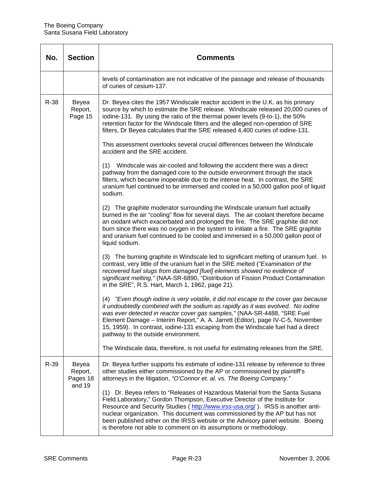| No.  | <b>Section</b>                         | <b>Comments</b>                                                                                                                                                                                                                                                                                                                                                                                                                                                                         |
|------|----------------------------------------|-----------------------------------------------------------------------------------------------------------------------------------------------------------------------------------------------------------------------------------------------------------------------------------------------------------------------------------------------------------------------------------------------------------------------------------------------------------------------------------------|
|      |                                        | levels of contamination are not indicative of the passage and release of thousands<br>of curies of cesium-137.                                                                                                                                                                                                                                                                                                                                                                          |
| R-38 | Beyea<br>Report,<br>Page 15            | Dr. Beyea cites the 1957 Windscale reactor accident in the U.K. as his primary<br>source by which to estimate the SRE release. Windscale released 20,000 curies of<br>iodine-131. By using the ratio of the thermal power levels (9-to-1), the 50%<br>retention factor for the Windscale filters and the alleged non-operation of SRE<br>filters, Dr Beyea calculates that the SRE released 4,400 curies of iodine-131.                                                                 |
|      |                                        | This assessment overlooks several crucial differences between the Windscale<br>accident and the SRE accident.                                                                                                                                                                                                                                                                                                                                                                           |
|      |                                        | (1) Windscale was air-cooled and following the accident there was a direct<br>pathway from the damaged core to the outside environment through the stack<br>filters, which became inoperable due to the intense heat. In contrast, the SRE<br>uranium fuel continued to be immersed and cooled in a 50,000 gallon pool of liquid<br>sodium.                                                                                                                                             |
|      |                                        | (2) The graphite moderator surrounding the Windscale uranium fuel actually<br>burned in the air "cooling" flow for several days. The air coolant therefore became<br>an oxidant which exacerbated and prolonged the fire. The SRE graphite did not<br>burn since there was no oxygen in the system to initiate a fire. The SRE graphite<br>and uranium fuel continued to be cooled and immersed in a 50,000 gallon pool of<br>liquid sodium.                                            |
|      |                                        | (3) The burning graphite in Windscale led to significant melting of uranium fuel. In<br>contrast, very little of the uranium fuel in the SRE melted ("Examination of the<br>recovered fuel slugs from damaged [fuel] elements showed no evidence of<br>significant melting," (NAA-SR-6890, "Distribution of Fission Product Contamination<br>in the SRE", R.S. Hart, March 1, 1962, page 21).                                                                                           |
|      |                                        | (4) "Even though iodine is very volatile, it did not escape to the cover gas because<br>it undoubtedly combined with the sodium as rapidly as it was evolved. No iodine<br>was ever detected in reactor cover gas samples," (NAA-SR-4488, "SRE Fuel<br>Element Damage - Interim Report," A. A. Jarrett (Editor), page IV-C-5, November<br>15, 1959). In contrast, iodine-131 escaping from the Windscale fuel had a direct<br>pathway to the outside environment.                       |
|      |                                        | The Windscale data, therefore, is not useful for estimating releases from the SRE.                                                                                                                                                                                                                                                                                                                                                                                                      |
| R-39 | Beyea<br>Report,<br>Pages 18<br>and 19 | Dr. Beyea further supports his estimate of iodine-131 release by reference to three<br>other studies either commissioned by the AP or commissioned by plaintiff's<br>attorneys in the litigation, "O'Connor et. al. vs. The Boeing Company."                                                                                                                                                                                                                                            |
|      |                                        | (1) Dr. Beyea refers to "Releases of Hazardous Material from the Santa Susana<br>Field Laboratory," Gordon Thompson, Executive Director of the Institute for<br>Resource and Security Studies (http://www.irss-usa.org/). IRSS is another anti-<br>nuclear organization. This document was commissioned by the AP but has not<br>been published either on the IRSS website or the Advisory panel website. Boeing<br>is therefore not able to comment on its assumptions or methodology. |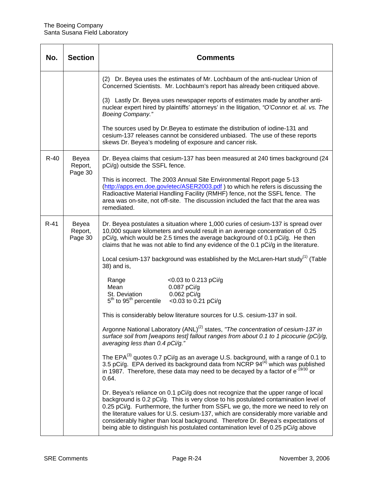| No.    | <b>Section</b>              | <b>Comments</b>                                                                                                                                                                                                                                                                                                                                                                                                                                                                                                                |
|--------|-----------------------------|--------------------------------------------------------------------------------------------------------------------------------------------------------------------------------------------------------------------------------------------------------------------------------------------------------------------------------------------------------------------------------------------------------------------------------------------------------------------------------------------------------------------------------|
|        |                             | (2) Dr. Beyea uses the estimates of Mr. Lochbaum of the anti-nuclear Union of<br>Concerned Scientists. Mr. Lochbaum's report has already been critiqued above.                                                                                                                                                                                                                                                                                                                                                                 |
|        |                             | (3) Lastly Dr. Beyea uses newspaper reports of estimates made by another anti-<br>nuclear expert hired by plaintiffs' attorneys' in the litigation, "O'Connor et. al. vs. The<br>Boeing Company."                                                                                                                                                                                                                                                                                                                              |
|        |                             | The sources used by Dr. Beyea to estimate the distribution of iodine-131 and<br>cesium-137 releases cannot be considered unbiased. The use of these reports<br>skews Dr. Beyea's modeling of exposure and cancer risk.                                                                                                                                                                                                                                                                                                         |
| $R-40$ | Beyea<br>Report,<br>Page 30 | Dr. Beyea claims that cesium-137 has been measured at 240 times background (24<br>pCi/g) outside the SSFL fence.                                                                                                                                                                                                                                                                                                                                                                                                               |
|        |                             | This is incorrect. The 2003 Annual Site Environmental Report page 5-13<br>(http://apps.em.doe.gov/etec/ASER2003.pdf) to which he refers is discussing the<br>Radioactive Material Handling Facility (RMHF) fence, not the SSFL fence. The<br>area was on-site, not off-site. The discussion included the fact that the area was<br>remediated.                                                                                                                                                                                 |
| $R-41$ | Beyea<br>Report,<br>Page 30 | Dr. Beyea postulates a situation where 1,000 curies of cesium-137 is spread over<br>10,000 square kilometers and would result in an average concentration of 0.25<br>pCi/g, which would be 2.5 times the average background of 0.1 pCi/g. He then<br>claims that he was not able to find any evidence of the 0.1 pCi/g in the literature.                                                                                                                                                                                      |
|        |                             | Local cesium-137 background was established by the McLaren-Hart study <sup>(1)</sup> (Table<br>38) and is,                                                                                                                                                                                                                                                                                                                                                                                                                     |
|        |                             | $<$ 0.03 to 0.213 pCi/g<br>Range<br>0.087 pCi/g<br>Mean<br>0.062 pCi/g<br>St. Deviation<br>$5th$ to $95th$ percentile<br><0.03 to 0.21 pCi/g                                                                                                                                                                                                                                                                                                                                                                                   |
|        |                             | This is considerably below literature sources for U.S. cesium-137 in soil.                                                                                                                                                                                                                                                                                                                                                                                                                                                     |
|        |                             | Argonne National Laboratory (ANL) <sup>(2)</sup> states, "The concentration of cesium-137 in<br>surface soil from [weapons test] fallout ranges from about 0.1 to 1 picocurie (pCi)/g,<br>averaging less than 0.4 pCi/g."                                                                                                                                                                                                                                                                                                      |
|        |                             | The EPA <sup>(3)</sup> quotes 0.7 pCi/g as an average U.S. background, with a range of 0.1 to<br>3.5 pCi/g. EPA derived its background data from NCRP 94 <sup>(4)</sup> which was published<br>in 1987. Therefore, these data may need to be decayed by a factor of e <sup>-19/30</sup> or<br>0.64.                                                                                                                                                                                                                            |
|        |                             | Dr. Beyea's reliance on 0.1 pCi/g does not recognize that the upper range of local<br>background is 0.2 pCi/g. This is very close to his postulated contamination level of<br>0.25 pCi/g. Furthermore, the further from SSFL we go, the more we need to rely on<br>the literature values for U.S. cesium-137, which are considerably more variable and<br>considerably higher than local background. Therefore Dr. Beyea's expectations of<br>being able to distinguish his postulated contamination level of 0.25 pCi/g above |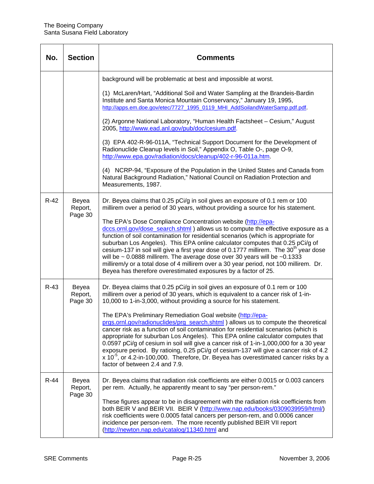| No.    | <b>Section</b>              | Comments                                                                                                                                                                                                                                                                                                                                                                                                                                                                                                                                                                                                                                                                          |
|--------|-----------------------------|-----------------------------------------------------------------------------------------------------------------------------------------------------------------------------------------------------------------------------------------------------------------------------------------------------------------------------------------------------------------------------------------------------------------------------------------------------------------------------------------------------------------------------------------------------------------------------------------------------------------------------------------------------------------------------------|
|        |                             | background will be problematic at best and impossible at worst.                                                                                                                                                                                                                                                                                                                                                                                                                                                                                                                                                                                                                   |
|        |                             | (1) McLaren/Hart, "Additional Soil and Water Sampling at the Brandeis-Bardin<br>Institute and Santa Monica Mountain Conservancy," January 19, 1995,<br>http://apps.em.doe.gov/etec/7727_1995_0119_MHI_AddSoilandWaterSamp.pdf.pdf.                                                                                                                                                                                                                                                                                                                                                                                                                                                |
|        |                             | (2) Argonne National Laboratory, "Human Health Factsheet - Cesium," August<br>2005, http://www.ead.anl.gov/pub/doc/cesium.pdf.                                                                                                                                                                                                                                                                                                                                                                                                                                                                                                                                                    |
|        |                             | (3) EPA 402-R-96-011A, "Technical Support Document for the Development of<br>Radionuclide Cleanup levels in Soil," Appendix O, Table O-, page O-9,<br>http://www.epa.gov/radiation/docs/cleanup/402-r-96-011a.htm.                                                                                                                                                                                                                                                                                                                                                                                                                                                                |
|        |                             | (4) NCRP-94, "Exposure of the Population in the United States and Canada from<br>Natural Background Radiation," National Council on Radiation Protection and<br>Measurements, 1987.                                                                                                                                                                                                                                                                                                                                                                                                                                                                                               |
| $R-42$ | Beyea<br>Report,            | Dr. Beyea claims that 0.25 pCi/g in soil gives an exposure of 0.1 rem or 100<br>millirem over a period of 30 years, without providing a source for his statement.                                                                                                                                                                                                                                                                                                                                                                                                                                                                                                                 |
|        | Page 30                     | The EPA's Dose Compliance Concentration website (http://epa-<br>dccs.ornl.gov/dose_search.shtml ) allows us to compute the effective exposure as a<br>function of soil contamination for residential scenarios (which is appropriate for<br>suburban Los Angeles). This EPA online calculator computes that 0.25 pCi/g of<br>cesium-137 in soil will give a first year dose of 0.1777 millirem. The 30 <sup>th</sup> year dose<br>will be $\sim$ 0.0888 millirem. The average dose over 30 years will be $\sim$ 0.1333<br>millirem/y or a total dose of 4 millirem over a 30 year period, not 100 millirem. Dr.<br>Beyea has therefore overestimated exposures by a factor of 25. |
| $R-43$ | Beyea<br>Report,<br>Page 30 | Dr. Beyea claims that 0.25 pCi/g in soil gives an exposure of 0.1 rem or 100<br>millirem over a period of 30 years, which is equivalent to a cancer risk of 1-in-<br>10,000 to 1-in-3,000, without providing a source for his statement.                                                                                                                                                                                                                                                                                                                                                                                                                                          |
|        |                             | The EPA's Preliminary Remediation Goal website (http://epa-<br>prgs.ornl.gov/radionuclides/prg_search.shtml) allows us to compute the theoretical<br>cancer risk as a function of soil contamination for residential scenarios (which is<br>appropriate for suburban Los Angeles). This EPA online calculator computes that<br>0.0597 pCi/g of cesium in soil will give a cancer risk of 1-in-1,000,000 for a 30 year<br>exposure period. By ratioing, 0.25 pCi/g of cesium-137 will give a cancer risk of 4.2<br>$x$ 10 <sup>-5</sup> , or 4.2-in-100,000. Therefore, Dr. Beyea has overestimated cancer risks by a<br>factor of between 2.4 and 7.9.                            |
| $R-44$ | Beyea<br>Report,<br>Page 30 | Dr. Beyea claims that radiation risk coefficients are either 0.0015 or 0.003 cancers<br>per rem. Actually, he apparently meant to say "per person-rem."                                                                                                                                                                                                                                                                                                                                                                                                                                                                                                                           |
|        |                             | These figures appear to be in disagreement with the radiation risk coefficients from<br>both BEIR V and BEIR VII. BEIR V (http://www.nap.edu/books/0309039959/html/)<br>risk coefficients were 0.0005 fatal cancers per person-rem, and 0.0006 cancer<br>incidence per person-rem. The more recently published BEIR VII report<br>(http://newton.nap.edu/catalog/11340.html and                                                                                                                                                                                                                                                                                                   |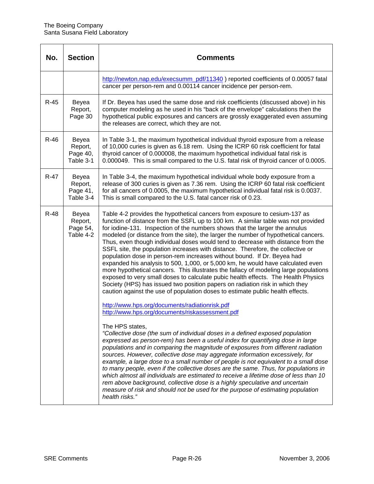| No.    | <b>Section</b>                            | Comments                                                                                                                                                                                                                                                                                                                                                                                                                                                                                                                                                                                                                                                                                                                                                                                                                                                                                                                                                                                                                                                                                                                                                                                                                                                                                                                                                                                                                                                                                                                                                                                                                                                                                                                                                                                                                                                                                                                                             |
|--------|-------------------------------------------|------------------------------------------------------------------------------------------------------------------------------------------------------------------------------------------------------------------------------------------------------------------------------------------------------------------------------------------------------------------------------------------------------------------------------------------------------------------------------------------------------------------------------------------------------------------------------------------------------------------------------------------------------------------------------------------------------------------------------------------------------------------------------------------------------------------------------------------------------------------------------------------------------------------------------------------------------------------------------------------------------------------------------------------------------------------------------------------------------------------------------------------------------------------------------------------------------------------------------------------------------------------------------------------------------------------------------------------------------------------------------------------------------------------------------------------------------------------------------------------------------------------------------------------------------------------------------------------------------------------------------------------------------------------------------------------------------------------------------------------------------------------------------------------------------------------------------------------------------------------------------------------------------------------------------------------------------|
|        |                                           | http://newton.nap.edu/execsumm_pdf/11340 ) reported coefficients of 0.00057 fatal<br>cancer per person-rem and 0.00114 cancer incidence per person-rem.                                                                                                                                                                                                                                                                                                                                                                                                                                                                                                                                                                                                                                                                                                                                                                                                                                                                                                                                                                                                                                                                                                                                                                                                                                                                                                                                                                                                                                                                                                                                                                                                                                                                                                                                                                                              |
| $R-45$ | Beyea<br>Report,<br>Page 30               | If Dr. Beyea has used the same dose and risk coefficients (discussed above) in his<br>computer modeling as he used in his "back of the envelope" calculations then the<br>hypothetical public exposures and cancers are grossly exaggerated even assuming<br>the releases are correct, which they are not.                                                                                                                                                                                                                                                                                                                                                                                                                                                                                                                                                                                                                                                                                                                                                                                                                                                                                                                                                                                                                                                                                                                                                                                                                                                                                                                                                                                                                                                                                                                                                                                                                                           |
| $R-46$ | Beyea<br>Report,<br>Page 40,<br>Table 3-1 | In Table 3-1, the maximum hypothetical individual thyroid exposure from a release<br>of 10,000 curies is given as 6.18 rem. Using the ICRP 60 risk coefficient for fatal<br>thyroid cancer of 0.000008, the maximum hypothetical individual fatal risk is<br>0.000049. This is small compared to the U.S. fatal risk of thyroid cancer of 0.0005.                                                                                                                                                                                                                                                                                                                                                                                                                                                                                                                                                                                                                                                                                                                                                                                                                                                                                                                                                                                                                                                                                                                                                                                                                                                                                                                                                                                                                                                                                                                                                                                                    |
| $R-47$ | Beyea<br>Report,<br>Page 41,<br>Table 3-4 | In Table 3-4, the maximum hypothetical individual whole body exposure from a<br>release of 300 curies is given as 7.36 rem. Using the ICRP 60 fatal risk coefficient<br>for all cancers of 0.0005, the maximum hypothetical individual fatal risk is 0.0037.<br>This is small compared to the U.S. fatal cancer risk of 0.23.                                                                                                                                                                                                                                                                                                                                                                                                                                                                                                                                                                                                                                                                                                                                                                                                                                                                                                                                                                                                                                                                                                                                                                                                                                                                                                                                                                                                                                                                                                                                                                                                                        |
| $R-48$ | Beyea<br>Report,<br>Page 54,<br>Table 4-2 | Table 4-2 provides the hypothetical cancers from exposure to cesium-137 as<br>function of distance from the SSFL up to 100 km. A similar table was not provided<br>for iodine-131. Inspection of the numbers shows that the larger the annulus<br>modeled (or distance from the site), the larger the number of hypothetical cancers.<br>Thus, even though individual doses would tend to decrease with distance from the<br>SSFL site, the population increases with distance. Therefore, the collective or<br>population dose in person-rem increases without bound. If Dr. Beyea had<br>expanded his analysis to 500, 1,000, or 5,000 km, he would have calculated even<br>more hypothetical cancers. This illustrates the fallacy of modeling large populations<br>exposed to very small doses to calculate pubic health effects. The Health Physics<br>Society (HPS) has issued two position papers on radiation risk in which they<br>caution against the use of population doses to estimate public health effects.<br>http://www.hps.org/documents/radiationrisk.pdf<br>http://www.hps.org/documents/riskassessment.pdf<br>The HPS states,<br>"Collective dose (the sum of individual doses in a defined exposed population<br>expressed as person-rem) has been a useful index for quantifying dose in large<br>populations and in comparing the magnitude of exposures from different radiation<br>sources. However, collective dose may aggregate information excessively, for<br>example, a large dose to a small number of people is not equivalent to a small dose<br>to many people, even if the collective doses are the same. Thus, for populations in<br>which almost all individuals are estimated to receive a lifetime dose of less than 10<br>rem above background, collective dose is a highly speculative and uncertain<br>measure of risk and should not be used for the purpose of estimating population<br>health risks." |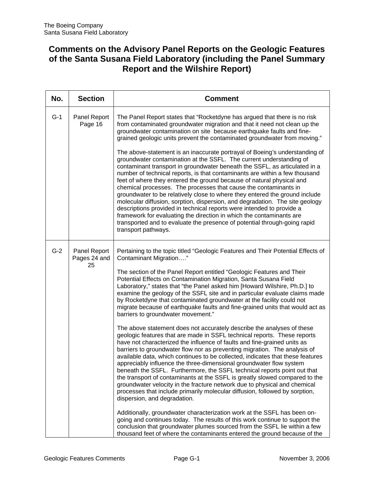### **Comments on the Advisory Panel Reports on the Geologic Features of the Santa Susana Field Laboratory (including the Panel Summary Report and the Wilshire Report)**

| No.   | <b>Section</b>               | <b>Comment</b>                                                                                                                                                                                                                                                                                                                                                                                                                                                                                                                                                                                                                                                                                                                                                                                                                                                                   |
|-------|------------------------------|----------------------------------------------------------------------------------------------------------------------------------------------------------------------------------------------------------------------------------------------------------------------------------------------------------------------------------------------------------------------------------------------------------------------------------------------------------------------------------------------------------------------------------------------------------------------------------------------------------------------------------------------------------------------------------------------------------------------------------------------------------------------------------------------------------------------------------------------------------------------------------|
| $G-1$ | Panel Report<br>Page 16      | The Panel Report states that "Rocketdyne has argued that there is no risk<br>from contaminated groundwater migration and that it need not clean up the<br>groundwater contamination on site because earthquake faults and fine-<br>grained geologic units prevent the contaminated groundwater from moving."                                                                                                                                                                                                                                                                                                                                                                                                                                                                                                                                                                     |
|       |                              | The above-statement is an inaccurate portrayal of Boeing's understanding of<br>groundwater contamination at the SSFL. The current understanding of<br>contaminant transport in groundwater beneath the SSFL, as articulated in a<br>number of technical reports, is that contaminants are within a few thousand<br>feet of where they entered the ground because of natural physical and<br>chemical processes. The processes that cause the contaminants in<br>groundwater to be relatively close to where they entered the ground include<br>molecular diffusion, sorption, dispersion, and degradation. The site geology<br>descriptions provided in technical reports were intended to provide a<br>framework for evaluating the direction in which the contaminants are<br>transported and to evaluate the presence of potential through-going rapid<br>transport pathways. |
| $G-2$ | Panel Report<br>Pages 24 and | Pertaining to the topic titled "Geologic Features and Their Potential Effects of<br>Contaminant Migration"                                                                                                                                                                                                                                                                                                                                                                                                                                                                                                                                                                                                                                                                                                                                                                       |
|       | 25                           | The section of the Panel Report entitled "Geologic Features and Their<br>Potential Effects on Contamination Migration, Santa Susana Field<br>Laboratory," states that "the Panel asked him [Howard Wilshire, Ph.D.] to<br>examine the geology of the SSFL site and in particular evaluate claims made<br>by Rocketdyne that contaminated groundwater at the facility could not<br>migrate because of earthquake faults and fine-grained units that would act as<br>barriers to groundwater movement."                                                                                                                                                                                                                                                                                                                                                                            |
|       |                              | The above statement does not accurately describe the analyses of these<br>geologic features that are made in SSFL technical reports. These reports<br>have not characterized the influence of faults and fine-grained units as<br>barriers to groundwater flow nor as preventing migration. The analysis of<br>available data, which continues to be collected, indicates that these features<br>appreciably influence the three-dimensional groundwater flow system<br>beneath the SSFL. Furthermore, the SSFL technical reports point out that<br>the transport of contaminants at the SSFL is greatly slowed compared to the<br>groundwater velocity in the fracture network due to physical and chemical<br>processes that include primarily molecular diffusion, followed by sorption,<br>dispersion, and degradation.                                                      |
|       |                              | Additionally, groundwater characterization work at the SSFL has been on-<br>going and continues today. The results of this work continue to support the<br>conclusion that groundwater plumes sourced from the SSFL lie within a few<br>thousand feet of where the contaminants entered the ground because of the                                                                                                                                                                                                                                                                                                                                                                                                                                                                                                                                                                |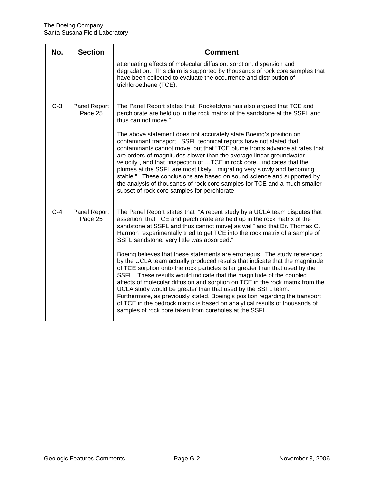| No.   | <b>Section</b>          | <b>Comment</b>                                                                                                                                                                                                                                                                                                                                                                                                                                                                                                                                                                                                                                                                                                                                                                                                                                                                                                                                                                                                                                                |
|-------|-------------------------|---------------------------------------------------------------------------------------------------------------------------------------------------------------------------------------------------------------------------------------------------------------------------------------------------------------------------------------------------------------------------------------------------------------------------------------------------------------------------------------------------------------------------------------------------------------------------------------------------------------------------------------------------------------------------------------------------------------------------------------------------------------------------------------------------------------------------------------------------------------------------------------------------------------------------------------------------------------------------------------------------------------------------------------------------------------|
|       |                         | attenuating effects of molecular diffusion, sorption, dispersion and<br>degradation. This claim is supported by thousands of rock core samples that<br>have been collected to evaluate the occurrence and distribution of<br>trichloroethene (TCE).                                                                                                                                                                                                                                                                                                                                                                                                                                                                                                                                                                                                                                                                                                                                                                                                           |
| $G-3$ | Panel Report<br>Page 25 | The Panel Report states that "Rocketdyne has also argued that TCE and<br>perchlorate are held up in the rock matrix of the sandstone at the SSFL and<br>thus can not move."<br>The above statement does not accurately state Boeing's position on<br>contaminant transport. SSFL technical reports have not stated that<br>contaminants cannot move, but that "TCE plume fronts advance at rates that<br>are orders-of-magnitudes slower than the average linear groundwater<br>velocity", and that "inspection of TCE in rock coreindicates that the<br>plumes at the SSFL are most likelymigrating very slowly and becoming<br>stable." These conclusions are based on sound science and supported by<br>the analysis of thousands of rock core samples for TCE and a much smaller<br>subset of rock core samples for perchlorate.                                                                                                                                                                                                                          |
| $G-4$ | Panel Report<br>Page 25 | The Panel Report states that "A recent study by a UCLA team disputes that<br>assertion [that TCE and perchlorate are held up in the rock matrix of the<br>sandstone at SSFL and thus cannot move] as well" and that Dr. Thomas C.<br>Harmon "experimentally tried to get TCE into the rock matrix of a sample of<br>SSFL sandstone; very little was absorbed."<br>Boeing believes that these statements are erroneous. The study referenced<br>by the UCLA team actually produced results that indicate that the magnitude<br>of TCE sorption onto the rock particles is far greater than that used by the<br>SSFL. These results would indicate that the magnitude of the coupled<br>affects of molecular diffusion and sorption on TCE in the rock matrix from the<br>UCLA study would be greater than that used by the SSFL team.<br>Furthermore, as previously stated, Boeing's position regarding the transport<br>of TCE in the bedrock matrix is based on analytical results of thousands of<br>samples of rock core taken from coreholes at the SSFL. |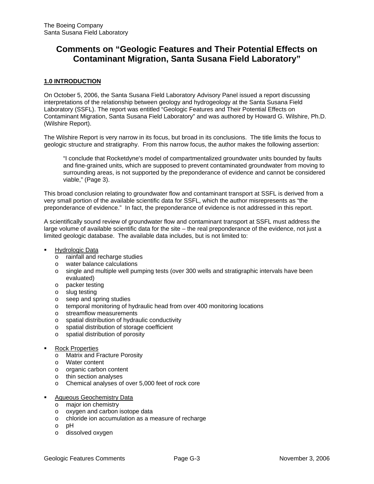### **Comments on "Geologic Features and Their Potential Effects on Contaminant Migration, Santa Susana Field Laboratory"**

#### **1.0 INTRODUCTION**

On October 5, 2006, the Santa Susana Field Laboratory Advisory Panel issued a report discussing interpretations of the relationship between geology and hydrogeology at the Santa Susana Field Laboratory (SSFL). The report was entitled "Geologic Features and Their Potential Effects on Contaminant Migration, Santa Susana Field Laboratory" and was authored by Howard G. Wilshire, Ph.D. (Wilshire Report).

The Wilshire Report is very narrow in its focus, but broad in its conclusions. The title limits the focus to geologic structure and stratigraphy. From this narrow focus, the author makes the following assertion:

"I conclude that Rocketdyne's model of compartmentalized groundwater units bounded by faults and fine-grained units, which are supposed to prevent contaminated groundwater from moving to surrounding areas, is not supported by the preponderance of evidence and cannot be considered viable," (Page 3).

This broad conclusion relating to groundwater flow and contaminant transport at SSFL is derived from a very small portion of the available scientific data for SSFL, which the author misrepresents as "the preponderance of evidence." In fact, the preponderance of evidence is not addressed in this report.

A scientifically sound review of groundwater flow and contaminant transport at SSFL must address the large volume of available scientific data for the site – the real preponderance of the evidence, not just a limited geologic database. The available data includes, but is not limited to:

- Hydrologic Data
	- o rainfall and recharge studies
	- o water balance calculations
	- o single and multiple well pumping tests (over 300 wells and stratigraphic intervals have been evaluated)
	- o packer testing
	- o slug testing
	- o seep and spring studies
	- o temporal monitoring of hydraulic head from over 400 monitoring locations
	- o streamflow measurements
	- o spatial distribution of hydraulic conductivity
	- o spatial distribution of storage coefficient
	- o spatial distribution of porosity
- Rock Properties
	- o Matrix and Fracture Porosity
	- o Water content
	- o organic carbon content
	- o thin section analyses
	- o Chemical analyses of over 5,000 feet of rock core
- Aqueous Geochemistry Data
	- o major ion chemistry
	- o oxygen and carbon isotope data
	- o chloride ion accumulation as a measure of recharge
	- o pH
	- o dissolved oxygen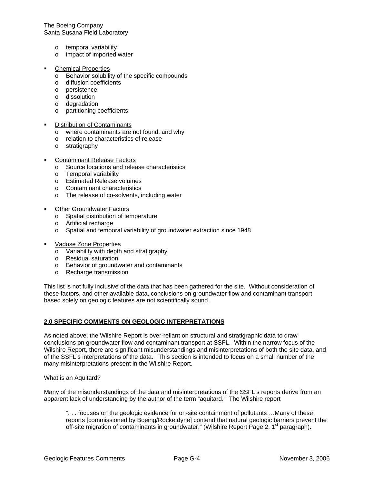The Boeing Company Santa Susana Field Laboratory

- o temporal variability
- o impact of imported water
- Chemical Properties
	- o Behavior solubility of the specific compounds
	- o diffusion coefficients
	- o persistence
	- o dissolution
	- o degradation
	- o partitioning coefficients
- Distribution of Contaminants
	- o where contaminants are not found, and why
	- o relation to characteristics of release
	- o stratigraphy
- Contaminant Release Factors
	- o Source locations and release characteristics
	- o Temporal variability
	- o Estimated Release volumes
	- o Contaminant characteristics
	- o The release of co-solvents, including water
- Other Groundwater Factors
	- o Spatial distribution of temperature
	- o Artificial recharge
	- o Spatial and temporal variability of groundwater extraction since 1948
- Vadose Zone Properties
	- o Variability with depth and stratigraphy
	- o Residual saturation
	- o Behavior of groundwater and contaminants
	- o Recharge transmission

This list is not fully inclusive of the data that has been gathered for the site. Without consideration of these factors, and other available data, conclusions on groundwater flow and contaminant transport based solely on geologic features are not scientifically sound.

#### **2.0 SPECIFIC COMMENTS ON GEOLOGIC INTERPRETATIONS**

As noted above, the Wilshire Report is over-reliant on structural and stratigraphic data to draw conclusions on groundwater flow and contaminant transport at SSFL. Within the narrow focus of the Wilshire Report, there are significant misunderstandings and misinterpretations of both the site data, and of the SSFL's interpretations of the data. This section is intended to focus on a small number of the many misinterpretations present in the Wilshire Report.

#### What is an Aquitard?

Many of the misunderstandings of the data and misinterpretations of the SSFL's reports derive from an apparent lack of understanding by the author of the term "aquitard." The Wilshire report

". . . focuses on the geologic evidence for on-site containment of pollutants….Many of these reports [commissioned by Boeing/Rocketdyne] contend that natural geologic barriers prevent the off-site migration of contaminants in groundwater," (Wilshire Report Page 2, 1<sup>st</sup> paragraph).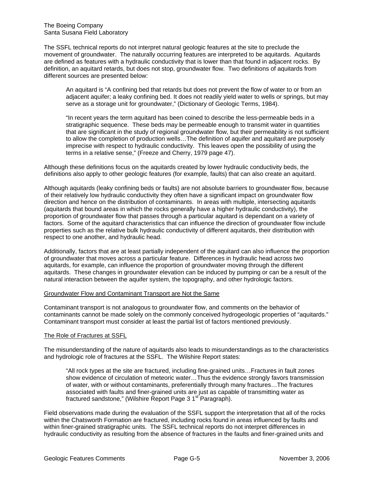The SSFL technical reports do not interpret natural geologic features at the site to preclude the movement of groundwater. The naturally occurring features are interpreted to be aquitards. Aquitards are defined as features with a hydraulic conductivity that is lower than that found in adjacent rocks. By definition, an aquitard retards, but does not stop, groundwater flow. Two definitions of aquitards from different sources are presented below:

An aquitard is "A confining bed that retards but does not prevent the flow of water to or from an adjacent aquifer; a leaky confining bed. It does not readily yield water to wells or springs, but may serve as a storage unit for groundwater," (Dictionary of Geologic Terms, 1984).

"In recent years the term aquitard has been coined to describe the less-permeable beds in a stratigraphic sequence. These beds may be permeable enough to transmit water in quantities that are significant in the study of regional groundwater flow, but their permeability is not sufficient to allow the completion of production wells…The definition of aquifer and aquitard are purposely imprecise with respect to hydraulic conductivity. This leaves open the possibility of using the terms in a relative sense," (Freeze and Cherry, 1979 page 47).

Although these definitions focus on the aquitards created by lower hydraulic conductivity beds, the definitions also apply to other geologic features (for example, faults) that can also create an aquitard.

Although aquitards (leaky confining beds or faults) are not absolute barriers to groundwater flow, because of their relatively low hydraulic conductivity they often have a significant impact on groundwater flow direction and hence on the distribution of contaminants. In areas with multiple, intersecting aquitards (aquitards that bound areas in which the rocks generally have a higher hydraulic conductivity), the proportion of groundwater flow that passes through a particular aquitard is dependant on a variety of factors. Some of the aquitard characteristics that can influence the direction of groundwater flow include properties such as the relative bulk hydraulic conductivity of different aquitards, their distribution with respect to one another, and hydraulic head.

Additionally, factors that are at least partially independent of the aquitard can also influence the proportion of groundwater that moves across a particular feature. Differences in hydraulic head across two aquitards, for example, can influence the proportion of groundwater moving through the different aquitards. These changes in groundwater elevation can be induced by pumping or can be a result of the natural interaction between the aquifer system, the topography, and other hydrologic factors.

#### Groundwater Flow and Contaminant Transport are Not the Same

Contaminant transport is not analogous to groundwater flow, and comments on the behavior of contaminants cannot be made solely on the commonly conceived hydrogeologic properties of "aquitards." Contaminant transport must consider at least the partial list of factors mentioned previously.

#### The Role of Fractures at SSFL

The misunderstanding of the nature of aquitards also leads to misunderstandings as to the characteristics and hydrologic role of fractures at the SSFL. The Wilshire Report states:

"All rock types at the site are fractured, including fine-grained units…Fractures in fault zones show evidence of circulation of meteoric water…Thus the evidence strongly favors transmission of water, with or without contaminants, preferentially through many fractures…The fractures associated with faults and finer-grained units are just as capable of transmitting water as fractured sandstone," (Wilshire Report Page 3 1<sup>st</sup> Paragraph).

Field observations made during the evaluation of the SSFL support the interpretation that all of the rocks within the Chatsworth Formation are fractured, including rocks found in areas influenced by faults and within finer-grained stratigraphic units. The SSFL technical reports do not interpret differences in hydraulic conductivity as resulting from the absence of fractures in the faults and finer-grained units and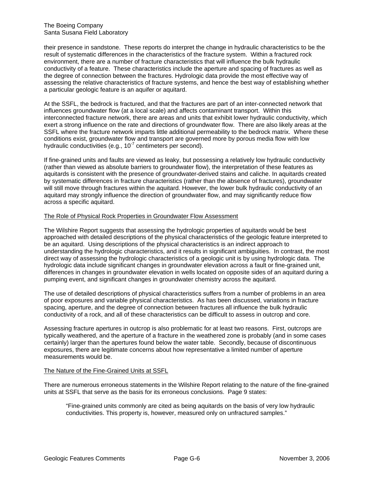their presence in sandstone. These reports do interpret the change in hydraulic characteristics to be the result of systematic differences in the characteristics of the fracture system. Within a fractured rock environment, there are a number of fracture characteristics that will influence the bulk hydraulic conductivity of a feature. These characteristics include the aperture and spacing of fractures as well as the degree of connection between the fractures. Hydrologic data provide the most effective way of assessing the relative characteristics of fracture systems, and hence the best way of establishing whether a particular geologic feature is an aquifer or aquitard.

At the SSFL, the bedrock is fractured, and that the fractures are part of an inter-connected network that influences groundwater flow (at a local scale) and affects contaminant transport. Within this interconnected fracture network, there are areas and units that exhibit lower hydraulic conductivity, which exert a strong influence on the rate and directions of groundwater flow. There are also likely areas at the SSFL where the fracture network imparts little additional permeability to the bedrock matrix. Where these conditions exist, groundwater flow and transport are governed more by porous media flow with low hydraulic conductivities (e.g.,  $10<sup>-7</sup>$  centimeters per second).

If fine-grained units and faults are viewed as leaky, but possessing a relatively low hydraulic conductivity (rather than viewed as absolute barriers to groundwater flow), the interpretation of these features as aquitards is consistent with the presence of groundwater-derived stains and caliche. In aquitards created by systematic differences in fracture characteristics (rather than the absence of fractures), groundwater will still move through fractures within the aquitard. However, the lower bulk hydraulic conductivity of an aquitard may strongly influence the direction of groundwater flow, and may significantly reduce flow across a specific aquitard.

#### The Role of Physical Rock Properties in Groundwater Flow Assessment

The Wilshire Report suggests that assessing the hydrologic properties of aquitards would be best approached with detailed descriptions of the physical characteristics of the geologic feature interpreted to be an aquitard. Using descriptions of the physical characteristics is an indirect approach to understanding the hydrologic characteristics, and it results in significant ambiguities. In contrast, the most direct way of assessing the hydrologic characteristics of a geologic unit is by using hydrologic data. The hydrologic data include significant changes in groundwater elevation across a fault or fine-grained unit, differences in changes in groundwater elevation in wells located on opposite sides of an aquitard during a pumping event, and significant changes in groundwater chemistry across the aquitard.

The use of detailed descriptions of physical characteristics suffers from a number of problems in an area of poor exposures and variable physical characteristics. As has been discussed, variations in fracture spacing, aperture, and the degree of connection between fractures all influence the bulk hydraulic conductivity of a rock, and all of these characteristics can be difficult to assess in outcrop and core.

Assessing fracture apertures in outcrop is also problematic for at least two reasons. First, outcrops are typically weathered, and the aperture of a fracture in the weathered zone is probably (and in some cases certainly) larger than the apertures found below the water table. Secondly, because of discontinuous exposures, there are legitimate concerns about how representative a limited number of aperture measurements would be.

#### The Nature of the Fine-Grained Units at SSFL

There are numerous erroneous statements in the Wilshire Report relating to the nature of the fine-grained units at SSFL that serve as the basis for its erroneous conclusions. Page 9 states:

"Fine-grained units commonly are cited as being aquitards on the basis of very low hydraulic conductivities. This property is, however, measured only on unfractured samples."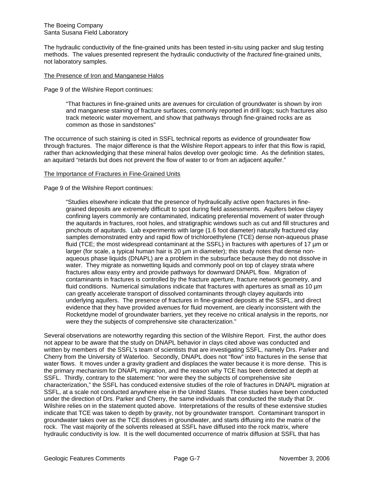The hydraulic conductivity of the fine-grained units has been tested in-situ using packer and slug testing methods. The values presented represent the hydraulic conductivity of the *fractured* fine-grained units, not laboratory samples.

#### The Presence of Iron and Manganese Halos

Page 9 of the Wilshire Report continues:

"That fractures in fine-grained units are avenues for circulation of groundwater is shown by iron and manganese staining of fracture surfaces, commonly reported in drill logs; such fractures also track meteoric water movement, and show that pathways through fine-grained rocks are as common as those in sandstones"

The occurrence of such staining is cited in SSFL technical reports as evidence of groundwater flow through fractures. The major difference is that the Wilshire Report appears to infer that this flow is rapid, rather than acknowledging that these mineral halos develop over geologic time. As the definition states, an aquitard "retards but does not prevent the flow of water to or from an adjacent aquifer."

#### The Importance of Fractures in Fine-Grained Units

Page 9 of the Wilshire Report continues:

"Studies elsewhere indicate that the presence of hydraulically active open fractures in finegrained deposits are extremely difficult to spot during field assessments. Aquifers below clayey confining layers commonly are contaminated, indicating preferential movement of water through the aquitards in fractures, root holes, and stratigraphic windows such as cut and fill structures and pinchouts of aquitards. Lab experiments with large (1.6 foot diameter) naturally fractured clay samples demonstrated entry and rapid flow of trichloroethylene (TCE) dense non-aqueous phase fluid (TCE; the most widespread contaminant at the SSFL) in fractures with apertures of 17 µm or larger (for scale, a typical human hair is 20  $\mu$ m in diameter); this study notes that dense nonaqueous phase liquids (DNAPL) are a problem in the subsurface because they do not dissolve in water. They migrate as nonwetting liquids and commonly pool on top of clayey strata where fractures allow easy entry and provide pathways for downward DNAPL flow. Migration of contaminants in fractures is controlled by the fracture aperture, fracture network geometry, and fluid conditions. Numerical simulations indicate that fractures with apertures as small as 10 um can greatly accelerate transport of dissolved contaminants through clayey aquitards into underlying aquifers. The presence of fractures in fine-grained deposits at the SSFL, and direct evidence that they have provided avenues for fluid movement, are clearly inconsistent with the Rocketdyne model of groundwater barriers, yet they receive no critical analysis in the reports, nor were they the subjects of comprehensive site characterization."

Several observations are noteworthy regarding this section of the Wilshire Report. First, the author does not appear to be aware that the study on DNAPL behavior in clays cited above was conducted and written by members of the SSFL's team of scientists that are investigating SSFL, namely Drs. Parker and Cherry from the University of Waterloo. Secondly, DNAPL does not "flow" into fractures in the sense that water flows. It moves under a gravity gradient and displaces the water because it is more dense. This is the primary mechanism for DNAPL migration, and the reason why TCE has been detected at depth at SSFL. Thirdly, contrary to the statement: "nor were they the subjects of comprehensive site characterization," the SSFL has conduced extensive studies of the role of fractures in DNAPL migration at SSFL, at a scale not conducted anywhere else in the United States. These studies have been conducted under the direction of Drs. Parker and Cherry, the same individuals that conducted the study that Dr. Wilshire relies on in the statement quoted above. Interpretations of the results of these extensive studies indicate that TCE was taken to depth by gravity, not by groundwater transport. Contaminant transport in groundwater takes over as the TCE dissolves in groundwater, and starts diffusing into the matrix of the rock. The vast majority of the solvents released at SSFL have diffused into the rock matrix, where hydraulic conductivity is low. It is the well documented occurrence of matrix diffusion at SSFL that has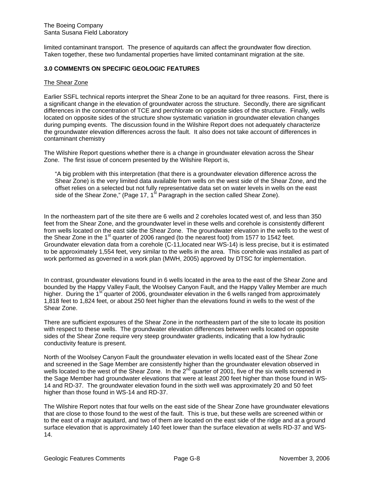limited contaminant transport. The presence of aquitards can affect the groundwater flow direction. Taken together, these two fundamental properties have limited contaminant migration at the site.

#### **3.0 COMMENTS ON SPECIFIC GEOLOGIC FEATURES**

#### The Shear Zone

Earlier SSFL technical reports interpret the Shear Zone to be an aquitard for three reasons. First, there is a significant change in the elevation of groundwater across the structure. Secondly, there are significant differences in the concentration of TCE and perchlorate on opposite sides of the structure. Finally, wells located on opposite sides of the structure show systematic variation in groundwater elevation changes during pumping events. The discussion found in the Wilshire Report does not adequately characterize the groundwater elevation differences across the fault. It also does not take account of differences in contaminant chemistry

The Wilshire Report questions whether there is a change in groundwater elevation across the Shear Zone. The first issue of concern presented by the Wilshire Report is,

"A big problem with this interpretation (that there is a groundwater elevation difference across the Shear Zone) is the very limited data available from wells on the west side of the Shear Zone, and the offset relies on a selected but not fully representative data set on water levels in wells on the east side of the Shear Zone," (Page 17, 1<sup>st</sup> Paragraph in the section called Shear Zone).

In the northeastern part of the site there are 6 wells and 2 coreholes located west of, and less than 350 feet from the Shear Zone, and the groundwater level in these wells and corehole is consistently different from wells located on the east side the Shear Zone. The groundwater elevation in the wells to the west of the Shear Zone in the  $1<sup>st</sup>$  quarter of 2006 ranged (to the nearest foot) from 1577 to 1542 feet. Groundwater elevation data from a corehole (C-11,located near WS-14) is less precise, but it is estimated to be approximately 1,554 feet, very similar to the wells in the area. This corehole was installed as part of work performed as governed in a work plan (MWH, 2005) approved by DTSC for implementation.

In contrast, groundwater elevations found in 6 wells located in the area to the east of the Shear Zone and bounded by the Happy Valley Fault, the Woolsey Canyon Fault, and the Happy Valley Member are much higher. During the  $1<sup>st</sup>$  quarter of 2006, groundwater elevation in the 6 wells ranged from approximately 1,818 feet to 1,824 feet, or about 250 feet higher than the elevations found in wells to the west of the Shear Zone.

There are sufficient exposures of the Shear Zone in the northeastern part of the site to locate its position with respect to these wells. The groundwater elevation differences between wells located on opposite sides of the Shear Zone require very steep groundwater gradients, indicating that a low hydraulic conductivity feature is present.

North of the Woolsey Canyon Fault the groundwater elevation in wells located east of the Shear Zone and screened in the Sage Member are consistently higher than the groundwater elevation observed in wells located to the west of the Shear Zone. In the  $2^{nd}$  quarter of 2001, five of the six wells screened in the Sage Member had groundwater elevations that were at least 200 feet higher than those found in WS-14 and RD-37. The groundwater elevation found in the sixth well was approximately 20 and 50 feet higher than those found in WS-14 and RD-37.

The Wilshire Report notes that four wells on the east side of the Shear Zone have groundwater elevations that are close to those found to the west of the fault. This is true, but these wells are screened within or to the east of a major aquitard, and two of them are located on the east side of the ridge and at a ground surface elevation that is approximately 140 feet lower than the surface elevation at wells RD-37 and WS-14.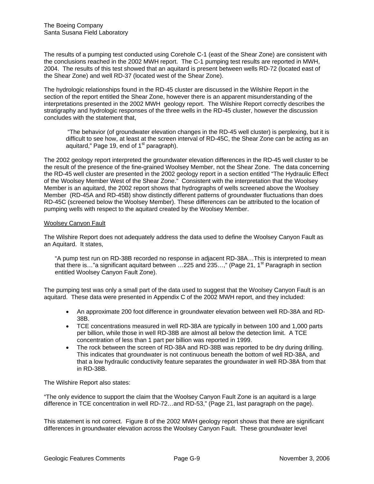The results of a pumping test conducted using Corehole C-1 (east of the Shear Zone) are consistent with the conclusions reached in the 2002 MWH report. The C-1 pumping test results are reported in MWH, 2004. The results of this test showed that an aquitard is present between wells RD-72 (located east of the Shear Zone) and well RD-37 (located west of the Shear Zone).

The hydrologic relationships found in the RD-45 cluster are discussed in the Wilshire Report in the section of the report entitled the Shear Zone, however there is an apparent misunderstanding of the interpretations presented in the 2002 MWH geology report. The Wilshire Report correctly describes the stratigraphy and hydrologic responses of the three wells in the RD-45 cluster, however the discussion concludes with the statement that,

 "The behavior (of groundwater elevation changes in the RD-45 well cluster) is perplexing, but it is difficult to see how, at least at the screen interval of RD-45C, the Shear Zone can be acting as an aquitard," Page 19, end of  $1<sup>st</sup>$  paragraph).

The 2002 geology report interpreted the groundwater elevation differences in the RD-45 well cluster to be the result of the presence of the fine-grained Woolsey Member, not the Shear Zone. The data concerning the RD-45 well cluster are presented in the 2002 geology report in a section entitled "The Hydraulic Effect of the Woolsey Member West of the Shear Zone." Consistent with the interpretation that the Woolsey Member is an aquitard, the 2002 report shows that hydrographs of wells screened above the Woolsey Member (RD-45A and RD-45B) show distinctly different patterns of groundwater fluctuations than does RD-45C (screened below the Woolsey Member). These differences can be attributed to the location of pumping wells with respect to the aquitard created by the Woolsey Member.

#### Woolsey Canyon Fault

The Wilshire Report does not adequately address the data used to define the Woolsey Canyon Fault as an Aquitard. It states,

"A pump test run on RD-38B recorded no response in adjacent RD-38A…This is interpreted to mean that there is..."a significant aquitard between ...225 and 235...," (Page 21, 1<sup>st</sup> Paragraph in section entitled Woolsey Canyon Fault Zone).

The pumping test was only a small part of the data used to suggest that the Woolsey Canyon Fault is an aquitard. These data were presented in Appendix C of the 2002 MWH report, and they included:

- An approximate 200 foot difference in groundwater elevation between well RD-38A and RD-38B.
- TCE concentrations measured in well RD-38A are typically in between 100 and 1,000 parts per billion, while those in well RD-38B are almost all below the detection limit. A TCE concentration of less than 1 part per billion was reported in 1999.
- The rock between the screen of RD-38A and RD-38B was reported to be dry during drilling. This indicates that groundwater is not continuous beneath the bottom of well RD-38A, and that a low hydraulic conductivity feature separates the groundwater in well RD-38A from that in RD-38B.

The Wilshire Report also states:

"The only evidence to support the claim that the Woolsey Canyon Fault Zone is an aquitard is a large difference in TCE concentration in well RD-72…and RD-53," (Page 21, last paragraph on the page).

This statement is not correct. Figure 8 of the 2002 MWH geology report shows that there are significant differences in groundwater elevation across the Woolsey Canyon Fault. These groundwater level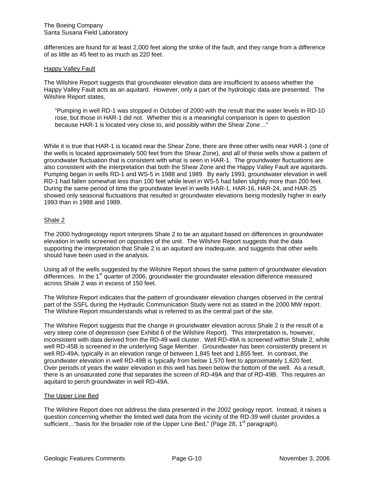differences are found for at least 2,000 feet along the strike of the fault, and they range from a difference of as little as 45 feet to as much as 220 feet.

#### Happy Valley Fault

The Wilshire Report suggests that groundwater elevation data are insufficient to assess whether the Happy Valley Fault acts as an aquitard. However, only a part of the hydrologic data are presented. The Wilshire Report states,

"Pumping in well RD-1 was stopped in October of 2000 with the result that the water levels in RD-10 rose, but those in HAR-1 did not. Whether this is a meaningful comparison is open to question because HAR-1 is located very close to, and possibly within the Shear Zone…"

While it is true that HAR-1 is located near the Shear Zone, there are three other wells near HAR-1 (one of the wells is located approximately 500 feet from the Shear Zone), and all of these wells show a pattern of groundwater fluctuation that is consistent with what is seen in HAR-1. The groundwater fluctuations are also consistent with the interpretation that both the Shear Zone and the Happy Valley Fault are aquitards. Pumping began in wells RD-1 and WS-5 in 1988 and 1989. By early 1993, groundwater elevation in well RD-1 had fallen somewhat less than 100 feet while level in WS-5 had fallen slightly more than 200 feet. During the same period of time the groundwater level in wells HAR-1, HAR-16, HAR-24, and HAR-25 showed only seasonal fluctuations that resulted in groundwater elevations being modestly higher in early 1993 than in 1988 and 1989.

#### Shale 2

The 2000 hydrogeology report interprets Shale 2 to be an aquitard based on differences in groundwater elevation in wells screened on opposites of the unit. The Wilshire Report suggests that the data supporting the interpretation that Shale 2 is an aquitard are inadequate, and suggests that other wells should have been used in the analysis.

Using all of the wells suggested by the Wilshire Report shows the same pattern of groundwater elevation differences. In the  $1<sup>st</sup>$  quarter of 2006, groundwater the groundwater elevation difference measured across Shale 2 was in excess of 150 feet.

The Wilshire Report indicates that the pattern of groundwater elevation changes observed in the central part of the SSFL during the Hydraulic Communication Study were not as stated in the 2000 MW report. The Wilshire Report misunderstands what is referred to as the central part of the site.

The Wilshire Report suggests that the change in groundwater elevation across Shale 2 is the result of a very steep cone of depression (see Exhibit 6 of the Wilshire Report). This interpretation is, however, inconsistent with data derived from the RD-49 well cluster. Well RD-49A is screened within Shale 2, while well RD-45B is screened in the underlying Sage Member. Groundwater has been consistently present in well RD-49A, typically in an elevation range of between 1,845 feet and 1,855 feet. In contrast, the groundwater elevation in well RD-49B is typically from below 1,570 feet to approximately 1,620 feet. Over periods of years the water elevation in this well has been below the bottom of the well. As a result, there is an unsaturated zone that separates the screen of RD-49A and that of RD-49B. This requires an aquitard to perch groundwater in well RD-49A.

#### The Upper Line Bed

The Wilshire Report does not address the data presented in the 2002 geology report. Instead, it raises a question concerning whether the limited well data from the vicinity of the RD-39 well cluster provides a sufficient... "basis for the broader role of the Upper Line Bed," (Page 28, 1<sup>st</sup> paragraph).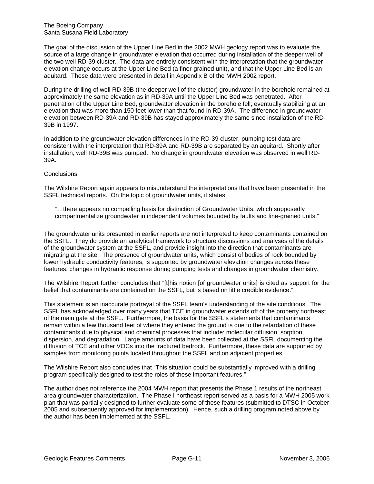The goal of the discussion of the Upper Line Bed in the 2002 MWH geology report was to evaluate the source of a large change in groundwater elevation that occurred during installation of the deeper well of the two well RD-39 cluster. The data are entirely consistent with the interpretation that the groundwater elevation change occurs at the Upper Line Bed (a finer-grained unit), and that the Upper Line Bed is an aquitard. These data were presented in detail in Appendix B of the MWH 2002 report.

During the drilling of well RD-39B (the deeper well of the cluster) groundwater in the borehole remained at approximately the same elevation as in RD-39A until the Upper Line Bed was penetrated. After penetration of the Upper Line Bed, groundwater elevation in the borehole fell; eventually stabilizing at an elevation that was more than 150 feet lower than that found in RD-39A. The difference in groundwater elevation between RD-39A and RD-39B has stayed approximately the same since installation of the RD-39B in 1997.

In addition to the groundwater elevation differences in the RD-39 cluster, pumping test data are consistent with the interpretation that RD-39A and RD-39B are separated by an aquitard. Shortly after installation, well RD-39B was pumped. No change in groundwater elevation was observed in well RD-39A.

#### **Conclusions**

The Wilshire Report again appears to misunderstand the interpretations that have been presented in the SSFL technical reports. On the topic of groundwater units, it states:

"…there appears no compelling basis for distinction of Groundwater Units, which supposedly compartmentalize groundwater in independent volumes bounded by faults and fine-grained units."

The groundwater units presented in earlier reports are not interpreted to keep contaminants contained on the SSFL. They do provide an analytical framework to structure discussions and analyses of the details of the groundwater system at the SSFL, and provide insight into the direction that contaminants are migrating at the site. The presence of groundwater units, which consist of bodies of rock bounded by lower hydraulic conductivity features, is supported by groundwater elevation changes across these features, changes in hydraulic response during pumping tests and changes in groundwater chemistry.

The Wilshire Report further concludes that "[t]his notion [of groundwater units] is cited as support for the belief that contaminants are contained on the SSFL, but is based on little credible evidence."

This statement is an inaccurate portrayal of the SSFL team's understanding of the site conditions. The SSFL has acknowledged over many years that TCE in groundwater extends off of the property northeast of the main gate at the SSFL. Furthermore, the basis for the SSFL's statements that contaminants remain within a few thousand feet of where they entered the ground is due to the retardation of these contaminants due to physical and chemical processes that include: molecular diffusion, sorption, dispersion, and degradation. Large amounts of data have been collected at the SSFL documenting the diffusion of TCE and other VOCs into the fractured bedrock. Furthermore, these data are supported by samples from monitoring points located throughout the SSFL and on adjacent properties.

The Wilshire Report also concludes that "This situation could be substantially improved with a drilling program specifically designed to test the roles of these important features."

The author does not reference the 2004 MWH report that presents the Phase 1 results of the northeast area groundwater characterization. The Phase I northeast report served as a basis for a MWH 2005 work plan that was partially designed to further evaluate some of these features (submitted to DTSC in October 2005 and subsequently approved for implementation). Hence, such a drilling program noted above by the author has been implemented at the SSFL.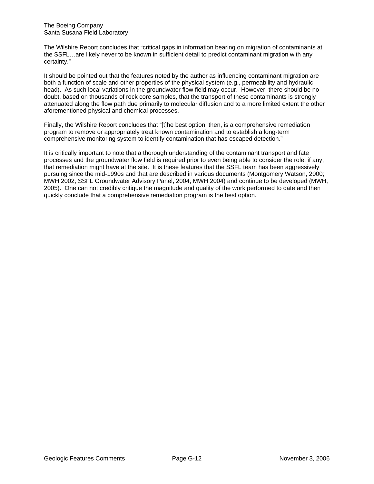The Boeing Company Santa Susana Field Laboratory

The Wilshire Report concludes that "critical gaps in information bearing on migration of contaminants at the SSFL…are likely never to be known in sufficient detail to predict contaminant migration with any certainty."

It should be pointed out that the features noted by the author as influencing contaminant migration are both a function of scale and other properties of the physical system (e.g., permeability and hydraulic head). As such local variations in the groundwater flow field may occur. However, there should be no doubt, based on thousands of rock core samples, that the transport of these contaminants is strongly attenuated along the flow path due primarily to molecular diffusion and to a more limited extent the other aforementioned physical and chemical processes.

Finally, the Wilshire Report concludes that "[t]he best option, then, is a comprehensive remediation program to remove or appropriately treat known contamination and to establish a long-term comprehensive monitoring system to identify contamination that has escaped detection."

It is critically important to note that a thorough understanding of the contaminant transport and fate processes and the groundwater flow field is required prior to even being able to consider the role, if any, that remediation might have at the site. It is these features that the SSFL team has been aggressively pursuing since the mid-1990s and that are described in various documents (Montgomery Watson, 2000; MWH 2002; SSFL Groundwater Advisory Panel, 2004; MWH 2004) and continue to be developed (MWH, 2005). One can not credibly critique the magnitude and quality of the work performed to date and then quickly conclude that a comprehensive remediation program is the best option.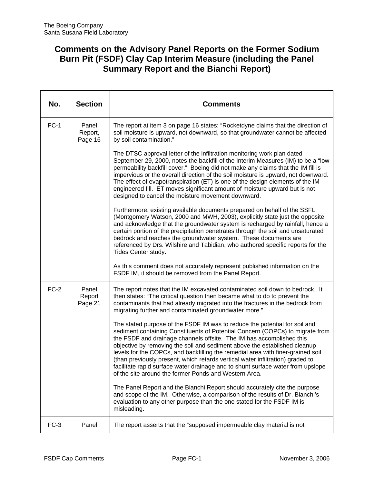### **Comments on the Advisory Panel Reports on the Former Sodium Burn Pit (FSDF) Clay Cap Interim Measure (including the Panel Summary Report and the Bianchi Report)**

| No.    | <b>Section</b>              | <b>Comments</b>                                                                                                                                                                                                                                                                                                                                                                                                                                                                                                                                                                                                                   |
|--------|-----------------------------|-----------------------------------------------------------------------------------------------------------------------------------------------------------------------------------------------------------------------------------------------------------------------------------------------------------------------------------------------------------------------------------------------------------------------------------------------------------------------------------------------------------------------------------------------------------------------------------------------------------------------------------|
| $FC-1$ | Panel<br>Report,<br>Page 16 | The report at item 3 on page 16 states: "Rocketdyne claims that the direction of<br>soil moisture is upward, not downward, so that groundwater cannot be affected<br>by soil contamination."                                                                                                                                                                                                                                                                                                                                                                                                                                      |
|        |                             | The DTSC approval letter of the infiltration monitoring work plan dated<br>September 29, 2000, notes the backfill of the Interim Measures (IM) to be a "low<br>permeability backfill cover." Boeing did not make any claims that the IM fill is<br>impervious or the overall direction of the soil moisture is upward, not downward.<br>The effect of evapotranspiration (ET) is one of the design elements of the IM<br>engineered fill. ET moves significant amount of moisture upward but is not<br>designed to cancel the moisture movement downward.                                                                         |
|        |                             | Furthermore, existing available documents prepared on behalf of the SSFL<br>(Montgomery Watson, 2000 and MWH, 2003), explicitly state just the opposite<br>and acknowledge that the groundwater system is recharged by rainfall, hence a<br>certain portion of the precipitation penetrates through the soil and unsaturated<br>bedrock and reaches the groundwater system. These documents are<br>referenced by Drs. Wilshire and Tabidian, who authored specific reports for the<br>Tides Center study.                                                                                                                         |
|        |                             | As this comment does not accurately represent published information on the<br>FSDF IM, it should be removed from the Panel Report.                                                                                                                                                                                                                                                                                                                                                                                                                                                                                                |
| $FC-2$ | Panel<br>Report<br>Page 21  | The report notes that the IM excavated contaminated soil down to bedrock. It<br>then states: "The critical question then became what to do to prevent the<br>contaminants that had already migrated into the fractures in the bedrock from<br>migrating further and contaminated groundwater more."                                                                                                                                                                                                                                                                                                                               |
|        |                             | The stated purpose of the FSDF IM was to reduce the potential for soil and<br>sediment containing Constituents of Potential Concern (COPCs) to migrate from<br>the FSDF and drainage channels offsite. The IM has accomplished this<br>objective by removing the soil and sediment above the established cleanup<br>levels for the COPCs, and backfilling the remedial area with finer-grained soil<br>(than previously present, which retards vertical water infiltration) graded to<br>facilitate rapid surface water drainage and to shunt surface water from upslope<br>of the site around the former Ponds and Western Area. |
|        |                             | The Panel Report and the Bianchi Report should accurately cite the purpose<br>and scope of the IM. Otherwise, a comparison of the results of Dr. Bianchi's<br>evaluation to any other purpose than the one stated for the FSDF IM is<br>misleading.                                                                                                                                                                                                                                                                                                                                                                               |
| $FC-3$ | Panel                       | The report asserts that the "supposed impermeable clay material is not                                                                                                                                                                                                                                                                                                                                                                                                                                                                                                                                                            |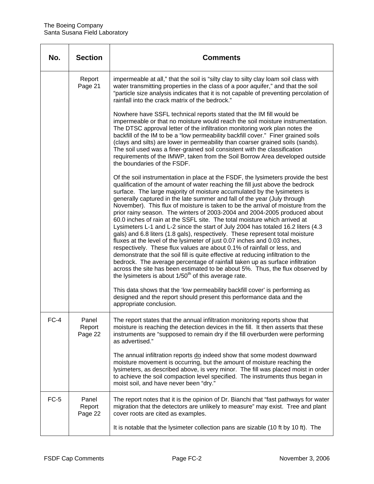| No.    | <b>Section</b>             | <b>Comments</b>                                                                                                                                                                                                                                                                                                                                                                                                                                                                                                                                                                                                                                                                                                                                                                                                                                                                                                                                                                                                                                                                                                                                                                                                                 |
|--------|----------------------------|---------------------------------------------------------------------------------------------------------------------------------------------------------------------------------------------------------------------------------------------------------------------------------------------------------------------------------------------------------------------------------------------------------------------------------------------------------------------------------------------------------------------------------------------------------------------------------------------------------------------------------------------------------------------------------------------------------------------------------------------------------------------------------------------------------------------------------------------------------------------------------------------------------------------------------------------------------------------------------------------------------------------------------------------------------------------------------------------------------------------------------------------------------------------------------------------------------------------------------|
|        | Report<br>Page 21          | impermeable at all," that the soil is "silty clay to silty clay loam soil class with<br>water transmitting properties in the class of a poor aquifer," and that the soil<br>"particle size analysis indicates that it is not capable of preventing percolation of<br>rainfall into the crack matrix of the bedrock."                                                                                                                                                                                                                                                                                                                                                                                                                                                                                                                                                                                                                                                                                                                                                                                                                                                                                                            |
|        |                            | Nowhere have SSFL technical reports stated that the IM fill would be<br>impermeable or that no moisture would reach the soil moisture instrumentation.<br>The DTSC approval letter of the infiltration monitoring work plan notes the<br>backfill of the IM to be a "low permeability backfill cover." Finer grained soils<br>(clays and silts) are lower in permeability than coarser grained soils (sands).<br>The soil used was a finer-grained soil consistent with the classification<br>requirements of the IMWP, taken from the Soil Borrow Area developed outside<br>the boundaries of the FSDF.                                                                                                                                                                                                                                                                                                                                                                                                                                                                                                                                                                                                                        |
|        |                            | Of the soil instrumentation in place at the FSDF, the lysimeters provide the best<br>qualification of the amount of water reaching the fill just above the bedrock<br>surface. The large majority of moisture accumulated by the lysimeters is<br>generally captured in the late summer and fall of the year (July through<br>November). This flux of moisture is taken to be the arrival of moisture from the<br>prior rainy season. The winters of 2003-2004 and 2004-2005 produced about<br>60.0 inches of rain at the SSFL site. The total moisture which arrived at<br>Lysimeters L-1 and L-2 since the start of July 2004 has totaled 16.2 liters (4.3<br>gals) and 6.8 liters (1.8 gals), respectively. These represent total moisture<br>fluxes at the level of the lysimeter of just 0.07 inches and 0.03 inches,<br>respectively. These flux values are about 0.1% of rainfall or less, and<br>demonstrate that the soil fill is quite effective at reducing infiltration to the<br>bedrock. The average percentage of rainfall taken up as surface infiltration<br>across the site has been estimated to be about 5%. Thus, the flux observed by<br>the lysimeters is about 1/50 <sup>th</sup> of this average rate. |
|        |                            | This data shows that the 'low permeability backfill cover' is performing as<br>designed and the report should present this performance data and the<br>appropriate conclusion.                                                                                                                                                                                                                                                                                                                                                                                                                                                                                                                                                                                                                                                                                                                                                                                                                                                                                                                                                                                                                                                  |
| $FC-4$ | Panel<br>Report<br>Page 22 | The report states that the annual infiltration monitoring reports show that<br>moisture is reaching the detection devices in the fill. It then asserts that these<br>instruments are "supposed to remain dry if the fill overburden were performing<br>as advertised."                                                                                                                                                                                                                                                                                                                                                                                                                                                                                                                                                                                                                                                                                                                                                                                                                                                                                                                                                          |
|        |                            | The annual infiltration reports do indeed show that some modest downward<br>moisture movement is occurring, but the amount of moisture reaching the<br>lysimeters, as described above, is very minor. The fill was placed moist in order<br>to achieve the soil compaction level specified. The instruments thus began in<br>moist soil, and have never been "dry."                                                                                                                                                                                                                                                                                                                                                                                                                                                                                                                                                                                                                                                                                                                                                                                                                                                             |
| $FC-5$ | Panel<br>Report<br>Page 22 | The report notes that it is the opinion of Dr. Bianchi that "fast pathways for water<br>migration that the detectors are unlikely to measure" may exist. Tree and plant<br>cover roots are cited as examples.                                                                                                                                                                                                                                                                                                                                                                                                                                                                                                                                                                                                                                                                                                                                                                                                                                                                                                                                                                                                                   |
|        |                            | It is notable that the lysimeter collection pans are sizable (10 ft by 10 ft). The                                                                                                                                                                                                                                                                                                                                                                                                                                                                                                                                                                                                                                                                                                                                                                                                                                                                                                                                                                                                                                                                                                                                              |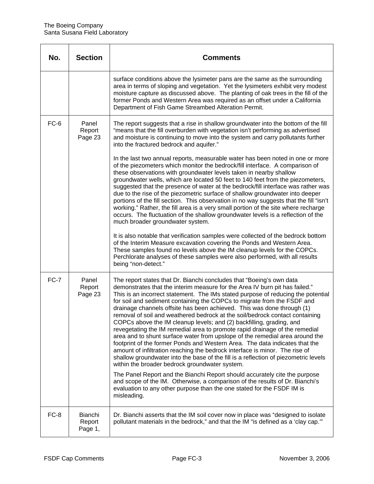| No.    | <b>Section</b>               | <b>Comments</b>                                                                                                                                                                                                                                                                                                                                                                                                                                                                                                                                                                                                                                                                                                                                                                                                                                                                                                                                                                                                                                                                                                                |
|--------|------------------------------|--------------------------------------------------------------------------------------------------------------------------------------------------------------------------------------------------------------------------------------------------------------------------------------------------------------------------------------------------------------------------------------------------------------------------------------------------------------------------------------------------------------------------------------------------------------------------------------------------------------------------------------------------------------------------------------------------------------------------------------------------------------------------------------------------------------------------------------------------------------------------------------------------------------------------------------------------------------------------------------------------------------------------------------------------------------------------------------------------------------------------------|
|        |                              | surface conditions above the lysimeter pans are the same as the surrounding<br>area in terms of sloping and vegetation. Yet the lysimeters exhibit very modest<br>moisture capture as discussed above. The planting of oak trees in the fill of the<br>former Ponds and Western Area was required as an offset under a California<br>Department of Fish Game Streambed Alteration Permit.                                                                                                                                                                                                                                                                                                                                                                                                                                                                                                                                                                                                                                                                                                                                      |
| FC-6   | Panel<br>Report<br>Page 23   | The report suggests that a rise in shallow groundwater into the bottom of the fill<br>"means that the fill overburden with vegetation isn't performing as advertised<br>and moisture is continuing to move into the system and carry pollutants further<br>into the fractured bedrock and aquifer."                                                                                                                                                                                                                                                                                                                                                                                                                                                                                                                                                                                                                                                                                                                                                                                                                            |
|        |                              | In the last two annual reports, measurable water has been noted in one or more<br>of the piezometers which monitor the bedrock/fill interface. A comparison of<br>these observations with groundwater levels taken in nearby shallow<br>groundwater wells, which are located 50 feet to 140 feet from the piezometers,<br>suggested that the presence of water at the bedrock/fill interface was rather was<br>due to the rise of the piezometric surface of shallow groundwater into deeper<br>portions of the fill section. This observation in no way suggests that the fill "isn't<br>working." Rather, the fill area is a very small portion of the site where recharge<br>occurs. The fluctuation of the shallow groundwater levels is a reflection of the<br>much broader groundwater system.<br>It is also notable that verification samples were collected of the bedrock bottom<br>of the Interim Measure excavation covering the Ponds and Western Area.<br>These samples found no levels above the IM cleanup levels for the COPCs.<br>Perchlorate analyses of these samples were also performed, with all results |
|        |                              | being "non-detect."                                                                                                                                                                                                                                                                                                                                                                                                                                                                                                                                                                                                                                                                                                                                                                                                                                                                                                                                                                                                                                                                                                            |
| $FC-7$ | Panel<br>Report<br>Page 23   | The report states that Dr. Bianchi concludes that "Boeing's own data<br>demonstrates that the interim measure for the Area IV burn pit has failed."<br>This is an incorrect statement. The IMs stated purpose of reducing the potential<br>for soil and sediment containing the COPCs to migrate from the FSDF and<br>drainage channels offsite has been achieved. This was done through (1)<br>removal of soil and weathered bedrock at the soil/bedrock contact containing<br>COPCs above the IM cleanup levels; and (2) backfilling, grading, and<br>revegetating the IM remedial area to promote rapid drainage of the remedial<br>area and to shunt surface water from upslope of the remedial area around the<br>footprint of the former Ponds and Western Area. The data indicates that the<br>amount of infiltration reaching the bedrock interface is minor. The rise of<br>shallow groundwater into the base of the fill is a reflection of piezometric levels<br>within the broader bedrock groundwater system.<br>The Panel Report and the Bianchi Report should accurately cite the purpose                       |
|        |                              | and scope of the IM. Otherwise, a comparison of the results of Dr. Bianchi's<br>evaluation to any other purpose than the one stated for the FSDF IM is<br>misleading.                                                                                                                                                                                                                                                                                                                                                                                                                                                                                                                                                                                                                                                                                                                                                                                                                                                                                                                                                          |
| FC-8   | Bianchi<br>Report<br>Page 1, | Dr. Bianchi asserts that the IM soil cover now in place was "designed to isolate<br>pollutant materials in the bedrock," and that the IM "is defined as a 'clay cap.""                                                                                                                                                                                                                                                                                                                                                                                                                                                                                                                                                                                                                                                                                                                                                                                                                                                                                                                                                         |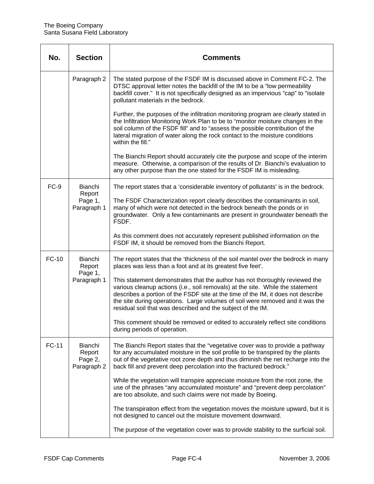| No.          | <b>Section</b>                              | <b>Comments</b>                                                                                                                                                                                                                                                                                                                                                                                   |
|--------------|---------------------------------------------|---------------------------------------------------------------------------------------------------------------------------------------------------------------------------------------------------------------------------------------------------------------------------------------------------------------------------------------------------------------------------------------------------|
|              | Paragraph 2                                 | The stated purpose of the FSDF IM is discussed above in Comment FC-2. The<br>DTSC approval letter notes the backfill of the IM to be a "low permeability<br>backfill cover." It is not specifically designed as an impervious "cap" to "isolate<br>pollutant materials in the bedrock.                                                                                                            |
|              |                                             | Further, the purposes of the infiltration monitoring program are clearly stated in<br>the Infiltration Monitoring Work Plan to be to "monitor moisture changes in the<br>soil column of the FSDF fill" and to "assess the possible contribution of the<br>lateral migration of water along the rock contact to the moisture conditions<br>within the fill."                                       |
|              |                                             | The Bianchi Report should accurately cite the purpose and scope of the interim<br>measure. Otherwise, a comparison of the results of Dr. Bianchi's evaluation to<br>any other purpose than the one stated for the FSDF IM is misleading.                                                                                                                                                          |
| $FC-9$       | Bianchi                                     | The report states that a 'considerable inventory of pollutants' is in the bedrock.                                                                                                                                                                                                                                                                                                                |
|              | Report<br>Page 1,<br>Paragraph 1            | The FSDF Characterization report clearly describes the contaminants in soil,<br>many of which were not detected in the bedrock beneath the ponds or in<br>groundwater. Only a few contaminants are present in groundwater beneath the<br>FSDF.                                                                                                                                                    |
|              |                                             | As this comment does not accurately represent published information on the<br>FSDF IM, it should be removed from the Bianchi Report.                                                                                                                                                                                                                                                              |
| <b>FC-10</b> | Bianchi<br>Report<br>Page 1,                | The report states that the 'thickness of the soil mantel over the bedrock in many<br>places was less than a foot and at its greatest five feet'.                                                                                                                                                                                                                                                  |
|              | Paragraph 1                                 | This statement demonstrates that the author has not thoroughly reviewed the<br>various cleanup actions (i.e., soil removals) at the site. While the statement<br>describes a portion of the FSDF site at the time of the IM, it does not describe<br>the site during operations. Large volumes of soil were removed and it was the<br>residual soil that was described and the subject of the IM. |
|              |                                             | This comment should be removed or edited to accurately reflect site conditions<br>during periods of operation.                                                                                                                                                                                                                                                                                    |
| <b>FC-11</b> | Bianchi<br>Report<br>Page 2,<br>Paragraph 2 | The Bianchi Report states that the "vegetative cover was to provide a pathway<br>for any accumulated moisture in the soil profile to be transpired by the plants<br>out of the vegetative root zone depth and thus diminish the net recharge into the<br>back fill and prevent deep percolation into the fractured bedrock."                                                                      |
|              |                                             | While the vegetation will transpire appreciate moisture from the root zone, the<br>use of the phrases "any accumulated moisture" and "prevent deep percolation"<br>are too absolute, and such claims were not made by Boeing.                                                                                                                                                                     |
|              |                                             | The transpiration effect from the vegetation moves the moisture upward, but it is<br>not designed to cancel out the moisture movement downward.                                                                                                                                                                                                                                                   |
|              |                                             | The purpose of the vegetation cover was to provide stability to the surficial soil.                                                                                                                                                                                                                                                                                                               |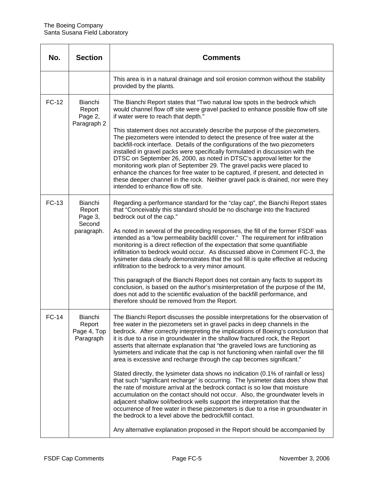| No.          | <b>Section</b>                                       | <b>Comments</b>                                                                                                                                                                                                                                                                                                                                                                                                                                                                                                                                                                                                                                                                                                                                                                                                                                                                                                                                                                                                                                                                                                                                                                                                                       |
|--------------|------------------------------------------------------|---------------------------------------------------------------------------------------------------------------------------------------------------------------------------------------------------------------------------------------------------------------------------------------------------------------------------------------------------------------------------------------------------------------------------------------------------------------------------------------------------------------------------------------------------------------------------------------------------------------------------------------------------------------------------------------------------------------------------------------------------------------------------------------------------------------------------------------------------------------------------------------------------------------------------------------------------------------------------------------------------------------------------------------------------------------------------------------------------------------------------------------------------------------------------------------------------------------------------------------|
|              |                                                      | This area is in a natural drainage and soil erosion common without the stability<br>provided by the plants.                                                                                                                                                                                                                                                                                                                                                                                                                                                                                                                                                                                                                                                                                                                                                                                                                                                                                                                                                                                                                                                                                                                           |
| FC-12        | Bianchi<br>Report<br>Page 2,<br>Paragraph 2          | The Bianchi Report states that "Two natural low spots in the bedrock which<br>would channel flow off site were gravel packed to enhance possible flow off site<br>if water were to reach that depth."<br>This statement does not accurately describe the purpose of the piezometers.<br>The piezometers were intended to detect the presence of free water at the<br>backfill-rock interface. Details of the configurations of the two piezometers<br>installed in gravel packs were specifically formulated in discussion with the<br>DTSC on September 26, 2000, as noted in DTSC's approval letter for the<br>monitoring work plan of September 29. The gravel packs were placed to<br>enhance the chances for free water to be captured, if present, and detected in<br>these deeper channel in the rock. Neither gravel pack is drained, nor were they<br>intended to enhance flow off site.                                                                                                                                                                                                                                                                                                                                     |
| <b>FC-13</b> | Bianchi<br>Report<br>Page 3,<br>Second<br>paragraph. | Regarding a performance standard for the "clay cap", the Bianchi Report states<br>that "Conceivably this standard should be no discharge into the fractured<br>bedrock out of the cap."<br>As noted in several of the preceding responses, the fill of the former FSDF was<br>intended as a "low permeability backfill cover." The requirement for infiltration<br>monitoring is a direct reflection of the expectation that some quantifiable<br>infiltration to bedrock would occur. As discussed above in Comment FC-3, the<br>lysimeter data clearly demonstrates that the soil fill is quite effective at reducing<br>infiltration to the bedrock to a very minor amount.<br>This paragraph of the Bianchi Report does not contain any facts to support its<br>conclusion, is based on the author's misinterpretation of the purpose of the IM,<br>does not add to the scientific evaluation of the backfill performance, and<br>therefore should be removed from the Report.                                                                                                                                                                                                                                                    |
| <b>FC-14</b> | Bianchi<br>Report<br>Page 4, Top<br>Paragraph        | The Bianchi Report discusses the possible interpretations for the observation of<br>free water in the piezometers set in gravel packs in deep channels in the<br>bedrock. After correctly interpreting the implications of Boeing's conclusion that<br>it is due to a rise in groundwater in the shallow fractured rock, the Report<br>asserts that alternate explanation that "the graveled lows are functioning as<br>lysimeters and indicate that the cap is not functioning when rainfall over the fill<br>area is excessive and recharge through the cap becomes significant."<br>Stated directly, the lysimeter data shows no indication (0.1% of rainfall or less)<br>that such "significant recharge" is occurring. The lysimeter data does show that<br>the rate of moisture arrival at the bedrock contact is so low that moisture<br>accumulation on the contact should not occur. Also, the groundwater levels in<br>adjacent shallow soil/bedrock wells support the interpretation that the<br>occurrence of free water in these piezometers is due to a rise in groundwater in<br>the bedrock to a level above the bedrock/fill contact.<br>Any alternative explanation proposed in the Report should be accompanied by |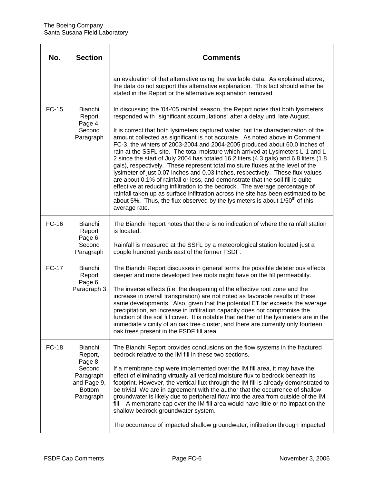| No.          | <b>Section</b>                                                                                    | <b>Comments</b>                                                                                                                                                                                                                                                                                                                                                                                                                                                                                                                                                                                                                                                                                                                                                                                                                                                                                                                                                                                                                                                                                                               |
|--------------|---------------------------------------------------------------------------------------------------|-------------------------------------------------------------------------------------------------------------------------------------------------------------------------------------------------------------------------------------------------------------------------------------------------------------------------------------------------------------------------------------------------------------------------------------------------------------------------------------------------------------------------------------------------------------------------------------------------------------------------------------------------------------------------------------------------------------------------------------------------------------------------------------------------------------------------------------------------------------------------------------------------------------------------------------------------------------------------------------------------------------------------------------------------------------------------------------------------------------------------------|
|              |                                                                                                   | an evaluation of that alternative using the available data. As explained above,<br>the data do not support this alternative explanation. This fact should either be<br>stated in the Report or the alternative explanation removed.                                                                                                                                                                                                                                                                                                                                                                                                                                                                                                                                                                                                                                                                                                                                                                                                                                                                                           |
| <b>FC-15</b> | Bianchi<br>Report<br>Page 4,<br>Second<br>Paragraph                                               | In discussing the '04-'05 rainfall season, the Report notes that both lysimeters<br>responded with "significant accumulations" after a delay until late August.<br>It is correct that both lysimeters captured water, but the characterization of the<br>amount collected as significant is not accurate. As noted above in Comment<br>FC-3, the winters of 2003-2004 and 2004-2005 produced about 60.0 inches of<br>rain at the SSFL site. The total moisture which arrived at Lysimeters L-1 and L-<br>2 since the start of July 2004 has totaled 16.2 liters (4.3 gals) and 6.8 liters (1.8<br>gals), respectively. These represent total moisture fluxes at the level of the<br>lysimeter of just 0.07 inches and 0.03 inches, respectively. These flux values<br>are about 0.1% of rainfall or less, and demonstrate that the soil fill is quite<br>effective at reducing infiltration to the bedrock. The average percentage of<br>rainfall taken up as surface infiltration across the site has been estimated to be<br>about 5%. Thus, the flux observed by the lysimeters is about $1/50th$ of this<br>average rate. |
| <b>FC-16</b> | Bianchi<br>Report<br>Page 6,<br>Second<br>Paragraph                                               | The Bianchi Report notes that there is no indication of where the rainfall station<br>is located.<br>Rainfall is measured at the SSFL by a meteorological station located just a<br>couple hundred yards east of the former FSDF.                                                                                                                                                                                                                                                                                                                                                                                                                                                                                                                                                                                                                                                                                                                                                                                                                                                                                             |
| <b>FC-17</b> | Bianchi<br>Report<br>Page 6,<br>Paragraph 3                                                       | The Bianchi Report discusses in general terms the possible deleterious effects<br>deeper and more developed tree roots might have on the fill permeability.<br>The inverse effects (i.e. the deepening of the effective root zone and the<br>increase in overall transpiration) are not noted as favorable results of these<br>same developments. Also, given that the potential ET far exceeds the average<br>precipitation, an increase in infiltration capacity does not compromise the<br>function of the soil fill cover. It is notable that neither of the lysimeters are in the<br>immediate vicinity of an oak tree cluster, and there are currently only fourteen<br>oak trees present in the FSDF fill area.                                                                                                                                                                                                                                                                                                                                                                                                        |
| <b>FC-18</b> | Bianchi<br>Report,<br>Page 8,<br>Second<br>Paragraph<br>and Page 9,<br><b>Bottom</b><br>Paragraph | The Bianchi Report provides conclusions on the flow systems in the fractured<br>bedrock relative to the IM fill in these two sections.<br>If a membrane cap were implemented over the IM fill area, it may have the<br>effect of eliminating virtually all vertical moisture flux to bedrock beneath its<br>footprint. However, the vertical flux through the IM fill is already demonstrated to<br>be trivial. We are in agreement with the author that the occurrence of shallow<br>groundwater is likely due to peripheral flow into the area from outside of the IM<br>fill. A membrane cap over the IM fill area would have little or no impact on the<br>shallow bedrock groundwater system.<br>The occurrence of impacted shallow groundwater, infiltration through impacted                                                                                                                                                                                                                                                                                                                                           |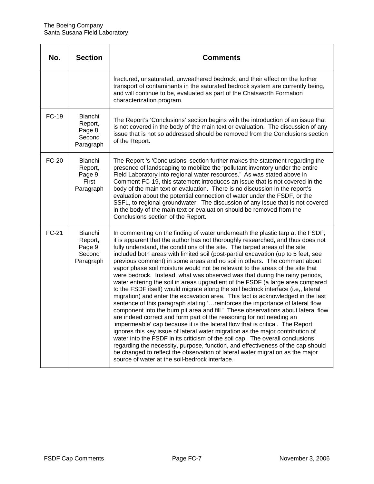| No.          | <b>Section</b>                                              | <b>Comments</b>                                                                                                                                                                                                                                                                                                                                                                                                                                                                                                                                                                                                                                                                                                                                                                                                                                                                                                                                                                                                                                                                                                                                                                                                                                                                                                                                                                                                                                                                                                                                                     |
|--------------|-------------------------------------------------------------|---------------------------------------------------------------------------------------------------------------------------------------------------------------------------------------------------------------------------------------------------------------------------------------------------------------------------------------------------------------------------------------------------------------------------------------------------------------------------------------------------------------------------------------------------------------------------------------------------------------------------------------------------------------------------------------------------------------------------------------------------------------------------------------------------------------------------------------------------------------------------------------------------------------------------------------------------------------------------------------------------------------------------------------------------------------------------------------------------------------------------------------------------------------------------------------------------------------------------------------------------------------------------------------------------------------------------------------------------------------------------------------------------------------------------------------------------------------------------------------------------------------------------------------------------------------------|
|              |                                                             | fractured, unsaturated, unweathered bedrock, and their effect on the further<br>transport of contaminants in the saturated bedrock system are currently being,<br>and will continue to be, evaluated as part of the Chatsworth Formation<br>characterization program.                                                                                                                                                                                                                                                                                                                                                                                                                                                                                                                                                                                                                                                                                                                                                                                                                                                                                                                                                                                                                                                                                                                                                                                                                                                                                               |
| FC-19        | <b>Bianchi</b><br>Report,<br>Page 8,<br>Second<br>Paragraph | The Report's 'Conclusions' section begins with the introduction of an issue that<br>is not covered in the body of the main text or evaluation. The discussion of any<br>issue that is not so addressed should be removed from the Conclusions section<br>of the Report.                                                                                                                                                                                                                                                                                                                                                                                                                                                                                                                                                                                                                                                                                                                                                                                                                                                                                                                                                                                                                                                                                                                                                                                                                                                                                             |
| <b>FC-20</b> | Bianchi<br>Report,<br>Page 9,<br>First<br>Paragraph         | The Report 's 'Conclusions' section further makes the statement regarding the<br>presence of landscaping to mobilize the 'pollutant inventory under the entire<br>Field Laboratory into regional water resources.' As was stated above in<br>Comment FC-19, this statement introduces an issue that is not covered in the<br>body of the main text or evaluation. There is no discussion in the report's<br>evaluation about the potential connection of water under the FSDF, or the<br>SSFL, to regional groundwater. The discussion of any issue that is not covered<br>in the body of the main text or evaluation should be removed from the<br>Conclusions section of the Report.                                                                                                                                                                                                                                                                                                                                                                                                                                                                                                                                                                                                                                                                                                                                                                                                                                                                              |
| <b>FC-21</b> | Bianchi<br>Report,<br>Page 9,<br>Second<br>Paragraph        | In commenting on the finding of water underneath the plastic tarp at the FSDF,<br>it is apparent that the author has not thoroughly researched, and thus does not<br>fully understand, the conditions of the site. The tarped areas of the site<br>included both areas with limited soil (post-partial excavation (up to 5 feet, see<br>previous comment) in some areas and no soil in others. The comment about<br>vapor phase soil moisture would not be relevant to the areas of the site that<br>were bedrock. Instead, what was observed was that during the rainy periods,<br>water entering the soil in areas upgradient of the FSDF (a large area compared<br>to the FSDF itself) would migrate along the soil bedrock interface (i.e., lateral<br>migration) and enter the excavation area. This fact is acknowledged in the last<br>sentence of this paragraph stating ' reinforces the importance of lateral flow<br>component into the burn pit area and fill.' These observations about lateral flow<br>are indeed correct and form part of the reasoning for not needing an<br>'impermeable' cap because it is the lateral flow that is critical. The Report<br>ignores this key issue of lateral water migration as the major contribution of<br>water into the FSDF in its criticism of the soil cap. The overall conclusions<br>regarding the necessity, purpose, function, and effectiveness of the cap should<br>be changed to reflect the observation of lateral water migration as the major<br>source of water at the soil-bedrock interface. |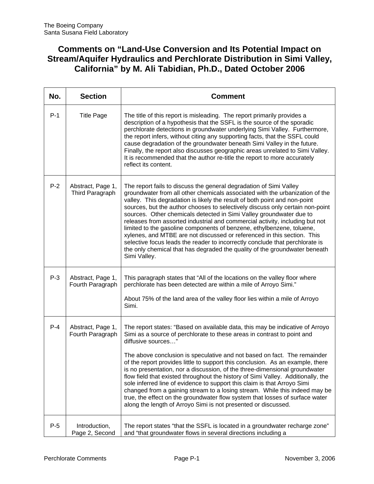### **Comments on "Land-Use Conversion and Its Potential Impact on Stream/Aquifer Hydraulics and Perchlorate Distribution in Simi Valley, California" by M. Ali Tabidian, Ph.D., Dated October 2006**

| No.   | <b>Section</b>                        | <b>Comment</b>                                                                                                                                                                                                                                                                                                                                                                                                                                                                                                                                                                                                                                                                                                                                                                                                             |
|-------|---------------------------------------|----------------------------------------------------------------------------------------------------------------------------------------------------------------------------------------------------------------------------------------------------------------------------------------------------------------------------------------------------------------------------------------------------------------------------------------------------------------------------------------------------------------------------------------------------------------------------------------------------------------------------------------------------------------------------------------------------------------------------------------------------------------------------------------------------------------------------|
| $P-1$ | <b>Title Page</b>                     | The title of this report is misleading. The report primarily provides a<br>description of a hypothesis that the SSFL is the source of the sporadic<br>perchlorate detections in groundwater underlying Simi Valley. Furthermore,<br>the report infers, without citing any supporting facts, that the SSFL could<br>cause degradation of the groundwater beneath Simi Valley in the future.<br>Finally, the report also discusses geographic areas unrelated to Simi Valley.<br>It is recommended that the author re-title the report to more accurately<br>reflect its content.                                                                                                                                                                                                                                            |
| $P-2$ | Abstract, Page 1,<br>Third Paragraph  | The report fails to discuss the general degradation of Simi Valley<br>groundwater from all other chemicals associated with the urbanization of the<br>valley. This degradation is likely the result of both point and non-point<br>sources, but the author chooses to selectively discuss only certain non-point<br>sources. Other chemicals detected in Simi Valley groundwater due to<br>releases from assorted industrial and commercial activity, including but not<br>limited to the gasoline components of benzene, ethylbenzene, toluene,<br>xylenes, and MTBE are not discussed or referenced in this section. This<br>selective focus leads the reader to incorrectly conclude that perchlorate is<br>the only chemical that has degraded the quality of the groundwater beneath<br>Simi Valley.                  |
| $P-3$ | Abstract, Page 1,<br>Fourth Paragraph | This paragraph states that "All of the locations on the valley floor where<br>perchlorate has been detected are within a mile of Arroyo Simi."<br>About 75% of the land area of the valley floor lies within a mile of Arroyo<br>Simi.                                                                                                                                                                                                                                                                                                                                                                                                                                                                                                                                                                                     |
| $P-4$ | Abstract, Page 1,<br>Fourth Paragraph | The report states: "Based on available data, this may be indicative of Arroyo<br>Simi as a source of perchlorate to these areas in contrast to point and<br>diffusive sources"<br>The above conclusion is speculative and not based on fact. The remainder<br>of the report provides little to support this conclusion. As an example, there<br>is no presentation, nor a discussion, of the three-dimensional groundwater<br>flow field that existed throughout the history of Simi Valley. Additionally, the<br>sole inferred line of evidence to support this claim is that Arroyo Simi<br>changed from a gaining stream to a losing stream. While this indeed may be<br>true, the effect on the groundwater flow system that losses of surface water<br>along the length of Arroyo Simi is not presented or discussed. |
| $P-5$ | Introduction,<br>Page 2, Second       | The report states "that the SSFL is located in a groundwater recharge zone"<br>and "that groundwater flows in several directions including a                                                                                                                                                                                                                                                                                                                                                                                                                                                                                                                                                                                                                                                                               |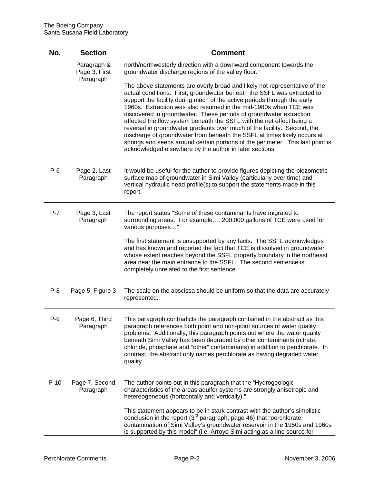| No.    | <b>Section</b>                            | <b>Comment</b>                                                                                                                                                                                                                                                                                                                                                                                                                                                                                                                                                                                                                                                                                                                                                                                                                                                                          |
|--------|-------------------------------------------|-----------------------------------------------------------------------------------------------------------------------------------------------------------------------------------------------------------------------------------------------------------------------------------------------------------------------------------------------------------------------------------------------------------------------------------------------------------------------------------------------------------------------------------------------------------------------------------------------------------------------------------------------------------------------------------------------------------------------------------------------------------------------------------------------------------------------------------------------------------------------------------------|
|        | Paragraph &<br>Page 3, First<br>Paragraph | north/northwesterly direction with a downward component towards the<br>groundwater discharge regions of the valley floor."<br>The above statements are overly broad and likely not representative of the<br>actual conditions. First, groundwater beneath the SSFL was extracted to<br>support the facility during much of the active periods through the early<br>1960s. Extraction was also resumed in the mid-1980s when TCE was<br>discovered in groundwater. These periods of groundwater extraction<br>affected the flow system beneath the SSFL with the net effect being a<br>reversal in groundwater gradients over much of the facility. Second, the<br>discharge of groundwater from beneath the SSFL at times likely occurs at<br>springs and seeps around certain portions of the perimeter. This last point is<br>acknowledged elsewhere by the author in later sections. |
| $P-6$  | Page 2, Last<br>Paragraph                 | It would be useful for the author to provide figures depicting the piezometric<br>surface map of groundwater in Simi Valley (particularly over time) and<br>vertical hydraulic head profile(s) to support the statements made in this<br>report.                                                                                                                                                                                                                                                                                                                                                                                                                                                                                                                                                                                                                                        |
| $P-7$  | Page 3, Last<br>Paragraph                 | The report states "Some of these contaminants have migrated to<br>surrounding areas. For example,, 200, 000 gallons of TCE were used for<br>various purposes"<br>The first statement is unsupported by any facts. The SSFL acknowledges<br>and has known and reported the fact that TCE is dissolved in groundwater<br>whose extent reaches beyond the SSFL property boundary in the northeast<br>area near the main entrance to the SSFL. The second sentence is<br>completely unrelated to the first sentence.                                                                                                                                                                                                                                                                                                                                                                        |
| $P-8$  | Page 5, Figure 3                          | The scale on the abscissa should be uniform so that the data are accurately<br>represented.                                                                                                                                                                                                                                                                                                                                                                                                                                                                                                                                                                                                                                                                                                                                                                                             |
| P-9    | Page 6, Third<br>Paragraph                | This paragraph contradicts the paragraph contained in the abstract as this<br>paragraph references both point and non-point sources of water quality<br>problems. Additionally, this paragraph points out where the water quality<br>beneath Simi Valley has been degraded by other contaminants (nitrate,<br>chloride, phosphate and "other" contaminants) in addition to perchlorate. In<br>contrast, the abstract only names perchlorate as having degraded water<br>quality.                                                                                                                                                                                                                                                                                                                                                                                                        |
| $P-10$ | Page 7, Second<br>Paragraph               | The author points out in this paragraph that the "Hydrogeologic<br>characteristics of the areas aquifer systems are strongly anisotropic and<br>hetereogeneous (horizontally and vertically)."<br>This statement appears to be in stark contrast with the author's simplistic<br>conclusion in the report (3 <sup>rd</sup> paragraph, page 46) that "perchlorate<br>contamination of Simi Valley's groundwater reservoir in the 1950s and 1960s<br>is supported by this model" (i.e, Arroyo Simi acting as a line source for                                                                                                                                                                                                                                                                                                                                                            |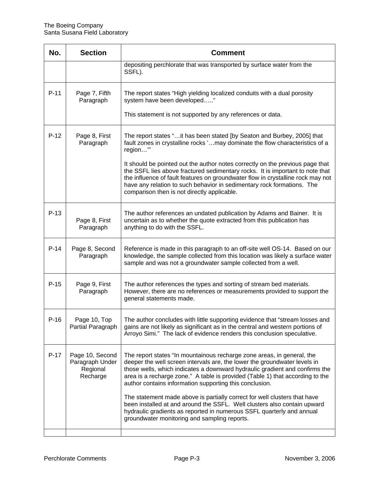| No.    | <b>Section</b>                                             | <b>Comment</b>                                                                                                                                                                                                                                                                                                                                                                 |
|--------|------------------------------------------------------------|--------------------------------------------------------------------------------------------------------------------------------------------------------------------------------------------------------------------------------------------------------------------------------------------------------------------------------------------------------------------------------|
|        |                                                            | depositing perchlorate that was transported by surface water from the<br>SSFL).                                                                                                                                                                                                                                                                                                |
| $P-11$ | Page 7, Fifth<br>Paragraph                                 | The report states "High yielding localized conduits with a dual porosity<br>system have been developed"                                                                                                                                                                                                                                                                        |
|        |                                                            | This statement is not supported by any references or data.                                                                                                                                                                                                                                                                                                                     |
| $P-12$ | Page 8, First<br>Paragraph                                 | The report states " it has been stated [by Seaton and Burbey, 2005] that<br>fault zones in crystalline rocks ' may dominate the flow characteristics of a<br>region"                                                                                                                                                                                                           |
|        |                                                            | It should be pointed out the author notes correctly on the previous page that<br>the SSFL lies above fractured sedimentary rocks. It is important to note that<br>the influence of fault features on groundwater flow in crystalline rock may not<br>have any relation to such behavior in sedimentary rock formations. The<br>comparison then is not directly applicable.     |
| $P-13$ | Page 8, First<br>Paragraph                                 | The author references an undated publication by Adams and Bainer. It is<br>uncertain as to whether the quote extracted from this publication has<br>anything to do with the SSFL.                                                                                                                                                                                              |
| $P-14$ | Page 8, Second<br>Paragraph                                | Reference is made in this paragraph to an off-site well OS-14. Based on our<br>knowledge, the sample collected from this location was likely a surface water<br>sample and was not a groundwater sample collected from a well.                                                                                                                                                 |
| $P-15$ | Page 9, First<br>Paragraph                                 | The author references the types and sorting of stream bed materials.<br>However, there are no references or measurements provided to support the<br>general statements made.                                                                                                                                                                                                   |
| $P-16$ | Page 10, I op<br>Partial Paragraph                         | The author concludes with little supporting evidence that "stream losses and<br>gains are not likely as significant as in the central and western portions of<br>Arroyo Simi." The lack of evidence renders this conclusion speculative.                                                                                                                                       |
| $P-17$ | Page 10, Second<br>Paragraph Under<br>Regional<br>Recharge | The report states "In mountainous recharge zone areas, in general, the<br>deeper the well screen intervals are, the lower the groundwater levels in<br>those wells, which indicates a downward hydraulic gradient and confirms the<br>area is a recharge zone." A table is provided (Table 1) that according to the<br>author contains information supporting this conclusion. |
|        |                                                            | The statement made above is partially correct for well clusters that have<br>been installed at and around the SSFL. Well clusters also contain upward<br>hydraulic gradients as reported in numerous SSFL quarterly and annual<br>groundwater monitoring and sampling reports.                                                                                                 |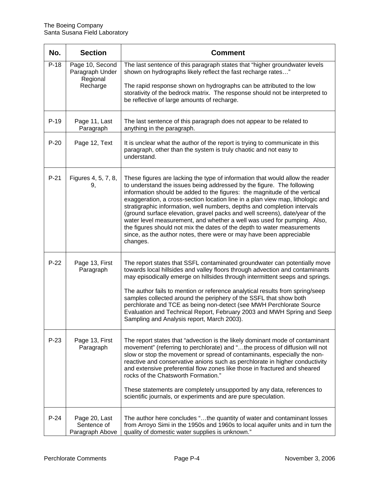| No.    | <b>Section</b>                                             | <b>Comment</b>                                                                                                                                                                                                                                                                                                                                                                                                                                                                                                                                                                                                                                                                                                            |
|--------|------------------------------------------------------------|---------------------------------------------------------------------------------------------------------------------------------------------------------------------------------------------------------------------------------------------------------------------------------------------------------------------------------------------------------------------------------------------------------------------------------------------------------------------------------------------------------------------------------------------------------------------------------------------------------------------------------------------------------------------------------------------------------------------------|
| $P-18$ | Page 10, Second<br>Paragraph Under<br>Regional<br>Recharge | The last sentence of this paragraph states that "higher groundwater levels<br>shown on hydrographs likely reflect the fast recharge rates"<br>The rapid response shown on hydrographs can be attributed to the low<br>storativity of the bedrock matrix. The response should not be interpreted to<br>be reflective of large amounts of recharge.                                                                                                                                                                                                                                                                                                                                                                         |
| $P-19$ | Page 11, Last<br>Paragraph                                 | The last sentence of this paragraph does not appear to be related to<br>anything in the paragraph.                                                                                                                                                                                                                                                                                                                                                                                                                                                                                                                                                                                                                        |
| $P-20$ | Page 12, Text                                              | It is unclear what the author of the report is trying to communicate in this<br>paragraph, other than the system is truly chaotic and not easy to<br>understand.                                                                                                                                                                                                                                                                                                                                                                                                                                                                                                                                                          |
| $P-21$ | Figures 4, 5, 7, 8,<br>9,                                  | These figures are lacking the type of information that would allow the reader<br>to understand the issues being addressed by the figure. The following<br>information should be added to the figures: the magnitude of the vertical<br>exaggeration, a cross-section location line in a plan view map, lithologic and<br>stratigraphic information, well numbers, depths and completion intervals<br>(ground surface elevation, gravel packs and well screens), date/year of the<br>water level measurement, and whether a well was used for pumping. Also,<br>the figures should not mix the dates of the depth to water measurements<br>since, as the author notes, there were or may have been appreciable<br>changes. |
| $P-22$ | Page 13, First<br>Paragraph                                | The report states that SSFL contaminated groundwater can potentially move<br>towards local hillsides and valley floors through advection and contaminants<br>may episodically emerge on hillsides through intermittent seeps and springs.<br>The author fails to mention or reference analytical results from spring/seep<br>samples collected around the periphery of the SSFL that show both<br>perchlorate and TCE as being non-detect (see MWH Perchlorate Source<br>Evaluation and Technical Report, February 2003 and MWH Spring and Seep<br>Sampling and Analysis report, March 2003).                                                                                                                             |
| $P-23$ | Page 13, First<br>Paragraph                                | The report states that "advection is the likely dominant mode of contaminant<br>movement" (referring to perchlorate) and "the process of diffusion will not<br>slow or stop the movement or spread of contaminants, especially the non-<br>reactive and conservative anions such as perchlorate in higher conductivity<br>and extensive preferential flow zones like those in fractured and sheared<br>rocks of the Chatsworth Formation."<br>These statements are completely unsupported by any data, references to<br>scientific journals, or experiments and are pure speculation.                                                                                                                                     |
| $P-24$ | Page 20, Last<br>Sentence of<br>Paragraph Above            | The author here concludes "the quantity of water and contaminant losses<br>from Arroyo Simi in the 1950s and 1960s to local aquifer units and in turn the<br>quality of domestic water supplies is unknown."                                                                                                                                                                                                                                                                                                                                                                                                                                                                                                              |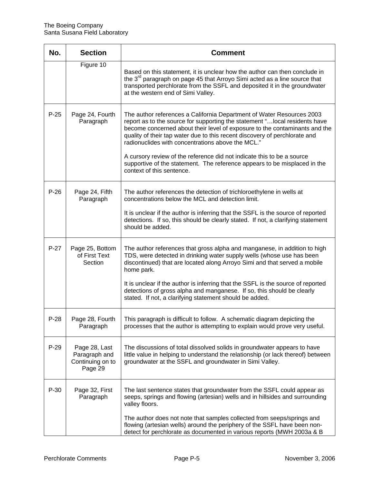| No.    | <b>Section</b>                                                | <b>Comment</b>                                                                                                                                                                                                                                                                                                                                                                                                                                                                                                                                            |
|--------|---------------------------------------------------------------|-----------------------------------------------------------------------------------------------------------------------------------------------------------------------------------------------------------------------------------------------------------------------------------------------------------------------------------------------------------------------------------------------------------------------------------------------------------------------------------------------------------------------------------------------------------|
|        | Figure 10                                                     | Based on this statement, it is unclear how the author can then conclude in<br>the 3 <sup>rd</sup> paragraph on page 45 that Arroyo Simi acted as a line source that<br>transported perchlorate from the SSFL and deposited it in the groundwater<br>at the western end of Simi Valley.                                                                                                                                                                                                                                                                    |
| $P-25$ | Page 24, Fourth<br>Paragraph                                  | The author references a California Department of Water Resources 2003<br>report as to the source for supporting the statement " local residents have<br>become concerned about their level of exposure to the contaminants and the<br>quality of their tap water due to this recent discovery of perchlorate and<br>radionuclides with concentrations above the MCL."<br>A cursory review of the reference did not indicate this to be a source<br>supportive of the statement. The reference appears to be misplaced in the<br>context of this sentence. |
| $P-26$ | Page 24, Fifth<br>Paragraph                                   | The author references the detection of trichloroethylene in wells at<br>concentrations below the MCL and detection limit.<br>It is unclear if the author is inferring that the SSFL is the source of reported<br>detections. If so, this should be clearly stated. If not, a clarifying statement<br>should be added.                                                                                                                                                                                                                                     |
| $P-27$ | Page 25, Bottom<br>of First Text<br>Section                   | The author references that gross alpha and manganese, in addition to high<br>TDS, were detected in drinking water supply wells (whose use has been<br>discontinued) that are located along Arroyo Simi and that served a mobile<br>home park.<br>It is unclear if the author is inferring that the SSFL is the source of reported<br>detections of gross alpha and manganese. If so, this should be clearly<br>stated. If not, a clarifying statement should be added.                                                                                    |
| $P-28$ | Page 28, Fourth<br>Paragraph                                  | This paragraph is difficult to follow. A schematic diagram depicting the<br>processes that the author is attempting to explain would prove very useful.                                                                                                                                                                                                                                                                                                                                                                                                   |
| $P-29$ | Page 28, Last<br>Paragraph and<br>Continuing on to<br>Page 29 | The discussions of total dissolved solids in groundwater appears to have<br>little value in helping to understand the relationship (or lack thereof) between<br>groundwater at the SSFL and groundwater in Simi Valley.                                                                                                                                                                                                                                                                                                                                   |
| $P-30$ | Page 32, First<br>Paragraph                                   | The last sentence states that groundwater from the SSFL could appear as<br>seeps, springs and flowing (artesian) wells and in hillsides and surrounding<br>valley floors.<br>The author does not note that samples collected from seeps/springs and<br>flowing (artesian wells) around the periphery of the SSFL have been non-                                                                                                                                                                                                                           |
|        |                                                               | detect for perchlorate as documented in various reports (MWH 2003a & B                                                                                                                                                                                                                                                                                                                                                                                                                                                                                    |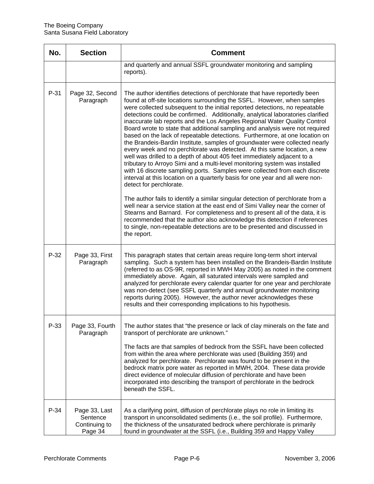| No.    | <b>Section</b>                                        | <b>Comment</b>                                                                                                                                                                                                                                                                                                                                                                                                                                                                                                                                                                                                                                                                                                                                                                                                                                                                                                                                                                                                                                                                  |
|--------|-------------------------------------------------------|---------------------------------------------------------------------------------------------------------------------------------------------------------------------------------------------------------------------------------------------------------------------------------------------------------------------------------------------------------------------------------------------------------------------------------------------------------------------------------------------------------------------------------------------------------------------------------------------------------------------------------------------------------------------------------------------------------------------------------------------------------------------------------------------------------------------------------------------------------------------------------------------------------------------------------------------------------------------------------------------------------------------------------------------------------------------------------|
|        |                                                       | and quarterly and annual SSFL groundwater monitoring and sampling<br>reports).                                                                                                                                                                                                                                                                                                                                                                                                                                                                                                                                                                                                                                                                                                                                                                                                                                                                                                                                                                                                  |
| P-31   | Page 32, Second<br>Paragraph                          | The author identifies detections of perchlorate that have reportedly been<br>found at off-site locations surrounding the SSFL. However, when samples<br>were collected subsequent to the initial reported detections, no repeatable<br>detections could be confirmed. Additionally, analytical laboratories clarified<br>inaccurate lab reports and the Los Angeles Regional Water Quality Control<br>Board wrote to state that additional sampling and analysis were not required<br>based on the lack of repeatable detections. Furthermore, at one location on<br>the Brandeis-Bardin Institute, samples of groundwater were collected nearly<br>every week and no perchlorate was detected. At this same location, a new<br>well was drilled to a depth of about 405 feet immediately adjacent to a<br>tributary to Arroyo Simi and a multi-level monitoring system was installed<br>with 16 discrete sampling ports. Samples were collected from each discrete<br>interval at this location on a quarterly basis for one year and all were non-<br>detect for perchlorate. |
|        |                                                       | The author fails to identify a similar singular detection of perchlorate from a<br>well near a service station at the east end of Simi Valley near the corner of<br>Stearns and Barnard. For completeness and to present all of the data, it is<br>recommended that the author also acknowledge this detection if references<br>to single, non-repeatable detections are to be presented and discussed in<br>the report.                                                                                                                                                                                                                                                                                                                                                                                                                                                                                                                                                                                                                                                        |
| $P-32$ | Page 33, First<br>Paragraph                           | This paragraph states that certain areas require long-term short interval<br>sampling. Such a system has been installed on the Brandeis-Bardin Institute<br>(referred to as OS-9R, reported in MWH May 2005) as noted in the comment<br>immediately above. Again, all saturated intervals were sampled and<br>analyzed for perchlorate every calendar quarter for one year and perchlorate<br>was non-detect (see SSFL quarterly and annual groundwater monitoring<br>reports during 2005). However, the author never acknowledges these<br>results and their corresponding implications to his hypothesis.                                                                                                                                                                                                                                                                                                                                                                                                                                                                     |
| P-33   | Page 33, Fourth<br>Paragraph                          | The author states that "the presence or lack of clay minerals on the fate and<br>transport of perchlorate are unknown."                                                                                                                                                                                                                                                                                                                                                                                                                                                                                                                                                                                                                                                                                                                                                                                                                                                                                                                                                         |
|        |                                                       | The facts are that samples of bedrock from the SSFL have been collected<br>from within the area where perchlorate was used (Building 359) and<br>analyzed for perchlorate. Perchlorate was found to be present in the<br>bedrock matrix pore water as reported in MWH, 2004. These data provide<br>direct evidence of molecular diffusion of perchlorate and have been<br>incorporated into describing the transport of perchlorate in the bedrock<br>beneath the SSFL.                                                                                                                                                                                                                                                                                                                                                                                                                                                                                                                                                                                                         |
| P-34   | Page 33, Last<br>Sentence<br>Continuing to<br>Page 34 | As a clarifying point, diffusion of perchlorate plays no role in limiting its<br>transport in unconsolidated sediments (i.e., the soil profile). Furthermore,<br>the thickness of the unsaturated bedrock where perchlorate is primarily<br>found in groundwater at the SSFL (i.e., Building 359 and Happy Valley                                                                                                                                                                                                                                                                                                                                                                                                                                                                                                                                                                                                                                                                                                                                                               |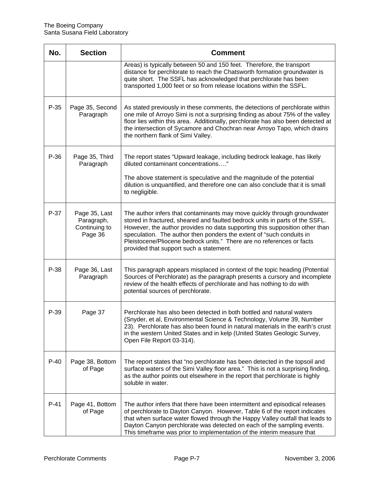| No.    | <b>Section</b>                                          | <b>Comment</b>                                                                                                                                                                                                                                                                                                                                                                                                                      |
|--------|---------------------------------------------------------|-------------------------------------------------------------------------------------------------------------------------------------------------------------------------------------------------------------------------------------------------------------------------------------------------------------------------------------------------------------------------------------------------------------------------------------|
|        |                                                         | Areas) is typically between 50 and 150 feet. Therefore, the transport<br>distance for perchlorate to reach the Chatsworth formation groundwater is<br>quite short. The SSFL has acknowledged that perchlorate has been<br>transported 1,000 feet or so from release locations within the SSFL.                                                                                                                                      |
| $P-35$ | Page 35, Second<br>Paragraph                            | As stated previously in these comments, the detections of perchlorate within<br>one mile of Arroyo Simi is not a surprising finding as about 75% of the valley<br>floor lies within this area. Additionally, perchlorate has also been detected at<br>the intersection of Sycamore and Chochran near Arroyo Tapo, which drains<br>the northern flank of Simi Valley.                                                                |
| $P-36$ | Page 35, Third<br>Paragraph                             | The report states "Upward leakage, including bedrock leakage, has likely<br>diluted contaminant concentrations"                                                                                                                                                                                                                                                                                                                     |
|        |                                                         | The above statement is speculative and the magnitude of the potential<br>dilution is unquantified, and therefore one can also conclude that it is small<br>to negligible.                                                                                                                                                                                                                                                           |
| P-37   | Page 35, Last<br>Paragraph,<br>Continuing to<br>Page 36 | The author infers that contaminants may move quickly through groundwater<br>stored in fractured, sheared and faulted bedrock units in parts of the SSFL.<br>However, the author provides no data supporting this supposition other than<br>speculation. The author then ponders the extent of "such conduits in<br>Pleistocene/Pliocene bedrock units." There are no references or facts<br>provided that support such a statement. |
| P-38   | Page 36, Last<br>Paragraph                              | This paragraph appears misplaced in context of the topic heading (Potential<br>Sources of Perchlorate) as the paragraph presents a cursory and incomplete<br>review of the health effects of perchlorate and has nothing to do with<br>potential sources of perchlorate.                                                                                                                                                            |
| P-39   | Page 37                                                 | Perchlorate has also been detected in both bottled and natural waters<br>(Snyder, et al, Environmental Science & Technology, Volume 39, Number<br>23). Perchlorate has also been found in natural materials in the earth's crust<br>in the western United States and in kelp (United States Geologic Survey,<br>Open File Report 03-314).                                                                                           |
| $P-40$ | Page 38, Bottom<br>of Page                              | The report states that "no perchlorate has been detected in the topsoil and<br>surface waters of the Simi Valley floor area." This is not a surprising finding,<br>as the author points out elsewhere in the report that perchlorate is highly<br>soluble in water.                                                                                                                                                                 |
| $P-41$ | Page 41, Bottom<br>of Page                              | The author infers that there have been intermittent and episodical releases<br>of perchlorate to Dayton Canyon. However, Table 6 of the report indicates<br>that when surface water flowed through the Happy Valley outfall that leads to<br>Dayton Canyon perchlorate was detected on each of the sampling events.<br>This timeframe was prior to implementation of the interim measure that                                       |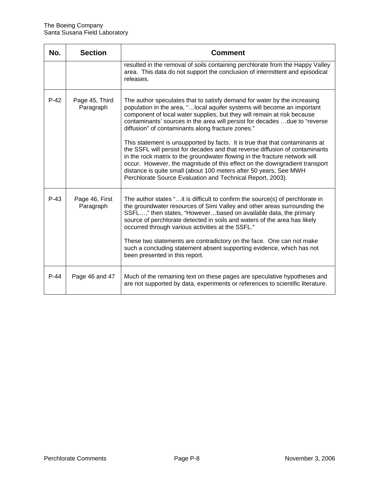| No.    | <b>Section</b>              | <b>Comment</b>                                                                                                                                                                                                                                                                                                                                                                                                                                                                                                                                     |
|--------|-----------------------------|----------------------------------------------------------------------------------------------------------------------------------------------------------------------------------------------------------------------------------------------------------------------------------------------------------------------------------------------------------------------------------------------------------------------------------------------------------------------------------------------------------------------------------------------------|
|        |                             | resulted in the removal of soils containing perchlorate from the Happy Valley<br>area. This data do not support the conclusion of intermittent and episodical<br>releases.                                                                                                                                                                                                                                                                                                                                                                         |
| $P-42$ | Page 45, Third<br>Paragraph | The author speculates that to satisfy demand for water by the increasing<br>population in the area, " local aquifer systems will become an important<br>component of local water supplies, but they will remain at risk because<br>contaminants' sources in the area will persist for decades due to "reverse<br>diffusion" of contaminants along fracture zones."                                                                                                                                                                                 |
|        |                             | This statement is unsupported by facts. It is true that that contaminants at<br>the SSFL will persist for decades and that reverse diffusion of contaminants<br>in the rock matrix to the groundwater flowing in the fracture network will<br>occur. However, the magnitude of this effect on the downgradient transport<br>distance is quite small (about 100 meters after 50 years, See MWH<br>Perchlorate Source Evaluation and Technical Report, 2003).                                                                                        |
| $P-43$ | Page 46, First<br>Paragraph | The author states "it is difficult to confirm the source(s) of perchlorate in<br>the groundwater resources of Simi Valley and other areas surrounding the<br>SSFL," then states, "Howeverbased on available data, the primary<br>source of perchlorate detected in soils and waters of the area has likely<br>occurred through various activities at the SSFL."<br>These two statements are contradictory on the face. One can not make<br>such a concluding statement absent supporting evidence, which has not<br>been presented in this report. |
| $P-44$ | Page 46 and 47              | Much of the remaining text on these pages are speculative hypotheses and<br>are not supported by data, experiments or references to scientific literature.                                                                                                                                                                                                                                                                                                                                                                                         |